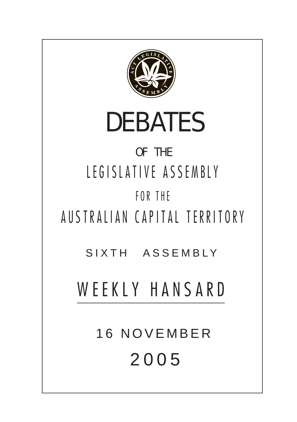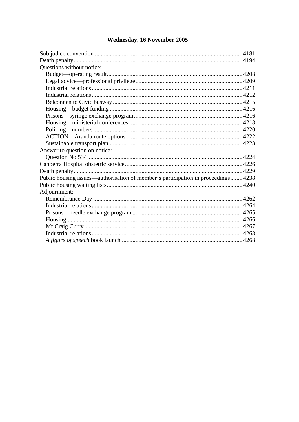### **Ouestions without notice:** Answer to question on notice: Public housing issues—authorisation of member's participation in proceedings........4238 Adjournment:

## **Wednesday, 16 November 2005**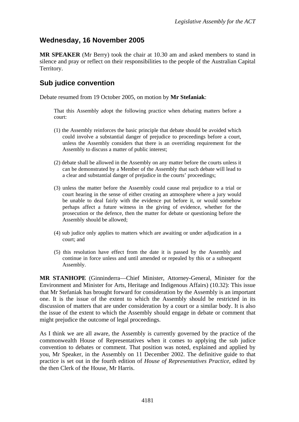# <span id="page-2-0"></span>**Wednesday, 16 November 2005**

**MR SPEAKER** (Mr Berry) took the chair at 10.30 am and asked members to stand in silence and pray or reflect on their responsibilities to the people of the Australian Capital Territory.

## **Sub judice convention**

Debate resumed from 19 October 2005, on motion by **Mr Stefaniak**:

That this Assembly adopt the following practice when debating matters before a court:

- (1) the Assembly reinforces the basic principle that debate should be avoided which could involve a substantial danger of prejudice to proceedings before a court, unless the Assembly considers that there is an overriding requirement for the Assembly to discuss a matter of public interest;
- (2) debate shall be allowed in the Assembly on any matter before the courts unless it can be demonstrated by a Member of the Assembly that such debate will lead to a clear and substantial danger of prejudice in the courts' proceedings;
- (3) unless the matter before the Assembly could cause real prejudice to a trial or court hearing in the sense of either creating an atmosphere where a jury would be unable to deal fairly with the evidence put before it, or would somehow perhaps affect a future witness in the giving of evidence, whether for the prosecution or the defence, then the matter for debate or questioning before the Assembly should be allowed;
- (4) sub judice only applies to matters which are awaiting or under adjudication in a court; and
- (5) this resolution have effect from the date it is passed by the Assembly and continue in force unless and until amended or repealed by this or a subsequent Assembly.

**MR STANHOPE** (Ginninderra—Chief Minister, Attorney-General, Minister for the Environment and Minister for Arts, Heritage and Indigenous Affairs) (10.32): This issue that Mr Stefaniak has brought forward for consideration by the Assembly is an important one. It is the issue of the extent to which the Assembly should be restricted in its discussion of matters that are under consideration by a court or a similar body. It is also the issue of the extent to which the Assembly should engage in debate or comment that might prejudice the outcome of legal proceedings.

As I think we are all aware, the Assembly is currently governed by the practice of the commonwealth House of Representatives when it comes to applying the sub judice convention to debates or comment. That position was noted, explained and applied by you, Mr Speaker, in the Assembly on 11 December 2002. The definitive guide to that practice is set out in the fourth edition of *House of Representatives Practice*, edited by the then Clerk of the House, Mr Harris.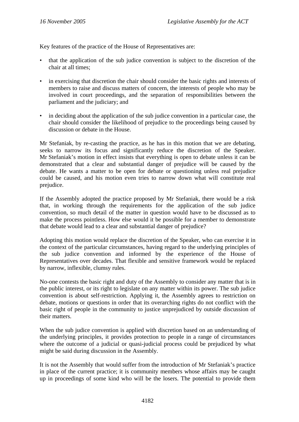Key features of the practice of the House of Representatives are:

- that the application of the sub judice convention is subject to the discretion of the chair at all times;
- in exercising that discretion the chair should consider the basic rights and interests of members to raise and discuss matters of concern, the interests of people who may be involved in court proceedings, and the separation of responsibilities between the parliament and the judiciary; and
- in deciding about the application of the sub judice convention in a particular case, the chair should consider the likelihood of prejudice to the proceedings being caused by discussion or debate in the House.

Mr Stefaniak, by re-casting the practice, as he has in this motion that we are debating, seeks to narrow its focus and significantly reduce the discretion of the Speaker. Mr Stefaniak's motion in effect insists that everything is open to debate unless it can be demonstrated that a clear and substantial danger of prejudice will be caused by the debate. He wants a matter to be open for debate or questioning unless real prejudice could be caused, and his motion even tries to narrow down what will constitute real prejudice.

If the Assembly adopted the practice proposed by Mr Stefaniak, there would be a risk that, in working through the requirements for the application of the sub judice convention, so much detail of the matter in question would have to be discussed as to make the process pointless. How else would it be possible for a member to demonstrate that debate would lead to a clear and substantial danger of prejudice?

Adopting this motion would replace the discretion of the Speaker, who can exercise it in the context of the particular circumstances, having regard to the underlying principles of the sub judice convention and informed by the experience of the House of Representatives over decades. That flexible and sensitive framework would be replaced by narrow, inflexible, clumsy rules.

No-one contests the basic right and duty of the Assembly to consider any matter that is in the public interest, or its right to legislate on any matter within its power. The sub judice convention is about self-restriction. Applying it, the Assembly agrees to restriction on debate, motions or questions in order that its overarching rights do not conflict with the basic right of people in the community to justice unprejudiced by outside discussion of their matters.

When the sub judice convention is applied with discretion based on an understanding of the underlying principles, it provides protection to people in a range of circumstances where the outcome of a judicial or quasi-judicial process could be prejudiced by what might be said during discussion in the Assembly.

It is not the Assembly that would suffer from the introduction of Mr Stefaniak's practice in place of the current practice; it is community members whose affairs may be caught up in proceedings of some kind who will be the losers. The potential to provide them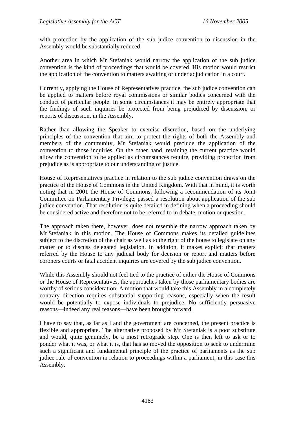with protection by the application of the sub judice convention to discussion in the Assembly would be substantially reduced.

Another area in which Mr Stefaniak would narrow the application of the sub judice convention is the kind of proceedings that would be covered. His motion would restrict the application of the convention to matters awaiting or under adjudication in a court.

Currently, applying the House of Representatives practice, the sub judice convention can be applied to matters before royal commissions or similar bodies concerned with the conduct of particular people. In some circumstances it may be entirely appropriate that the findings of such inquiries be protected from being prejudiced by discussion, or reports of discussion, in the Assembly.

Rather than allowing the Speaker to exercise discretion, based on the underlying principles of the convention that aim to protect the rights of both the Assembly and members of the community, Mr Stefaniak would preclude the application of the convention to those inquiries. On the other hand, retaining the current practice would allow the convention to be applied as circumstances require, providing protection from prejudice as is appropriate to our understanding of justice.

House of Representatives practice in relation to the sub judice convention draws on the practice of the House of Commons in the United Kingdom. With that in mind, it is worth noting that in 2001 the House of Commons, following a recommendation of its Joint Committee on Parliamentary Privilege, passed a resolution about application of the sub judice convention. That resolution is quite detailed in defining when a proceeding should be considered active and therefore not to be referred to in debate, motion or question.

The approach taken there, however, does not resemble the narrow approach taken by Mr Stefaniak in this motion. The House of Commons makes its detailed guidelines subject to the discretion of the chair as well as to the right of the house to legislate on any matter or to discuss delegated legislation. In addition, it makes explicit that matters referred by the House to any judicial body for decision or report and matters before coroners courts or fatal accident inquiries are covered by the sub judice convention.

While this Assembly should not feel tied to the practice of either the House of Commons or the House of Representatives, the approaches taken by those parliamentary bodies are worthy of serious consideration. A motion that would take this Assembly in a completely contrary direction requires substantial supporting reasons, especially when the result would be potentially to expose individuals to prejudice. No sufficiently persuasive reasons—indeed any real reasons—have been brought forward.

I have to say that, as far as I and the government are concerned, the present practice is flexible and appropriate. The alternative proposed by Mr Stefaniak is a poor substitute and would, quite genuinely, be a most retrograde step. One is then left to ask or to ponder what it was, or what it is, that has so moved the opposition to seek to undermine such a significant and fundamental principle of the practice of parliaments as the sub judice rule of convention in relation to proceedings within a parliament, in this case this Assembly.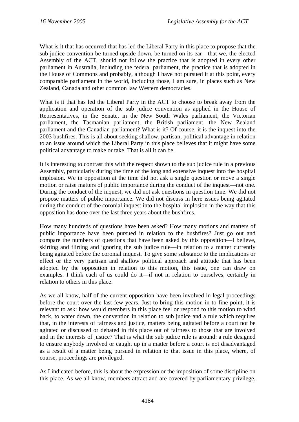What is it that has occurred that has led the Liberal Party in this place to propose that the sub judice convention be turned upside down, be turned on its ear—that we, the elected Assembly of the ACT, should not follow the practice that is adopted in every other parliament in Australia, including the federal parliament, the practice that is adopted in the House of Commons and probably, although I have not pursued it at this point, every comparable parliament in the world, including those, I am sure, in places such as New Zealand, Canada and other common law Western democracies.

What is it that has led the Liberal Party in the ACT to choose to break away from the application and operation of the sub judice convention as applied in the House of Representatives, in the Senate, in the New South Wales parliament, the Victorian parliament, the Tasmanian parliament, the British parliament, the New Zealand parliament and the Canadian parliament? What is it? Of course, it is the inquest into the 2003 bushfires. This is all about seeking shallow, partisan, political advantage in relation to an issue around which the Liberal Party in this place believes that it might have some political advantage to make or take. That is all it can be.

It is interesting to contrast this with the respect shown to the sub judice rule in a previous Assembly, particularly during the time of the long and extensive inquest into the hospital implosion. We in opposition at the time did not ask a single question or move a single motion or raise matters of public importance during the conduct of the inquest—not one. During the conduct of the inquest, we did not ask questions in question time. We did not propose matters of public importance. We did not discuss in here issues being agitated during the conduct of the coronial inquest into the hospital implosion in the way that this opposition has done over the last three years about the bushfires.

How many hundreds of questions have been asked? How many motions and matters of public importance have been pursued in relation to the bushfires? Just go out and compare the numbers of questions that have been asked by this opposition—I believe, skirting and flirting and ignoring the sub judice rule—in relation to a matter currently being agitated before the coronial inquest. To give some substance to the implications or effect or the very partisan and shallow political approach and attitude that has been adopted by the opposition in relation to this motion, this issue, one can draw on examples. I think each of us could do it—if not in relation to ourselves, certainly in relation to others in this place.

As we all know, half of the current opposition have been involved in legal proceedings before the court over the last few years. Just to bring this motion in to fine point, it is relevant to ask: how would members in this place feel or respond to this motion to wind back, to water down, the convention in relation to sub judice and a rule which requires that, in the interests of fairness and justice, matters being agitated before a court not be agitated or discussed or debated in this place out of fairness to those that are involved and in the interests of justice? That is what the sub judice rule is around: a rule designed to ensure anybody involved or caught up in a matter before a court is not disadvantaged as a result of a matter being pursued in relation to that issue in this place, where, of course, proceedings are privileged.

As I indicated before, this is about the expression or the imposition of some discipline on this place. As we all know, members attract and are covered by parliamentary privilege,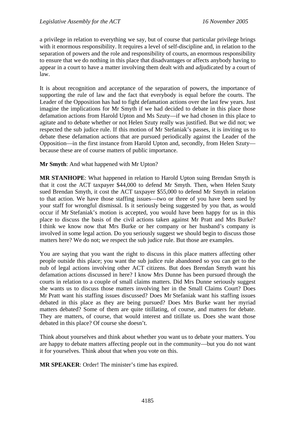a privilege in relation to everything we say, but of course that particular privilege brings with it enormous responsibility. It requires a level of self-discipline and, in relation to the separation of powers and the role and responsibility of courts, an enormous responsibility to ensure that we do nothing in this place that disadvantages or affects anybody having to appear in a court to have a matter involving them dealt with and adjudicated by a court of law.

It is about recognition and acceptance of the separation of powers, the importance of supporting the rule of law and the fact that everybody is equal before the courts. The Leader of the Opposition has had to fight defamation actions over the last few years. Just imagine the implications for Mr Smyth if we had decided to debate in this place those defamation actions from Harold Upton and Ms Szuty—if we had chosen in this place to agitate and to debate whether or not Helen Szuty really was justified. But we did not; we respected the sub judice rule. If this motion of Mr Stefaniak's passes, it is inviting us to debate these defamation actions that are pursued periodically against the Leader of the Opposition—in the first instance from Harold Upton and, secondly, from Helen Szuty because these are of course matters of public importance.

### **Mr Smyth**: And what happened with Mr Upton?

**MR STANHOPE**: What happened in relation to Harold Upton suing Brendan Smyth is that it cost the ACT taxpayer \$44,000 to defend Mr Smyth. Then, when Helen Szuty sued Brendan Smyth, it cost the ACT taxpayer \$55,000 to defend Mr Smyth in relation to that action. We have those staffing issues—two or three of you have been sued by your staff for wrongful dismissal. Is it seriously being suggested by you that, as would occur if Mr Stefaniak's motion is accepted, you would have been happy for us in this place to discuss the basis of the civil actions taken against Mr Pratt and Mrs Burke? I think we know now that Mrs Burke or her company or her husband's company is involved in some legal action. Do you seriously suggest we should begin to discuss those matters here? We do not; we respect the sub judice rule. But those are examples.

You are saying that you want the right to discuss in this place matters affecting other people outside this place; you want the sub judice rule abandoned so you can get to the nub of legal actions involving other ACT citizens. But does Brendan Smyth want his defamation actions discussed in here? I know Mrs Dunne has been pursued through the courts in relation to a couple of small claims matters. Did Mrs Dunne seriously suggest she wants us to discuss those matters involving her in the Small Claims Court? Does Mr Pratt want his staffing issues discussed? Does Mr Stefaniak want his staffing issues debated in this place as they are being pursued? Does Mrs Burke want her myriad matters debated? Some of them are quite titillating, of course, and matters for debate. They are matters, of course, that would interest and titillate us. Does she want those debated in this place? Of course she doesn't.

Think about yourselves and think about whether you want us to debate your matters. You are happy to debate matters affecting people out in the community—but you do not want it for yourselves. Think about that when you vote on this.

**MR SPEAKER**: Order! The minister's time has expired.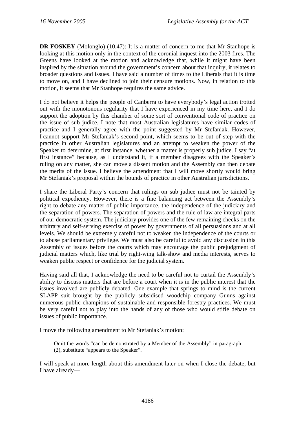**DR FOSKEY** (Molonglo) (10.47): It is a matter of concern to me that Mr Stanhope is looking at this motion only in the context of the coronial inquest into the 2003 fires. The Greens have looked at the motion and acknowledge that, while it might have been inspired by the situation around the government's concern about that inquiry, it relates to broader questions and issues. I have said a number of times to the Liberals that it is time to move on, and I have declined to join their censure motions. Now, in relation to this motion, it seems that Mr Stanhope requires the same advice.

I do not believe it helps the people of Canberra to have everybody's legal action trotted out with the monotonous regularity that I have experienced in my time here, and I do support the adoption by this chamber of some sort of conventional code of practice on the issue of sub judice. I note that most Australian legislatures have similar codes of practice and I generally agree with the point suggested by Mr Stefaniak. However, I cannot support Mr Stefaniak's second point, which seems to be out of step with the practice in other Australian legislatures and an attempt to weaken the power of the Speaker to determine, at first instance, whether a matter is properly sub judice. I say "at first instance" because, as I understand it, if a member disagrees with the Speaker's ruling on any matter, she can move a dissent motion and the Assembly can then debate the merits of the issue. I believe the amendment that I will move shortly would bring Mr Stefaniak's proposal within the bounds of practice in other Australian jurisdictions.

I share the Liberal Party's concern that rulings on sub judice must not be tainted by political expediency. However, there is a fine balancing act between the Assembly's right to debate any matter of public importance, the independence of the judiciary and the separation of powers. The separation of powers and the rule of law are integral parts of our democratic system. The judiciary provides one of the few remaining checks on the arbitrary and self-serving exercise of power by governments of all persuasions and at all levels. We should be extremely careful not to weaken the independence of the courts or to abuse parliamentary privilege. We must also be careful to avoid any discussion in this Assembly of issues before the courts which may encourage the public prejudgment of judicial matters which, like trial by right-wing talk-show and media interests, serves to weaken public respect or confidence for the judicial system.

Having said all that, I acknowledge the need to be careful not to curtail the Assembly's ability to discuss matters that are before a court when it is in the public interest that the issues involved are publicly debated. One example that springs to mind is the current SLAPP suit brought by the publicly subsidised woodchip company Gunns against numerous public champions of sustainable and responsible forestry practices. We must be very careful not to play into the hands of any of those who would stifle debate on issues of public importance.

I move the following amendment to Mr Stefaniak's motion:

Omit the words "can be demonstrated by a Member of the Assembly" in paragraph (2), substitute "appears to the Speaker".

I will speak at more length about this amendment later on when I close the debate, but I have already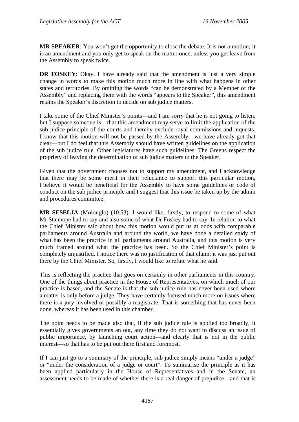**MR SPEAKER**: You won't get the opportunity to close the debate. It is not a motion; it is an amendment and you only get to speak on the matter once, unless you get leave from the Assembly to speak twice.

**DR FOSKEY:** Okay. I have already said that the amendment is just a very simple change in words to make this motion much more in line with what happens in other states and territories. By omitting the words "can be demonstrated by a Member of the Assembly" and replacing them with the words "appears to the Speaker", this amendment retains the Speaker's discretion to decide on sub judice matters.

I take some of the Chief Minister's points—and I am sorry that he is not going to listen, but I suppose someone is—that this amendment may serve to limit the application of the sub judice principle of the courts and thereby exclude royal commissions and inquests. I know that this motion will not be passed by the Assembly—we have already got that clear—but I do feel that this Assembly should have written guidelines on the application of the sub judice rule. Other legislatures have such guidelines. The Greens respect the propriety of leaving the determination of sub judice matters to the Speaker.

Given that the government chooses not to support my amendment, and I acknowledge that there may be some merit in their reluctance to support this particular motion, I believe it would be beneficial for the Assembly to have some guidelines or code of conduct on the sub judice principle and I suggest that this issue be taken up by the admin and procedures committee.

**MR SESELJA** (Molonglo) (10.53): I would like, firstly, to respond to some of what Mr Stanhope had to say and also some of what Dr Foskey had to say. In relation to what the Chief Minister said about how this motion would put us at odds with comparable parliaments around Australia and around the world, we have done a detailed study of what has been the practice in all parliaments around Australia, and this motion is very much framed around what the practice has been. So the Chief Minister's point is completely unjustified. I notice there was no justification of that claim; it was just put out there by the Chief Minister. So, firstly, I would like to refute what he said.

This is reflecting the practice that goes on certainly in other parliaments in this country. One of the things about practice in the House of Representatives, on which much of our practice is based, and the Senate is that the sub judice rule has never been used where a matter is only before a judge. They have certainly focused much more on issues where there is a jury involved or possibly a magistrate. That is something that has never been done, whereas it has been used in this chamber.

The point needs to be made also that, if the sub judice rule is applied too broadly, it essentially gives governments an out, any time they do not want to discuss an issue of public importance, by launching court action—and clearly that is not in the public interest—so that has to be put out there first and foremost.

If I can just go to a summary of the principle, sub judice simply means "under a judge" or "under the consideration of a judge or court". To summarise the principle as it has been applied particularly in the House of Representatives and in the Senate, an assessment needs to be made of whether there is a real danger of prejudice—and that is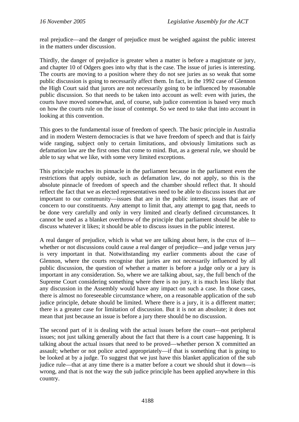real prejudice—and the danger of prejudice must be weighed against the public interest in the matters under discussion.

Thirdly, the danger of prejudice is greater when a matter is before a magistrate or jury, and chapter 10 of Odgers goes into why that is the case. The issue of juries is interesting. The courts are moving to a position where they do not see juries as so weak that some public discussion is going to necessarily affect them. In fact, in the 1992 case of Glennon the High Court said that jurors are not necessarily going to be influenced by reasonable public discussion. So that needs to be taken into account as well: even with juries, the courts have moved somewhat, and, of course, sub judice convention is based very much on how the courts rule on the issue of contempt. So we need to take that into account in looking at this convention.

This goes to the fundamental issue of freedom of speech. The basic principle in Australia and in modern Western democracies is that we have freedom of speech and that is fairly wide ranging, subject only to certain limitations, and obviously limitations such as defamation law are the first ones that come to mind. But, as a general rule, we should be able to say what we like, with some very limited exceptions.

This principle reaches its pinnacle in the parliament because in the parliament even the restrictions that apply outside, such as defamation law, do not apply, so this is the absolute pinnacle of freedom of speech and the chamber should reflect that. It should reflect the fact that we as elected representatives need to be able to discuss issues that are important to our community—issues that are in the public interest, issues that are of concern to our constituents. Any attempt to limit that, any attempt to gag that, needs to be done very carefully and only in very limited and clearly defined circumstances. It cannot be used as a blanket overthrow of the principle that parliament should be able to discuss whatever it likes; it should be able to discuss issues in the public interest.

A real danger of prejudice, which is what we are talking about here, is the crux of it whether or not discussions could cause a real danger of prejudice—and judge versus jury is very important in that. Notwithstanding my earlier comments about the case of Glennon, where the courts recognise that juries are not necessarily influenced by all public discussion, the question of whether a matter is before a judge only or a jury is important in any consideration. So, where we are talking about, say, the full bench of the Supreme Court considering something where there is no jury, it is much less likely that any discussion in the Assembly would have any impact on such a case. In those cases, there is almost no foreseeable circumstance where, on a reasonable application of the sub judice principle, debate should be limited. Where there is a jury, it is a different matter; there is a greater case for limitation of discussion. But it is not an absolute; it does not mean that just because an issue is before a jury there should be no discussion.

The second part of it is dealing with the actual issues before the court—not peripheral issues; not just talking generally about the fact that there is a court case happening. It is talking about the actual issues that need to be proved—whether person X committed an assault; whether or not police acted appropriately—if that is something that is going to be looked at by a judge. To suggest that we just have this blanket application of the sub judice rule—that at any time there is a matter before a court we should shut it down—is wrong, and that is not the way the sub judice principle has been applied anywhere in this country.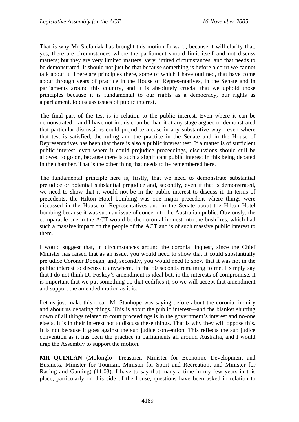That is why Mr Stefaniak has brought this motion forward, because it will clarify that, yes, there are circumstances where the parliament should limit itself and not discuss matters; but they are very limited matters, very limited circumstances, and that needs to be demonstrated. It should not just be that because something is before a court we cannot talk about it. There are principles there, some of which I have outlined, that have come about through years of practice in the House of Representatives, in the Senate and in parliaments around this country, and it is absolutely crucial that we uphold those principles because it is fundamental to our rights as a democracy, our rights as a parliament, to discuss issues of public interest.

The final part of the test is in relation to the public interest. Even where it can be demonstrated—and I have not in this chamber had it at any stage argued or demonstrated that particular discussions could prejudice a case in any substantive way—even where that test is satisfied, the ruling and the practice in the Senate and in the House of Representatives has been that there is also a public interest test. If a matter is of sufficient public interest, even where it could prejudice proceedings, discussions should still be allowed to go on, because there is such a significant public interest in this being debated in the chamber. That is the other thing that needs to be remembered here.

The fundamental principle here is, firstly, that we need to demonstrate substantial prejudice or potential substantial prejudice and, secondly, even if that is demonstrated, we need to show that it would not be in the public interest to discuss it. In terms of precedents, the Hilton Hotel bombing was one major precedent where things were discussed in the House of Representatives and in the Senate about the Hilton Hotel bombing because it was such an issue of concern to the Australian public. Obviously, the comparable one in the ACT would be the coronial inquest into the bushfires, which had such a massive impact on the people of the ACT and is of such massive public interest to them.

I would suggest that, in circumstances around the coronial inquest, since the Chief Minister has raised that as an issue, you would need to show that it could substantially prejudice Coroner Doogan, and, secondly, you would need to show that it was not in the public interest to discuss it anywhere. In the 50 seconds remaining to me, I simply say that I do not think Dr Foskey's amendment is ideal but, in the interests of compromise, it is important that we put something up that codifies it, so we will accept that amendment and support the amended motion as it is.

Let us just make this clear. Mr Stanhope was saying before about the coronial inquiry and about us debating things. This is about the public interest—and the blanket shutting down of all things related to court proceedings is in the government's interest and no-one else's. It is in their interest not to discuss these things. That is why they will oppose this. It is not because it goes against the sub judice convention. This reflects the sub judice convention as it has been the practice in parliaments all around Australia, and I would urge the Assembly to support the motion.

**MR QUINLAN** (Molonglo—Treasurer, Minister for Economic Development and Business, Minister for Tourism, Minister for Sport and Recreation, and Minister for Racing and Gaming) (11.03): I have to say that many a time in my few years in this place, particularly on this side of the house, questions have been asked in relation to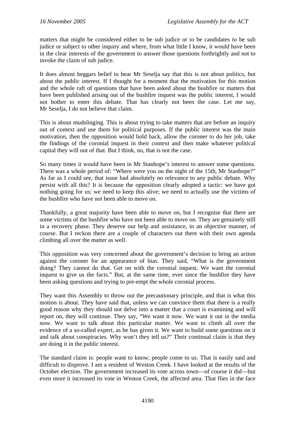matters that might be considered either to be sub judice or to be candidates to be sub judice or subject to other inquiry and where, from what little I know, it would have been in the clear interests of the government to answer those questions forthrightly and not to invoke the claim of sub judice.

It does almost beggars belief to hear Mr Seselja say that this is not about politics, but about the public interest. If I thought for a moment that the motivation for this motion and the whole raft of questions that have been asked about the bushfire or matters that have been published arising out of the bushfire inquest was the public interest, I would not bother to enter this debate. That has clearly not been the case. Let me say, Mr Seselja, I do not believe that claim.

This is about mudslinging. This is about trying to take matters that are before an inquiry out of context and use them for political purposes. If the public interest was the main motivation, then the opposition would hold back, allow the coroner to do her job, take the findings of the coronial inquest in their context and then make whatever political capital they will out of that. But I think, no, that is not the case.

So many times it would have been in Mr Stanhope's interest to answer some questions. There was a whole period of: "Where were you on the night of the 15th, Mr Stanhope?" As far as I could see, that issue had absolutely no relevance to any public debate. Why persist with all this? It is because the opposition clearly adopted a tactic: we have got nothing going for us; we need to keep this alive; we need to actually use the victims of the bushfire who have not been able to move on.

Thankfully, a great majority have been able to move on, but I recognise that there are some victims of the bushfire who have not been able to move on. They are genuinely still in a recovery phase. They deserve our help and assistance, in an objective manner, of course. But I reckon there are a couple of characters out there with their own agenda climbing all over the matter as well.

This opposition was very concerned about the government's decision to bring an action against the coroner for an appearance of bias. They said, "What is the government doing? They cannot do that. Get on with the coronial inquest. We want the coronial inquest to give us the facts." But, at the same time, ever since the bushfire they have been asking questions and trying to pre-empt the whole coronial process.

They want this Assembly to throw out the precautionary principle, and that is what this motion is about. They have said that, unless we can convince them that there is a really good reason why they should not delve into a matter that a court is examining and will report on, they will continue. They say, "We want it now. We want it out in the media now. We want to talk about this particular matter. We want to climb all over the evidence of a so-called expert, as he has given it. We want to build some questions on it and talk about conspiracies. Why won't they tell us?" Their continual claim is that they are doing it in the public interest.

The standard claim is: people want to know; people come to us. That is easily said and difficult to disprove. I am a resident of Weston Creek. I have looked at the results of the October election. The government increased its vote across town—of course it did—but even more it increased its vote in Weston Creek, the affected area. That flies in the face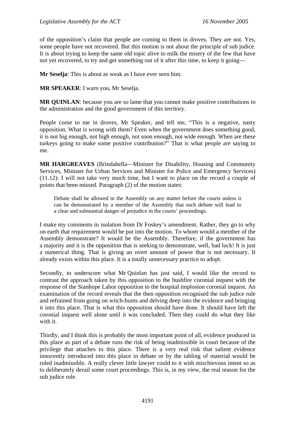of the opposition's claim that people are coming to them in droves. They are not. Yes, some people have not recovered. But this motion is not about the principle of sub judice. It is about trying to keep the same old topic alive to milk the misery of the few that have not yet recovered, to try and get something out of it after this time, to keep it going—

**Mr Seselja**: This is about as weak as I have ever seen him.

**MR SPEAKER**: I warn you, Mr Seselja.

**MR QUINLAN**: because you are so lame that you cannot make positive contributions to the administration and the good government of this territory.

People come to me in droves, Mr Speaker, and tell me, "This is a negative, nasty opposition. What is wrong with them? Even when the government does something good, it is not big enough, not high enough, not soon enough, not wide enough. When are these turkeys going to make some positive contribution?" That is what people are saying to me.

**MR HARGREAVES** (Brindabella—Minister for Disability, Housing and Community Services, Minister for Urban Services and Minister for Police and Emergency Services) (11.12): I will not take very much time, but I want to place on the record a couple of points that been missed. Paragraph (2) of the motion states:

Debate shall be allowed in the Assembly on any matter before the courts unless it can be demonstrated by a member of the Assembly that such debate will lead to a clear and substantial danger of prejudice in the courts' proceedings.

I make my comments in isolation from Dr Foskey's amendment. Rather, they go to why on earth that requirement would be put into the motion. To whom would a member of the Assembly demonstrate? It would be the Assembly. Therefore, if the government has a majority and it is the opposition that is seeking to demonstrate, well, bad luck! It is just a numerical thing. That is giving an overt amount of power that is not necessary. It already exists within this place. It is a totally unnecessary practice to adopt.

Secondly, to underscore what Mr Quinlan has just said, I would like the record to contrast the approach taken by this opposition to the bushfire coronial inquest with the response of the Stanhope Labor opposition to the hospital implosion coronial inquest. An examination of the record reveals that the then opposition recognised the sub judice rule and refrained from going on witch-hunts and delving deep into the evidence and bringing it into this place. That is what this opposition should have done. It should have left the coronial inquest well alone until it was concluded. Then they could do what they like with it.

Thirdly, and I think this is probably the most important point of all, evidence produced in this place as part of a debate runs the risk of being inadmissible in court because of the privilege that attaches to this place. There is a very real risk that salient evidence innocently introduced into this place in debate or by the tabling of material would be ruled inadmissible. A really clever little lawyer could to it with mischievous intent so as to deliberately derail some court proceedings. This is, in my view, the real reason for the sub judice rule.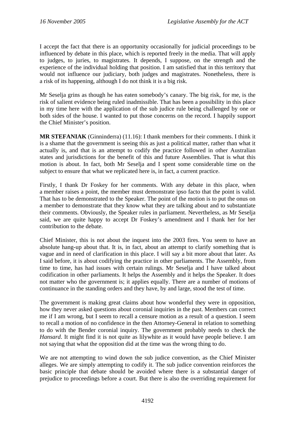I accept the fact that there is an opportunity occasionally for judicial proceedings to be influenced by debate in this place, which is reported freely in the media. That will apply to judges, to juries, to magistrates. It depends, I suppose, on the strength and the experience of the individual holding that position. I am satisfied that in this territory that would not influence our judiciary, both judges and magistrates. Nonetheless, there is a risk of its happening, although I do not think it is a big risk.

Mr Seselja grins as though he has eaten somebody's canary. The big risk, for me, is the risk of salient evidence being ruled inadmissible. That has been a possibility in this place in my time here with the application of the sub judice rule being challenged by one or both sides of the house. I wanted to put those concerns on the record. I happily support the Chief Minister's position.

**MR STEFANIAK** (Ginninderra) (11.16): I thank members for their comments. I think it is a shame that the government is seeing this as just a political matter, rather than what it actually is, and that is an attempt to codify the practice followed in other Australian states and jurisdictions for the benefit of this and future Assemblies. That is what this motion is about. In fact, both Mr Seselja and I spent some considerable time on the subject to ensure that what we replicated here is, in fact, a current practice.

Firstly, I thank Dr Foskey for her comments. With any debate in this place, when a member raises a point, the member must demonstrate ipso facto that the point is valid. That has to be demonstrated to the Speaker. The point of the motion is to put the onus on a member to demonstrate that they know what they are talking about and to substantiate their comments. Obviously, the Speaker rules in parliament. Nevertheless, as Mr Seselja said, we are quite happy to accept Dr Foskey's amendment and I thank her for her contribution to the debate.

Chief Minister, this is not about the inquest into the 2003 fires. You seem to have an absolute hang-up about that. It is, in fact, about an attempt to clarify something that is vague and in need of clarification in this place. I will say a bit more about that later. As I said before, it is about codifying the practice in other parliaments. The Assembly, from time to time, has had issues with certain rulings. Mr Seselja and I have talked about codification in other parliaments. It helps the Assembly and it helps the Speaker. It does not matter who the government is; it applies equally. There are a number of motions of continuance in the standing orders and they have, by and large, stood the test of time.

The government is making great claims about how wonderful they were in opposition, how they never asked questions about coronial inquiries in the past. Members can correct me if I am wrong, but I seem to recall a censure motion as a result of a question. I seem to recall a motion of no confidence in the then Attorney-General in relation to something to do with the Bender coronial inquiry. The government probably needs to check the *Hansard*. It might find it is not quite as lilywhite as it would have people believe. I am not saying that what the opposition did at the time was the wrong thing to do.

We are not attempting to wind down the sub judice convention, as the Chief Minister alleges. We are simply attempting to codify it. The sub judice convention reinforces the basic principle that debate should be avoided where there is a substantial danger of prejudice to proceedings before a court. But there is also the overriding requirement for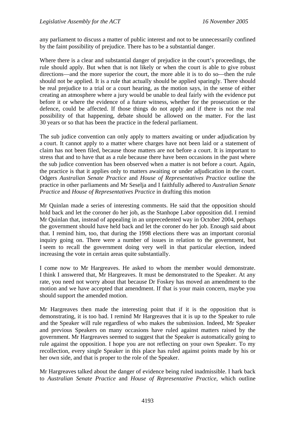any parliament to discuss a matter of public interest and not to be unnecessarily confined by the faint possibility of prejudice. There has to be a substantial danger.

Where there is a clear and substantial danger of prejudice in the court's proceedings, the rule should apply. But when that is not likely or when the court is able to give robust directions—and the more superior the court, the more able it is to do so—then the rule should not be applied. It is a rule that actually should be applied sparingly. There should be real prejudice to a trial or a court hearing, as the motion says, in the sense of either creating an atmosphere where a jury would be unable to deal fairly with the evidence put before it or where the evidence of a future witness, whether for the prosecution or the defence, could be affected. If those things do not apply and if there is not the real possibility of that happening, debate should be allowed on the matter. For the last 30 years or so that has been the practice in the federal parliament.

The sub judice convention can only apply to matters awaiting or under adjudication by a court. It cannot apply to a matter where charges have not been laid or a statement of claim has not been filed, because those matters are not before a court. It is important to stress that and to have that as a rule because there have been occasions in the past where the sub judice convention has been observed when a matter is not before a court. Again, the practice is that it applies only to matters awaiting or under adjudication in the court. Odgers *Australian Senate Practice* and *House of Representatives Practice* outline the practice in other parliaments and Mr Seselja and I faithfully adhered to *Australian Senate Practice* and *House of Representatives Practice* in drafting this motion

Mr Quinlan made a series of interesting comments. He said that the opposition should hold back and let the coroner do her job, as the Stanhope Labor opposition did. I remind Mr Quinlan that, instead of appealing in an unprecedented way in October 2004, perhaps the government should have held back and let the coroner do her job. Enough said about that. I remind him, too, that during the 1998 elections there was an important coronial inquiry going on. There were a number of issues in relation to the government, but I seem to recall the government doing very well in that particular election, indeed increasing the vote in certain areas quite substantially.

I come now to Mr Hargreaves. He asked to whom the member would demonstrate. I think I answered that, Mr Hargreaves. It must be demonstrated to the Speaker. At any rate, you need not worry about that because Dr Foskey has moved an amendment to the motion and we have accepted that amendment. If that is your main concern, maybe you should support the amended motion.

Mr Hargreaves then made the interesting point that if it is the opposition that is demonstrating, it is too bad. I remind Mr Hargreaves that it is up to the Speaker to rule and the Speaker will rule regardless of who makes the submission. Indeed, Mr Speaker and previous Speakers on many occasions have ruled against matters raised by the government. Mr Hargreaves seemed to suggest that the Speaker is automatically going to rule against the opposition. I hope you are not reflecting on your own Speaker. To my recollection, every single Speaker in this place has ruled against points made by his or her own side, and that is proper to the role of the Speaker.

Mr Hargreaves talked about the danger of evidence being ruled inadmissible. I hark back to *Australian Senate Practice* and *House of Representative Practice*, which outline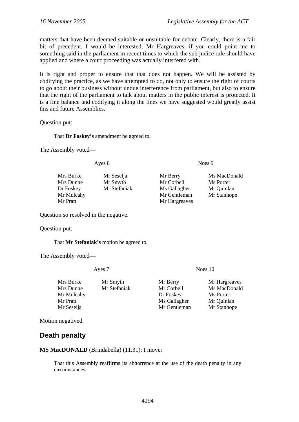<span id="page-15-0"></span>matters that have been deemed suitable or unsuitable for debate. Clearly, there is a fair bit of precedent. I would be interested, Mr Hargreaves, if you could point me to something said in the parliament in recent times to which the sub judice rule should have applied and where a court proceeding was actually interfered with.

It is right and proper to ensure that that does not happen. We will be assisted by codifying the practice, as we have attempted to do, not only to ensure the right of courts to go about their business without undue interference from parliament, but also to ensure that the right of the parliament to talk about matters in the public interest is protected. It is a fine balance and codifying it along the lines we have suggested would greatly assist this and future Assemblies.

Question put:

That **Dr Foskey's** amendment be agreed to.

The Assembly voted—

Ayes 8 Noes 9

| Mrs Burke  | Mr Seselja   | Mr Berry      | Ms MacDonald |
|------------|--------------|---------------|--------------|
| Mrs Dunne  | Mr Smyth     | Mr Corbell    | Ms Porter    |
| Dr Foskey  | Mr Stefaniak | Ms Gallagher  | Mr Quinlan   |
| Mr Mulcahy |              | Mr Gentleman  | Mr Stanhope  |
| Mr Pratt   |              | Mr Hargreaves |              |
|            |              |               |              |

Question so resolved in the negative.

Question put:

That **Mr Stefaniak's** motion be agreed to.

The Assembly voted—

Ayes 7 Noes 10

| Mrs Burke  | Mr Smyth     | Mr Berry     | Mr Hargreaves |
|------------|--------------|--------------|---------------|
| Mrs Dunne  | Mr Stefaniak | Mr Corbell   | Ms MacDonald  |
| Mr Mulcahy |              | Dr Foskey    | Ms Porter     |
| Mr Pratt   |              | Ms Gallagher | Mr Quinlan    |
| Mr Seselja |              | Mr Gentleman | Mr Stanhope   |

Motion negatived.

# **Death penalty**

**MS MacDONALD** (Brindabella) (11.31): I move:

That this Assembly reaffirms its abhorrence at the use of the death penalty in any circumstances.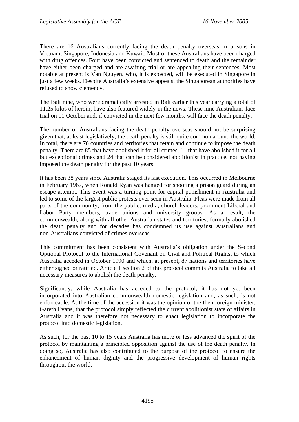There are 16 Australians currently facing the death penalty overseas in prisons in Vietnam, Singapore, Indonesia and Kuwait. Most of these Australians have been charged with drug offences. Four have been convicted and sentenced to death and the remainder have either been charged and are awaiting trial or are appealing their sentences. Most notable at present is Van Nguyen, who, it is expected, will be executed in Singapore in just a few weeks. Despite Australia's extensive appeals, the Singaporean authorities have refused to show clemency.

The Bali nine, who were dramatically arrested in Bali earlier this year carrying a total of 11.25 kilos of heroin, have also featured widely in the news. These nine Australians face trial on 11 October and, if convicted in the next few months, will face the death penalty.

The number of Australians facing the death penalty overseas should not be surprising given that, at least legislatively, the death penalty is still quite common around the world. In total, there are 76 countries and territories that retain and continue to impose the death penalty. There are 85 that have abolished it for all crimes, 11 that have abolished it for all but exceptional crimes and 24 that can be considered abolitionist in practice, not having imposed the death penalty for the past 10 years.

It has been 38 years since Australia staged its last execution. This occurred in Melbourne in February 1967, when Ronald Ryan was hanged for shooting a prison guard during an escape attempt. This event was a turning point for capital punishment in Australia and led to some of the largest public protests ever seen in Australia. Pleas were made from all parts of the community, from the public, media, church leaders, prominent Liberal and Labor Party members, trade unions and university groups. As a result, the commonwealth, along with all other Australian states and territories, formally abolished the death penalty and for decades has condemned its use against Australians and non-Australians convicted of crimes overseas.

This commitment has been consistent with Australia's obligation under the Second Optional Protocol to the International Covenant on Civil and Political Rights, to which Australia acceded in October 1990 and which, at present, 87 nations and territories have either signed or ratified. Article 1 section 2 of this protocol commits Australia to take all necessary measures to abolish the death penalty.

Significantly, while Australia has acceded to the protocol, it has not yet been incorporated into Australian commonwealth domestic legislation and, as such, is not enforceable. At the time of the accession it was the opinion of the then foreign minister, Gareth Evans, that the protocol simply reflected the current abolitionist state of affairs in Australia and it was therefore not necessary to enact legislation to incorporate the protocol into domestic legislation.

As such, for the past 10 to 15 years Australia has more or less advanced the spirit of the protocol by maintaining a principled opposition against the use of the death penalty. In doing so, Australia has also contributed to the purpose of the protocol to ensure the enhancement of human dignity and the progressive development of human rights throughout the world.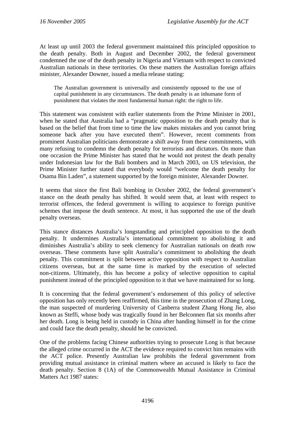At least up until 2003 the federal government maintained this principled opposition to the death penalty. Both in August and December 2002, the federal government condemned the use of the death penalty in Nigeria and Vietnam with respect to convicted Australian nationals in these territories. On these matters the Australian foreign affairs minister, Alexander Downer, issued a media release stating:

The Australian government is universally and consistently opposed to the use of capital punishment in any circumstances. The death penalty is an inhumane form of punishment that violates the most fundamental human right: the right to life.

This statement was consistent with earlier statements from the Prime Minister in 2001, when he stated that Australia had a "pragmatic opposition to the death penalty that is based on the belief that from time to time the law makes mistakes and you cannot bring someone back after you have executed them". However, recent comments from prominent Australian politicians demonstrate a shift away from these commitments, with many refusing to condemn the death penalty for terrorists and dictators. On more than one occasion the Prime Minister has stated that he would not protest the death penalty under Indonesian law for the Bali bombers and in March 2003, on US television, the Prime Minister further stated that everybody would "welcome the death penalty for Osama Bin Laden", a statement supported by the foreign minister, Alexander Downer.

It seems that since the first Bali bombing in October 2002, the federal government's stance on the death penalty has shifted. It would seem that, at least with respect to terrorist offences, the federal government is willing to acquiesce to foreign punitive schemes that impose the death sentence. At most, it has supported the use of the death penalty overseas.

This stance distances Australia's longstanding and principled opposition to the death penalty. It undermines Australia's international commitment to abolishing it and diminishes Australia's ability to seek clemency for Australian nationals on death row overseas. These comments have split Australia's commitment to abolishing the death penalty. This commitment is split between active opposition with respect to Australian citizens overseas, but at the same time is marked by the execution of selected non-citizens. Ultimately, this has become a policy of selective opposition to capital punishment instead of the principled opposition to it that we have maintained for so long.

It is concerning that the federal government's endorsement of this policy of selective opposition has only recently been reaffirmed, this time in the prosecution of Zhang Long, the man suspected of murdering University of Canberra student Zhang Hong Jie, also known as Steffi, whose body was tragically found in her Belconnen flat six months after her death. Long is being held in custody in China after handing himself in for the crime and could face the death penalty, should he be convicted.

One of the problems facing Chinese authorities trying to prosecute Long is that because the alleged crime occurred in the ACT the evidence required to convict him remains with the ACT police. Presently Australian law prohibits the federal government from providing mutual assistance in criminal matters where an accused is likely to face the death penalty. Section 8 (1A) of the Commonwealth Mutual Assistance in Criminal Matters Act 1987 states: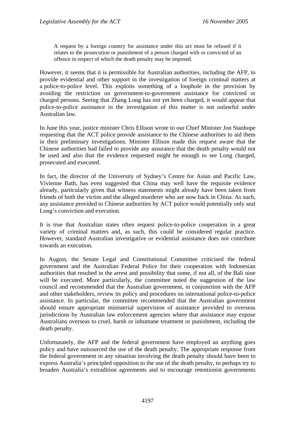A request by a foreign country for assistance under this act must be refused if it relates to the prosecution or punishment of a person charged with or convicted of an offence in respect of which the death penalty may be imposed.

However, it seems that it is permissible for Australian authorities, including the AFP, to provide evidential and other support in the investigation of foreign criminal matters at a police-to-police level. This exploits something of a loophole in the provision by avoiding the restriction on government-to-government assistance for convicted or charged persons. Seeing that Zhang Long has not yet been charged, it would appear that police-to-police assistance in the investigation of this matter is not unlawful under Australian law.

In June this year, justice minister Chris Ellison wrote to our Chief Minister Jon Stanhope requesting that the ACT police provide assistance to the Chinese authorities to aid them in their preliminary investigations. Minister Ellison made this request aware that the Chinese authorities had failed to provide any assurance that the death penalty would not be used and also that the evidence requested might be enough to see Long charged, prosecuted and executed.

In fact, the director of the University of Sydney's Centre for Asian and Pacific Law, Vivienne Bath, has even suggested that China may well have the requisite evidence already, particularly given that witness statements might already have been taken from friends of both the victim and the alleged murderer who are now back in China. As such, any assistance provided to Chinese authorities by ACT police would potentially only seal Long's conviction and execution.

It is true that Australian states often request police-to-police cooperation in a great variety of criminal matters and, as such, this could be considered regular practice. However, standard Australian investigative or evidential assistance does not contribute towards an execution.

In August, the Senate Legal and Constitutional Committee criticised the federal government and the Australian Federal Police for their cooperation with Indonesian authorities that resulted in the arrest and possibility that some, if not all, of the Bali nine will be executed. More particularly, the committee noted the suggestion of the law council and recommended that the Australian government, in conjunction with the AFP and other stakeholders, review its policy and procedures on international police-to-police assistance. In particular, the committee recommended that the Australian government should ensure appropriate ministerial supervision of assistance provided to overseas jurisdictions by Australian law enforcement agencies where that assistance may expose Australians overseas to cruel, harsh or inhumane treatment or punishment, including the death penalty.

Unfortunately, the AFP and the federal government have employed an anything goes policy and have outsourced the use of the death penalty. The appropriate response from the federal government in any situation involving the death penalty should have been to express Australia's principled opposition to the use of the death penalty, to perhaps try to broaden Australia's extradition agreements and to encourage retentionist governments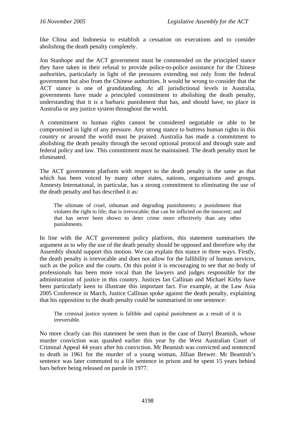like China and Indonesia to establish a cessation on executions and to consider abolishing the death penalty completely.

Jon Stanhope and the ACT government must be commended on the principled stance they have taken in their refusal to provide police-to-police assistance for the Chinese authorities, particularly in light of the pressures extending not only from the federal government but also from the Chinese authorities. It would be wrong to consider that the ACT stance is one of grandstanding. At all jurisdictional levels in Australia, governments have made a principled commitment to abolishing the death penalty, understanding that it is a barbaric punishment that has, and should have, no place in Australia or any justice system throughout the world.

A commitment to human rights cannot be considered negotiable or able to be compromised in light of any pressure. Any strong stance to buttress human rights in this country or around the world must be praised. Australia has made a commitment to abolishing the death penalty through the second optional protocol and through state and federal policy and law. This commitment must be maintained. The death penalty must be eliminated.

The ACT government platform with respect to the death penalty is the same as that which has been voiced by many other states, nations, organisations and groups. Amnesty International, in particular, has a strong commitment to eliminating the use of the death penalty and has described it as:

The ultimate of cruel, inhuman and degrading punishments; a punishment that violates the right to life; that is irrevocable; that can be inflicted on the innocent; and that has never been shown to deter crime more effectively than any other punishments.

In line with the ACT government policy platform, this statement summarises the argument as to why the use of the death penalty should be opposed and therefore why the Assembly should support this motion. We can explain this stance in three ways. Firstly, the death penalty is irrevocable and does not allow for the fallibility of human services, such as the police and the courts. On this point it is encouraging to see that no body of professionals has been more vocal than the lawyers and judges responsible for the administration of justice in this country. Justices Ian Callinan and Michael Kirby have been particularly keen to illustrate this important fact. For example, at the Law Asia 2005 Conference in March, Justice Callinan spoke against the death penalty, explaining that his opposition to the death penalty could be summarised in one sentence:

The criminal justice system is fallible and capital punishment as a result of it is irreversible.

No more clearly can this statement be seen than in the case of Darryl Beamish, whose murder conviction was quashed earlier this year by the West Australian Court of Criminal Appeal 44 years after his conviction. Mr Beamish was convicted and sentenced to death in 1961 for the murder of a young woman, Jillian Brewer. Mr Beamish's sentence was later commuted to a life sentence in prison and he spent 15 years behind bars before being released on parole in 1977.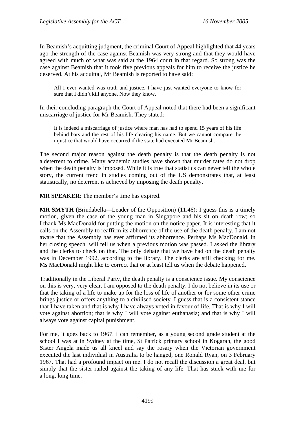In Beamish's acquitting judgment, the criminal Court of Appeal highlighted that 44 years ago the strength of the case against Beamish was very strong and that they would have agreed with much of what was said at the 1964 court in that regard. So strong was the case against Beamish that it took five previous appeals for him to receive the justice he deserved. At his acquittal, Mr Beamish is reported to have said:

All I ever wanted was truth and justice. I have just wanted everyone to know for sure that I didn't kill anyone. Now they know.

In their concluding paragraph the Court of Appeal noted that there had been a significant miscarriage of justice for Mr Beamish. They stated:

It is indeed a miscarriage of justice where man has had to spend 15 years of his life behind bars and the rest of his life clearing his name. But we cannot compare the injustice that would have occurred if the state had executed Mr Beamish.

The second major reason against the death penalty is that the death penalty is not a deterrent to crime. Many academic studies have shown that murder rates do not drop when the death penalty is imposed. While it is true that statistics can never tell the whole story, the current trend in studies coming out of the US demonstrates that, at least statistically, no deterrent is achieved by imposing the death penalty.

**MR SPEAKER**: The member's time has expired.

**MR SMYTH** (Brindabella—Leader of the Opposition) (11.46): I guess this is a timely motion, given the case of the young man in Singapore and his sit on death row; so I thank Ms MacDonald for putting the motion on the notice paper. It is interesting that it calls on the Assembly to reaffirm its abhorrence of the use of the death penalty. I am not aware that the Assembly has ever affirmed its abhorrence. Perhaps Ms MacDonald, in her closing speech, will tell us when a previous motion was passed. I asked the library and the clerks to check on that. The only debate that we have had on the death penalty was in December 1992, according to the library. The clerks are still checking for me. Ms MacDonald might like to correct that or at least tell us when the debate happened.

Traditionally in the Liberal Party, the death penalty is a conscience issue. My conscience on this is very, very clear. I am opposed to the death penalty. I do not believe in its use or that the taking of a life to make up for the loss of life of another or for some other crime brings justice or offers anything to a civilised society. I guess that is a consistent stance that I have taken and that is why I have always voted in favour of life. That is why I will vote against abortion; that is why I will vote against euthanasia; and that is why I will always vote against capital punishment.

For me, it goes back to 1967. I can remember, as a young second grade student at the school I was at in Sydney at the time, St Patrick primary school in Kogarah, the good Sister Angela made us all kneel and say the rosary when the Victorian government executed the last individual in Australia to be hanged, one Ronald Ryan, on 3 February 1967. That had a profound impact on me. I do not recall the discussion a great deal, but simply that the sister railed against the taking of any life. That has stuck with me for a long, long time.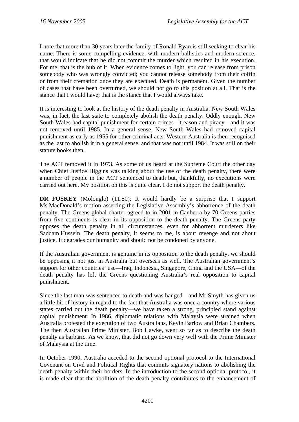I note that more than 30 years later the family of Ronald Ryan is still seeking to clear his name. There is some compelling evidence, with modern ballistics and modern science, that would indicate that he did not commit the murder which resulted in his execution. For me, that is the hub of it. When evidence comes to light, you can release from prison somebody who was wrongly convicted; you cannot release somebody from their coffin or from their cremation once they are executed. Death is permanent. Given the number of cases that have been overturned, we should not go to this position at all. That is the stance that I would have; that is the stance that I would always take.

It is interesting to look at the history of the death penalty in Australia. New South Wales was, in fact, the last state to completely abolish the death penalty. Oddly enough, New South Wales had capital punishment for certain crimes—treason and piracy—and it was not removed until 1985. In a general sense, New South Wales had removed capital punishment as early as 1955 for other criminal acts. Western Australia is then recognised as the last to abolish it in a general sense, and that was not until 1984. It was still on their statute books then.

The ACT removed it in 1973. As some of us heard at the Supreme Court the other day when Chief Justice Higgins was talking about the use of the death penalty, there were a number of people in the ACT sentenced to death but, thankfully, no executions were carried out here. My position on this is quite clear. I do not support the death penalty.

**DR FOSKEY** (Molonglo) (11.50): It would hardly be a surprise that I support Ms MacDonald's motion asserting the Legislative Assembly's abhorrence of the death penalty. The Greens global charter agreed to in 2001 in Canberra by 70 Greens parties from five continents is clear in its opposition to the death penalty. The Greens party opposes the death penalty in all circumstances, even for abhorrent murderers like Saddam Hussein. The death penalty, it seems to me, is about revenge and not about justice. It degrades our humanity and should not be condoned by anyone.

If the Australian government is genuine in its opposition to the death penalty, we should be opposing it not just in Australia but overseas as well. The Australian government's support for other countries' use—Iraq, Indonesia, Singapore, China and the USA—of the death penalty has left the Greens questioning Australia's real opposition to capital punishment.

Since the last man was sentenced to death and was hanged—and Mr Smyth has given us a little bit of history in regard to the fact that Australia was once a country where various states carried out the death penalty—we have taken a strong, principled stand against capital punishment. In 1986, diplomatic relations with Malaysia were strained when Australia protested the execution of two Australians, Kevin Barlow and Brian Chambers. The then Australian Prime Minister, Bob Hawke, went so far as to describe the death penalty as barbaric. As we know, that did not go down very well with the Prime Minister of Malaysia at the time.

In October 1990, Australia acceded to the second optional protocol to the International Covenant on Civil and Political Rights that commits signatory nations to abolishing the death penalty within their borders. In the introduction to the second optional protocol, it is made clear that the abolition of the death penalty contributes to the enhancement of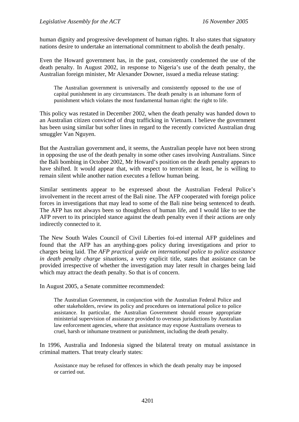human dignity and progressive development of human rights. It also states that signatory nations desire to undertake an international commitment to abolish the death penalty.

Even the Howard government has, in the past, consistently condemned the use of the death penalty. In August 2002, in response to Nigeria's use of the death penalty, the Australian foreign minister, Mr Alexander Downer, issued a media release stating:

The Australian government is universally and consistently opposed to the use of capital punishment in any circumstances. The death penalty is an inhumane form of punishment which violates the most fundamental human right: the right to life.

This policy was restated in December 2002, when the death penalty was handed down to an Australian citizen convicted of drug trafficking in Vietnam. I believe the government has been using similar but softer lines in regard to the recently convicted Australian drug smuggler Van Nguyen.

But the Australian government and, it seems, the Australian people have not been strong in opposing the use of the death penalty in some other cases involving Australians. Since the Bali bombing in October 2002, Mr Howard's position on the death penalty appears to have shifted. It would appear that, with respect to terrorism at least, he is willing to remain silent while another nation executes a fellow human being.

Similar sentiments appear to be expressed about the Australian Federal Police's involvement in the recent arrest of the Bali nine. The AFP cooperated with foreign police forces in investigations that may lead to some of the Bali nine being sentenced to death. The AFP has not always been so thoughtless of human life, and I would like to see the AFP revert to its principled stance against the death penalty even if their actions are only indirectly connected to it.

The New South Wales Council of Civil Liberties foi-ed internal AFP guidelines and found that the AFP has an anything-goes policy during investigations and prior to charges being laid. The *AFP practical guide on international police to police assistance in death penalty charge situations*, a very explicit title, states that assistance can be provided irrespective of whether the investigation may later result in charges being laid which may attract the death penalty. So that is of concern.

In August 2005, a Senate committee recommended:

The Australian Government, in conjunction with the Australian Federal Police and other stakeholders, review its policy and procedures on international police to police assistance. In particular, the Australian Government should ensure appropriate ministerial supervision of assistance provided to overseas jurisdictions by Australian law enforcement agencies, where that assistance may expose Australians overseas to cruel, harsh or inhumane treatment or punishment, including the death penalty.

In 1996, Australia and Indonesia signed the bilateral treaty on mutual assistance in criminal matters. That treaty clearly states:

Assistance may be refused for offences in which the death penalty may be imposed or carried out.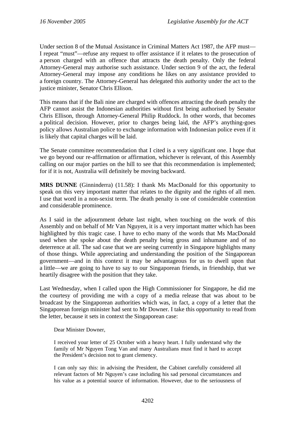Under section 8 of the Mutual Assistance in Criminal Matters Act 1987, the AFP must— I repeat "must"—refuse any request to offer assistance if it relates to the prosecution of a person charged with an offence that attracts the death penalty. Only the federal Attorney-General may authorise such assistance. Under section 9 of the act, the federal Attorney-General may impose any conditions he likes on any assistance provided to a foreign country. The Attorney-General has delegated this authority under the act to the justice minister, Senator Chris Ellison.

This means that if the Bali nine are charged with offences attracting the death penalty the AFP cannot assist the Indonesian authorities without first being authorised by Senator Chris Ellison, through Attorney-General Philip Ruddock. In other words, that becomes a political decision. However, prior to charges being laid, the AFP's anything-goes policy allows Australian police to exchange information with Indonesian police even if it is likely that capital charges will be laid.

The Senate committee recommendation that I cited is a very significant one. I hope that we go beyond our re-affirmation or affirmation, whichever is relevant, of this Assembly calling on our major parties on the hill to see that this recommendation is implemented; for if it is not, Australia will definitely be moving backward.

**MRS DUNNE** (Ginninderra) (11.58): I thank Ms MacDonald for this opportunity to speak on this very important matter that relates to the dignity and the rights of all men. I use that word in a non-sexist term. The death penalty is one of considerable contention and considerable prominence.

As I said in the adjournment debate last night, when touching on the work of this Assembly and on behalf of Mr Van Nguyen, it is a very important matter which has been highlighted by this tragic case. I have to echo many of the words that Ms MacDonald used when she spoke about the death penalty being gross and inhumane and of no deterrence at all. The sad case that we are seeing currently in Singapore highlights many of those things. While appreciating and understanding the position of the Singaporean government—and in this context it may be advantageous for us to dwell upon that a little—we are going to have to say to our Singaporean friends, in friendship, that we heartily disagree with the position that they take.

Last Wednesday, when I called upon the High Commissioner for Singapore, he did me the courtesy of providing me with a copy of a media release that was about to be broadcast by the Singaporean authorities which was, in fact, a copy of a letter that the Singaporean foreign minister had sent to Mr Downer. I take this opportunity to read from the letter, because it sets in context the Singaporean case:

Dear Minister Downer,

I received your letter of 25 October with a heavy heart. I fully understand why the family of Mr Nguyen Tong Van and many Australians must find it hard to accept the President's decision not to grant clemency.

I can only say this: in advising the President, the Cabinet carefully considered all relevant factors of Mr Nguyen's case including his sad personal circumstances and his value as a potential source of information. However, due to the seriousness of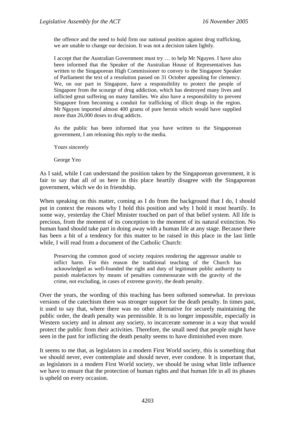the offence and the need to hold firm our national position against drug trafficking, we are unable to change our decision. It was not a decision taken lightly.

I accept that the Australian Government must try … to help Mr Nguyen. I have also been informed that the Speaker of the Australian House of Representatives has written to the Singaporean High Commissioner to convey to the Singapore Speaker of Parliament the text of a resolution passed on 31 October appealing for clemency. We, on our part in Singapore, have a responsibility to protect the people of Singapore from the scourge of drug addiction, which has destroyed many lives and inflicted great suffering on many families. We also have a responsibility to prevent Singapore from becoming a conduit for trafficking of illicit drugs in the region. Mr Nguyen imported almost 400 grams of pure heroin which would have supplied more than 26,000 doses to drug addicts.

As the public has been informed that you have written to the Singaporean government, I am releasing this reply to the media.

Yours sincerely

George Yeo

As I said, while I can understand the position taken by the Singaporean government, it is fair to say that all of us here in this place heartily disagree with the Singaporean government, which we do in friendship.

When speaking on this matter, coming as I do from the background that I do, I should put in context the reasons why I hold this position and why I hold it most heartily. In some way, yesterday the Chief Minister touched on part of that belief system. All life is precious, from the moment of its conception to the moment of its natural extinction. No human hand should take part in doing away with a human life at any stage. Because there has been a bit of a tendency for this matter to be raised in this place in the last little while, I will read from a document of the Catholic Church:

Preserving the common good of society requires rendering the aggressor unable to inflict harm. For this reason the traditional teaching of the Church has acknowledged as well-founded the right and duty of legitimate public authority to punish malefactors by means of penalties commensurate with the gravity of the crime, not excluding, in cases of extreme gravity, the death penalty.

Over the years, the wording of this teaching has been softened somewhat. In previous versions of the catechism there was stronger support for the death penalty. In times past, it used to say that, where there was no other alternative for securely maintaining the public order, the death penalty was permissible. It is no longer impossible, especially in Western society and in almost any society, to incarcerate someone in a way that would protect the public from their activities. Therefore, the small need that people might have seen in the past for inflicting the death penalty seems to have diminished even more.

It seems to me that, as legislators in a modern First World society, this is something that we should never, ever contemplate and should never, ever condone. It is important that, as legislators in a modern First World society, we should be using what little influence we have to ensure that the protection of human rights and that human life in all its phases is upheld on every occasion.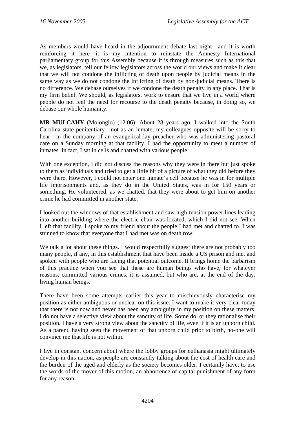As members would have heard in the adjournment debate last night—and it is worth reinforcing it here—it is my intention to reinstate the Amnesty International parliamentary group for this Assembly because it is through measures such as this that we, as legislators, tell our fellow legislators across the world our views and make it clear that we will not condone the inflicting of death upon people by judicial means in the same way as we do not condone the inflicting of death by non-judicial means. There is no difference. We debase ourselves if we condone the death penalty in any place. That is my firm belief. We should, as legislators, work to ensure that we live in a world where people do not feel the need for recourse to the death penalty because, in doing so, we debase our whole humanity.

**MR MULCAHY** (Molonglo) (12.06): About 28 years ago, I walked into the South Carolina state penitentiary—not as an inmate, my colleagues opposite will be sorry to hear—in the company of an evangelical lay preacher who was administering pastoral care on a Sunday morning at that facility. I had the opportunity to meet a number of inmates. In fact, I sat in cells and chatted with various people.

With one exception, I did not discuss the reasons why they were in there but just spoke to them as individuals and tried to get a little bit of a picture of what they did before they were there. However, I could not enter one inmate's cell because he was in for multiple life imprisonments and, as they do in the United States, was in for 150 years or something. He volunteered, as we chatted, that they were about to get him on another crime he had committed in another state.

I looked out the windows of that establishment and saw high-tension power lines leading into another building where the electric chair was located, which I did not see. When I left that facility, I spoke to my friend about the people I had met and chatted to. I was stunned to know that everyone that I had met was on death row.

We talk a lot about these things. I would respectfully suggest there are not probably too many people, if any, in this establishment that have been inside a US prison and met and spoken with people who are facing that potential outcome. It brings home the barbarism of this practice when you see that these are human beings who have, for whatever reasons, committed various crimes, it is assumed, but who are, at the end of the day, living human beings.

There have been some attempts earlier this year to mischievously characterise my position as either ambiguous or unclear on this issue. I want to make it very clear today that there is not now and never has been any ambiguity in my position on these matters. I do not have a selective view about the sanctity of life. Some do, or they rationalise their position. I have a very strong view about the sanctity of life, even if it is an unborn child. As a parent, having seen the movement of that unborn child prior to birth, no-one will convince me that life is not within.

I live in constant concern about where the lobby groups for euthanasia might ultimately develop in this nation, as people are constantly talking about the cost of health care and the burden of the aged and elderly as the society becomes older. I certainly have, to use the words of the mover of this motion, an abhorrence of capital punishment of any form for any reason.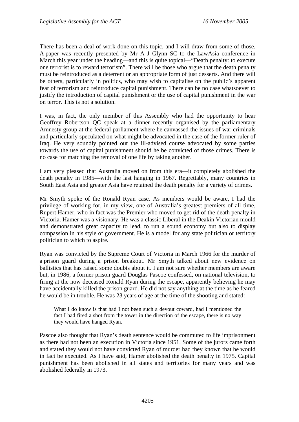There has been a deal of work done on this topic, and I will draw from some of those. A paper was recently presented by Mr A J Glynn SC to the LawAsia conference in March this year under the heading—and this is quite topical—"Death penalty: to execute one terrorist is to reward terrorism". There will be those who argue that the death penalty must be reintroduced as a deterrent or an appropriate form of just desserts. And there will be others, particularly in politics, who may wish to capitalise on the public's apparent fear of terrorism and reintroduce capital punishment. There can be no case whatsoever to justify the introduction of capital punishment or the use of capital punishment in the war on terror. This is not a solution.

I was, in fact, the only member of this Assembly who had the opportunity to hear Geoffrey Robertson QC speak at a dinner recently organised by the parliamentary Amnesty group at the federal parliament where he canvassed the issues of war criminals and particularly speculated on what might be advocated in the case of the former ruler of Iraq. He very soundly pointed out the ill-advised course advocated by some parties towards the use of capital punishment should he be convicted of those crimes. There is no case for matching the removal of one life by taking another.

I am very pleased that Australia moved on from this era—it completely abolished the death penalty in 1985—with the last hanging in 1967. Regrettably, many countries in South East Asia and greater Asia have retained the death penalty for a variety of crimes.

Mr Smyth spoke of the Ronald Ryan case. As members would be aware, I had the privilege of working for, in my view, one of Australia's greatest premiers of all time, Rupert Hamer, who in fact was the Premier who moved to get rid of the death penalty in Victoria. Hamer was a visionary. He was a classic Liberal in the Deakin Victorian mould and demonstrated great capacity to lead, to run a sound economy but also to display compassion in his style of government. He is a model for any state politician or territory politician to which to aspire.

Ryan was convicted by the Supreme Court of Victoria in March 1966 for the murder of a prison guard during a prison breakout. Mr Smyth talked about new evidence on ballistics that has raised some doubts about it. I am not sure whether members are aware but, in 1986, a former prison guard Douglas Pascoe confessed, on national television, to firing at the now deceased Ronald Ryan during the escape, apparently believing he may have accidentally killed the prison guard. He did not say anything at the time as he feared he would be in trouble. He was 23 years of age at the time of the shooting and stated:

What I do know is that had I not been such a devout coward, had I mentioned the fact I had fired a shot from the tower in the direction of the escape, there is no way they would have hanged Ryan.

Pascoe also thought that Ryan's death sentence would be commuted to life imprisonment as there had not been an execution in Victoria since 1951. Some of the jurors came forth and stated they would not have convicted Ryan of murder had they known that he would in fact be executed. As I have said, Hamer abolished the death penalty in 1975. Capital punishment has been abolished in all states and territories for many years and was abolished federally in 1973.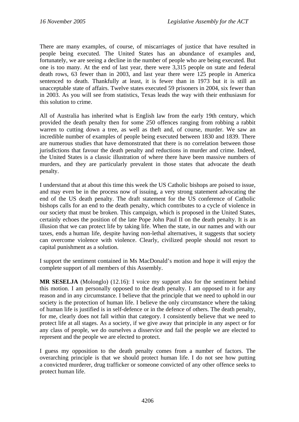There are many examples, of course, of miscarriages of justice that have resulted in people being executed. The United States has an abundance of examples and, fortunately, we are seeing a decline in the number of people who are being executed. But one is too many. At the end of last year, there were 3,315 people on state and federal death rows, 63 fewer than in 2003, and last year there were 125 people in America sentenced to death. Thankfully at least, it is fewer than in 1973 but it is still an unacceptable state of affairs. Twelve states executed 59 prisoners in 2004, six fewer than in 2003. As you will see from statistics, Texas leads the way with their enthusiasm for this solution to crime.

All of Australia has inherited what is English law from the early 19th century, which provided the death penalty then for some 250 offences ranging from robbing a rabbit warren to cutting down a tree, as well as theft and, of course, murder. We saw an incredible number of examples of people being executed between 1830 and 1839. There are numerous studies that have demonstrated that there is no correlation between those jurisdictions that favour the death penalty and reductions in murder and crime. Indeed, the United States is a classic illustration of where there have been massive numbers of murders, and they are particularly prevalent in those states that advocate the death penalty.

I understand that at about this time this week the US Catholic bishops are poised to issue, and may even be in the process now of issuing, a very strong statement advocating the end of the US death penalty. The draft statement for the US conference of Catholic bishops calls for an end to the death penalty, which contributes to a cycle of violence in our society that must be broken. This campaign, which is proposed in the United States, certainly echoes the position of the late Pope John Paul II on the death penalty. It is an illusion that we can protect life by taking life. When the state, in our names and with our taxes, ends a human life, despite having non-lethal alternatives, it suggests that society can overcome violence with violence. Clearly, civilized people should not resort to capital punishment as a solution.

I support the sentiment contained in Ms MacDonald's motion and hope it will enjoy the complete support of all members of this Assembly.

**MR SESELJA** (Molonglo) (12.16): I voice my support also for the sentiment behind this motion. I am personally opposed to the death penalty. I am opposed to it for any reason and in any circumstance. I believe that the principle that we need to uphold in our society is the protection of human life. I believe the only circumstance where the taking of human life is justified is in self-defence or in the defence of others. The death penalty, for me, clearly does not fall within that category. I consistently believe that we need to protect life at all stages. As a society, if we give away that principle in any aspect or for any class of people, we do ourselves a disservice and fail the people we are elected to represent and the people we are elected to protect.

I guess my opposition to the death penalty comes from a number of factors. The overarching principle is that we should protect human life. I do not see how putting a convicted murderer, drug trafficker or someone convicted of any other offence seeks to protect human life.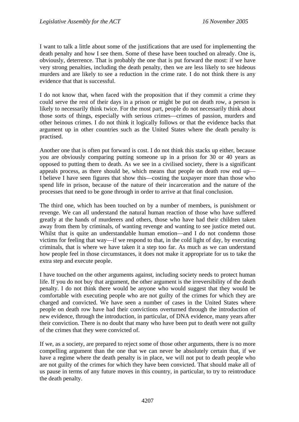I want to talk a little about some of the justifications that are used for implementing the death penalty and how I see them. Some of these have been touched on already. One is, obviously, deterrence. That is probably the one that is put forward the most: if we have very strong penalties, including the death penalty, then we are less likely to see hideous murders and are likely to see a reduction in the crime rate. I do not think there is any evidence that that is successful.

I do not know that, when faced with the proposition that if they commit a crime they could serve the rest of their days in a prison or might be put on death row, a person is likely to necessarily think twice. For the most part, people do not necessarily think about those sorts of things, especially with serious crimes—crimes of passion, murders and other heinous crimes. I do not think it logically follows or that the evidence backs that argument up in other countries such as the United States where the death penalty is practised.

Another one that is often put forward is cost. I do not think this stacks up either, because you are obviously comparing putting someone up in a prison for 30 or 40 years as opposed to putting them to death. As we see in a civilised society, there is a significant appeals process, as there should be, which means that people on death row end up— I believe I have seen figures that show this—costing the taxpayer more than those who spend life in prison, because of the nature of their incarceration and the nature of the processes that need to be gone through in order to arrive at that final conclusion.

The third one, which has been touched on by a number of members, is punishment or revenge. We can all understand the natural human reaction of those who have suffered greatly at the hands of murderers and others, those who have had their children taken away from them by criminals, of wanting revenge and wanting to see justice meted out. Whilst that is quite an understandable human emotion—and I do not condemn those victims for feeling that way—if we respond to that, in the cold light of day, by executing criminals, that is where we have taken it a step too far. As much as we can understand how people feel in those circumstances, it does not make it appropriate for us to take the extra step and execute people.

I have touched on the other arguments against, including society needs to protect human life. If you do not buy that argument, the other argument is the irreversibility of the death penalty. I do not think there would be anyone who would suggest that they would be comfortable with executing people who are not guilty of the crimes for which they are charged and convicted. We have seen a number of cases in the United States where people on death row have had their convictions overturned through the introduction of new evidence, through the introduction, in particular, of DNA evidence, many years after their conviction. There is no doubt that many who have been put to death were not guilty of the crimes that they were convicted of.

If we, as a society, are prepared to reject some of those other arguments, there is no more compelling argument than the one that we can never be absolutely certain that, if we have a regime where the death penalty is in place, we will not put to death people who are not guilty of the crimes for which they have been convicted. That should make all of us pause in terms of any future moves in this country, in particular, to try to reintroduce the death penalty.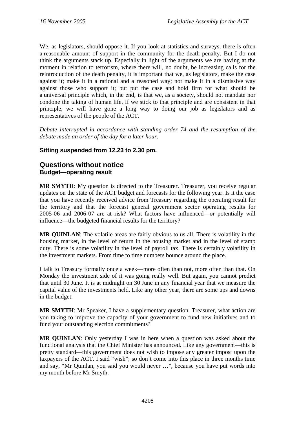<span id="page-29-0"></span>We, as legislators, should oppose it. If you look at statistics and surveys, there is often a reasonable amount of support in the community for the death penalty. But I do not think the arguments stack up. Especially in light of the arguments we are having at the moment in relation to terrorism, where there will, no doubt, be increasing calls for the reintroduction of the death penalty, it is important that we, as legislators, make the case against it; make it in a rational and a reasoned way; not make it in a dismissive way against those who support it; but put the case and hold firm for what should be a universal principle which, in the end, is that we, as a society, should not mandate nor condone the taking of human life. If we stick to that principle and are consistent in that principle, we will have gone a long way to doing our job as legislators and as representatives of the people of the ACT.

*Debate interrupted in accordance with standing order 74 and the resumption of the debate made an order of the day for a later hour.* 

## **Sitting suspended from 12.23 to 2.30 pm.**

## **Questions without notice Budget—operating result**

**MR SMYTH**: My question is directed to the Treasurer. Treasurer, you receive regular updates on the state of the ACT budget and forecasts for the following year. Is it the case that you have recently received advice from Treasury regarding the operating result for the territory and that the forecast general government sector operating results for 2005-06 and 2006-07 are at risk? What factors have influenced—or potentially will influence—the budgeted financial results for the territory?

**MR QUINLAN**: The volatile areas are fairly obvious to us all. There is volatility in the housing market, in the level of return in the housing market and in the level of stamp duty. There is some volatility in the level of payroll tax. There is certainly volatility in the investment markets. From time to time numbers bounce around the place.

I talk to Treasury formally once a week—more often than not, more often than that. On Monday the investment side of it was going really well. But again, you cannot predict that until 30 June. It is at midnight on 30 June in any financial year that we measure the capital value of the investments held. Like any other year, there are some ups and downs in the budget.

**MR SMYTH**: Mr Speaker, I have a supplementary question. Treasurer, what action are you taking to improve the capacity of your government to fund new initiatives and to fund your outstanding election commitments?

**MR QUINLAN**: Only yesterday I was in here when a question was asked about the functional analysis that the Chief Minister has announced. Like any government—this is pretty standard—this government does not wish to impose any greater impost upon the taxpayers of the ACT. I said "wish"; so don't come into this place in three months time and say, "Mr Quinlan, you said you would never …", because you have put words into my mouth before Mr Smyth.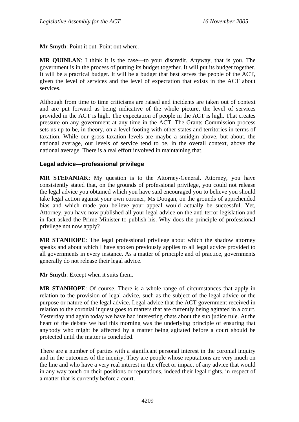<span id="page-30-0"></span>**Mr Smyth**: Point it out. Point out where.

**MR QUINLAN**: I think it is the case—to your discredit. Anyway, that is you. The government is in the process of putting its budget together. It will put its budget together. It will be a practical budget. It will be a budget that best serves the people of the ACT, given the level of services and the level of expectation that exists in the ACT about services.

Although from time to time criticisms are raised and incidents are taken out of context and are put forward as being indicative of the whole picture, the level of services provided in the ACT is high. The expectation of people in the ACT is high. That creates pressure on any government at any time in the ACT. The Grants Commission process sets us up to be, in theory, on a level footing with other states and territories in terms of taxation. While our gross taxation levels are maybe a smidgin above, but about, the national average, our levels of service tend to be, in the overall context, above the national average. There is a real effort involved in maintaining that.

## **Legal advice—professional privilege**

**MR STEFANIAK**: My question is to the Attorney-General. Attorney, you have consistently stated that, on the grounds of professional privilege, you could not release the legal advice you obtained which you have said encouraged you to believe you should take legal action against your own coroner, Ms Doogan, on the grounds of apprehended bias and which made you believe your appeal would actually be successful. Yet, Attorney, you have now published all your legal advice on the anti-terror legislation and in fact asked the Prime Minister to publish his. Why does the principle of professional privilege not now apply?

**MR STANHOPE**: The legal professional privilege about which the shadow attorney speaks and about which I have spoken previously applies to all legal advice provided to all governments in every instance. As a matter of principle and of practice, governments generally do not release their legal advice.

**Mr Smyth**: Except when it suits them.

**MR STANHOPE**: Of course. There is a whole range of circumstances that apply in relation to the provision of legal advice, such as the subject of the legal advice or the purpose or nature of the legal advice. Legal advice that the ACT government received in relation to the coronial inquest goes to matters that are currently being agitated in a court. Yesterday and again today we have had interesting chats about the sub judice rule. At the heart of the debate we had this morning was the underlying principle of ensuring that anybody who might be affected by a matter being agitated before a court should be protected until the matter is concluded.

There are a number of parties with a significant personal interest in the coronial inquiry and in the outcomes of the inquiry. They are people whose reputations are very much on the line and who have a very real interest in the effect or impact of any advice that would in any way touch on their positions or reputations, indeed their legal rights, in respect of a matter that is currently before a court.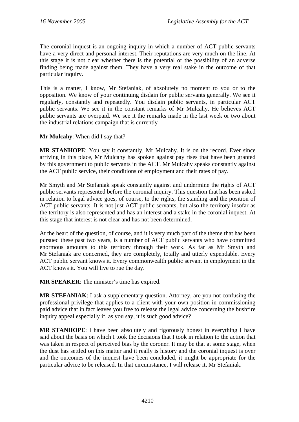The coronial inquest is an ongoing inquiry in which a number of ACT public servants have a very direct and personal interest. Their reputations are very much on the line. At this stage it is not clear whether there is the potential or the possibility of an adverse finding being made against them. They have a very real stake in the outcome of that particular inquiry.

This is a matter, I know, Mr Stefaniak, of absolutely no moment to you or to the opposition. We know of your continuing disdain for public servants generally. We see it regularly, constantly and repeatedly. You disdain public servants, in particular ACT public servants. We see it in the constant remarks of Mr Mulcahy. He believes ACT public servants are overpaid. We see it the remarks made in the last week or two about the industrial relations campaign that is currently—

**Mr Mulcahy**: When did I say that?

**MR STANHOPE**: You say it constantly, Mr Mulcahy. It is on the record. Ever since arriving in this place, Mr Mulcahy has spoken against pay rises that have been granted by this government to public servants in the ACT. Mr Mulcahy speaks constantly against the ACT public service, their conditions of employment and their rates of pay.

Mr Smyth and Mr Stefaniak speak constantly against and undermine the rights of ACT public servants represented before the coronial inquiry. This question that has been asked in relation to legal advice goes, of course, to the rights, the standing and the position of ACT public servants. It is not just ACT public servants, but also the territory insofar as the territory is also represented and has an interest and a stake in the coronial inquest. At this stage that interest is not clear and has not been determined.

At the heart of the question, of course, and it is very much part of the theme that has been pursued these past two years, is a number of ACT public servants who have committed enormous amounts to this territory through their work. As far as Mr Smyth and Mr Stefaniak are concerned, they are completely, totally and utterly expendable. Every ACT public servant knows it. Every commonwealth public servant in employment in the ACT knows it. You will live to rue the day.

**MR SPEAKER**: The minister's time has expired.

**MR STEFANIAK**: I ask a supplementary question. Attorney, are you not confusing the professional privilege that applies to a client with your own position in commissioning paid advice that in fact leaves you free to release the legal advice concerning the bushfire inquiry appeal especially if, as you say, it is such good advice?

**MR STANHOPE**: I have been absolutely and rigorously honest in everything I have said about the basis on which I took the decisions that I took in relation to the action that was taken in respect of perceived bias by the coroner. It may be that at some stage, when the dust has settled on this matter and it really is history and the coronial inquest is over and the outcomes of the inquest have been concluded, it might be appropriate for the particular advice to be released. In that circumstance, I will release it, Mr Stefaniak.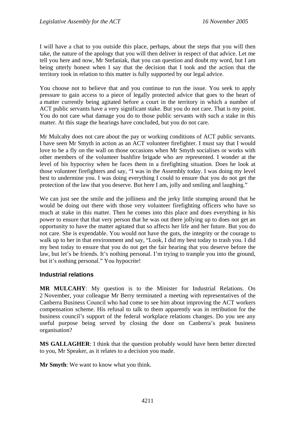<span id="page-32-0"></span>I will have a chat to you outside this place, perhaps, about the steps that you will then take, the nature of the apology that you will then deliver in respect of that advice. Let me tell you here and now, Mr Stefaniak, that you can question and doubt my word, but I am being utterly honest when I say that the decision that I took and the action that the territory took in relation to this matter is fully supported by our legal advice.

You choose not to believe that and you continue to run the issue. You seek to apply pressure to gain access to a piece of legally protected advice that goes to the heart of a matter currently being agitated before a court in the territory in which a number of ACT public servants have a very significant stake. But you do not care. That is my point. You do not care what damage you do to those public servants with such a stake in this matter. At this stage the hearings have concluded, but you do not care.

Mr Mulcahy does not care about the pay or working conditions of ACT public servants. I have seen Mr Smyth in action as an ACT volunteer firefighter. I must say that I would love to be a fly on the wall on those occasions when Mr Smyth socialises or works with other members of the volunteer bushfire brigade who are represented. I wonder at the level of his hypocrisy when he faces them in a firefighting situation. Does he look at those volunteer firefighters and say, "I was in the Assembly today. I was doing my level best to undermine you. I was doing everything I could to ensure that you do not get the protection of the law that you deserve. But here I am, jolly and smiling and laughing."

We can just see the smile and the jolliness and the jerky little stumping around that he would be doing out there with those very volunteer firefighting officers who have so much at stake in this matter. Then he comes into this place and does everything in his power to ensure that that very person that he was out there jollying up to does not get an opportunity to have the matter agitated that so affects her life and her future. But you do not care. She is expendable. You would not have the guts, the integrity or the courage to walk up to her in that environment and say, "Look, I did my best today to trash you. I did my best today to ensure that you do not get the fair hearing that you deserve before the law, but let's be friends. It's nothing personal. I'm trying to trample you into the ground, but it's nothing personal." You hypocrite!

### **Industrial relations**

**MR MULCAHY**: My question is to the Minister for Industrial Relations. On 2 November, your colleague Mr Berry terminated a meeting with representatives of the Canberra Business Council who had come to see him about improving the ACT workers compensation scheme. His refusal to talk to them apparently was in retribution for the business council's support of the federal workplace relations changes. Do you see any useful purpose being served by closing the door on Canberra's peak business organisation?

**MS GALLAGHER**: I think that the question probably would have been better directed to you, Mr Speaker, as it relates to a decision you made.

**Mr Smyth**: We want to know what you think.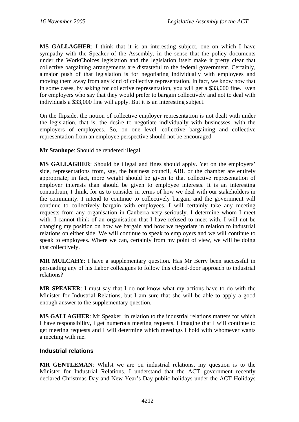<span id="page-33-0"></span>**MS GALLAGHER**: I think that it is an interesting subject, one on which I have sympathy with the Speaker of the Assembly, in the sense that the policy documents under the WorkChoices legislation and the legislation itself make it pretty clear that collective bargaining arrangements are distasteful to the federal government. Certainly, a major push of that legislation is for negotiating individually with employees and moving them away from any kind of collective representation. In fact, we know now that in some cases, by asking for collective representation, you will get a \$33,000 fine. Even for employers who say that they would prefer to bargain collectively and not to deal with individuals a \$33,000 fine will apply. But it is an interesting subject.

On the flipside, the notion of collective employer representation is not dealt with under the legislation, that is, the desire to negotiate individually with businesses, with the employers of employees. So, on one level, collective bargaining and collective representation from an employee perspective should not be encouraged—

**Mr Stanhope**: Should be rendered illegal.

**MS GALLAGHER**: Should be illegal and fines should apply. Yet on the employers' side, representations from, say, the business council, ABL or the chamber are entirely appropriate; in fact, more weight should be given to that collective representation of employer interests than should be given to employee interests. It is an interesting conundrum, I think, for us to consider in terms of how we deal with our stakeholders in the community. I intend to continue to collectively bargain and the government will continue to collectively bargain with employees. I will certainly take any meeting requests from any organisation in Canberra very seriously. I determine whom I meet with. I cannot think of an organisation that I have refused to meet with. I will not be changing my position on how we bargain and how we negotiate in relation to industrial relations on either side. We will continue to speak to employers and we will continue to speak to employees. Where we can, certainly from my point of view, we will be doing that collectively.

**MR MULCAHY**: I have a supplementary question. Has Mr Berry been successful in persuading any of his Labor colleagues to follow this closed-door approach to industrial relations?

**MR SPEAKER**: I must say that I do not know what my actions have to do with the Minister for Industrial Relations, but I am sure that she will be able to apply a good enough answer to the supplementary question.

**MS GALLAGHER**: Mr Speaker, in relation to the industrial relations matters for which I have responsibility, I get numerous meeting requests. I imagine that I will continue to get meeting requests and I will determine which meetings I hold with whomever wants a meeting with me.

### **Industrial relations**

**MR GENTLEMAN**: Whilst we are on industrial relations, my question is to the Minister for Industrial Relations. I understand that the ACT government recently declared Christmas Day and New Year's Day public holidays under the ACT Holidays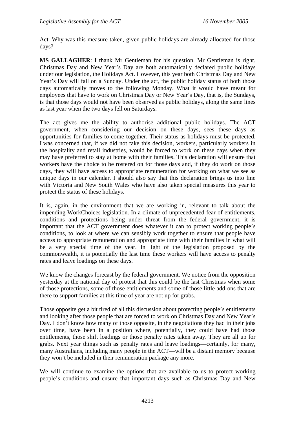Act. Why was this measure taken, given public holidays are already allocated for those days?

**MS GALLAGHER**: I thank Mr Gentleman for his question. Mr Gentleman is right. Christmas Day and New Year's Day are both automatically declared public holidays under our legislation, the Holidays Act. However, this year both Christmas Day and New Year's Day will fall on a Sunday. Under the act, the public holiday status of both those days automatically moves to the following Monday. What it would have meant for employees that have to work on Christmas Day or New Year's Day, that is, the Sundays, is that those days would not have been observed as public holidays, along the same lines as last year when the two days fell on Saturdays.

The act gives me the ability to authorise additional public holidays. The ACT government, when considering our decision on these days, sees these days as opportunities for families to come together. Their status as holidays must be protected. I was concerned that, if we did not take this decision, workers, particularly workers in the hospitality and retail industries, would be forced to work on these days when they may have preferred to stay at home with their families. This declaration will ensure that workers have the choice to be rostered on for those days and, if they do work on those days, they will have access to appropriate remuneration for working on what we see as unique days in our calendar. I should also say that this declaration brings us into line with Victoria and New South Wales who have also taken special measures this year to protect the status of these holidays.

It is, again, in the environment that we are working in, relevant to talk about the impending WorkChoices legislation. In a climate of unprecedented fear of entitlements, conditions and protections being under threat from the federal government, it is important that the ACT government does whatever it can to protect working people's conditions, to look at where we can sensibly work together to ensure that people have access to appropriate remuneration and appropriate time with their families in what will be a very special time of the year. In light of the legislation proposed by the commonwealth, it is potentially the last time these workers will have access to penalty rates and leave loadings on these days.

We know the changes forecast by the federal government. We notice from the opposition yesterday at the national day of protest that this could be the last Christmas when some of those protections, some of those entitlements and some of those little add-ons that are there to support families at this time of year are not up for grabs.

Those opposite get a bit tired of all this discussion about protecting people's entitlements and looking after those people that are forced to work on Christmas Day and New Year's Day. I don't know how many of those opposite, in the negotiations they had in their jobs over time, have been in a position where, potentially, they could have had those entitlements, those shift loadings or those penalty rates taken away. They are all up for grabs. Next year things such as penalty rates and leave loadings—certainly, for many, many Australians, including many people in the ACT—will be a distant memory because they won't be included in their remuneration package any more.

We will continue to examine the options that are available to us to protect working people's conditions and ensure that important days such as Christmas Day and New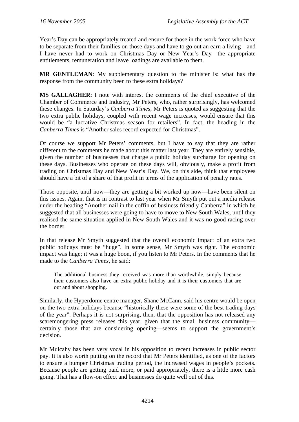Year's Day can be appropriately treated and ensure for those in the work force who have to be separate from their families on those days and have to go out an earn a living—and I have never had to work on Christmas Day or New Year's Day—the appropriate entitlements, remuneration and leave loadings are available to them.

**MR GENTLEMAN**: My supplementary question to the minister is: what has the response from the community been to these extra holidays?

**MS GALLAGHER**: I note with interest the comments of the chief executive of the Chamber of Commerce and Industry, Mr Peters, who, rather surprisingly, has welcomed these changes. In Saturday's *Canberra Times*, Mr Peters is quoted as suggesting that the two extra public holidays, coupled with recent wage increases, would ensure that this would be "a lucrative Christmas season for retailers". In fact, the heading in the *Canberra Times* is "Another sales record expected for Christmas".

Of course we support Mr Peters' comments, but I have to say that they are rather different to the comments he made about this matter last year. They are entirely sensible, given the number of businesses that charge a public holiday surcharge for opening on these days. Businesses who operate on these days will, obviously, make a profit from trading on Christmas Day and New Year's Day. We, on this side, think that employees should have a bit of a share of that profit in terms of the application of penalty rates.

Those opposite, until now—they are getting a bit worked up now—have been silent on this issues. Again, that is in contrast to last year when Mr Smyth put out a media release under the heading "Another nail in the coffin of business friendly Canberra" in which he suggested that all businesses were going to have to move to New South Wales, until they realised the same situation applied in New South Wales and it was no good racing over the border.

In that release Mr Smyth suggested that the overall economic impact of an extra two public holidays must be "huge". In some sense, Mr Smyth was right. The economic impact was huge; it was a huge boon, if you listen to Mr Peters. In the comments that he made to the *Canberra Times*, he said:

The additional business they received was more than worthwhile, simply because their customers also have an extra public holiday and it is their customers that are out and about shopping.

Similarly, the Hyperdome centre manager, Shane McCann, said his centre would be open on the two extra holidays because "historically these were some of the best trading days of the year". Perhaps it is not surprising, then, that the opposition has not released any scaremongering press releases this year, given that the small business community certainly those that are considering opening—seems to support the government's decision.

Mr Mulcahy has been very vocal in his opposition to recent increases in public sector pay. It is also worth putting on the record that Mr Peters identified, as one of the factors to ensure a bumper Christmas trading period, the increased wages in people's pockets. Because people are getting paid more, or paid appropriately, there is a little more cash going. That has a flow-on effect and businesses do quite well out of this.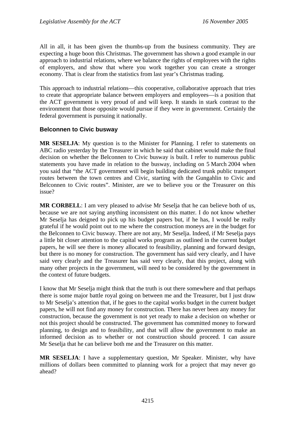All in all, it has been given the thumbs-up from the business community. They are expecting a huge boon this Christmas. The government has shown a good example in our approach to industrial relations, where we balance the rights of employees with the rights of employers, and show that where you work together you can create a stronger economy. That is clear from the statistics from last year's Christmas trading.

This approach to industrial relations—this cooperative, collaborative approach that tries to create that appropriate balance between employers and employees—is a position that the ACT government is very proud of and will keep. It stands in stark contrast to the environment that those opposite would pursue if they were in government. Certainly the federal government is pursuing it nationally.

# **Belconnen to Civic busway**

**MR SESELJA**: My question is to the Minister for Planning. I refer to statements on ABC radio yesterday by the Treasurer in which he said that cabinet would make the final decision on whether the Belconnen to Civic busway is built. I refer to numerous public statements you have made in relation to the busway, including on 5 March 2004 when you said that "the ACT government will begin building dedicated trunk public transport routes between the town centres and Civic, starting with the Gungahlin to Civic and Belconnen to Civic routes". Minister, are we to believe you or the Treasurer on this issue?

**MR CORBELL**: I am very pleased to advise Mr Seselja that he can believe both of us, because we are not saying anything inconsistent on this matter. I do not know whether Mr Seselja has deigned to pick up his budget papers but, if he has, I would be really grateful if he would point out to me where the construction moneys are in the budget for the Belconnen to Civic busway. There are not any, Mr Seselja. Indeed, if Mr Seselja pays a little bit closer attention to the capital works program as outlined in the current budget papers, he will see there is money allocated to feasibility, planning and forward design, but there is no money for construction. The government has said very clearly, and I have said very clearly and the Treasurer has said very clearly, that this project, along with many other projects in the government, will need to be considered by the government in the context of future budgets.

I know that Mr Seselja might think that the truth is out there somewhere and that perhaps there is some major battle royal going on between me and the Treasurer, but I just draw to Mr Seselja's attention that, if he goes to the capital works budget in the current budget papers, he will not find any money for construction. There has never been any money for construction, because the government is not yet ready to make a decision on whether or not this project should be constructed. The government has committed money to forward planning, to design and to feasibility, and that will allow the government to make an informed decision as to whether or not construction should proceed. I can assure Mr Seselja that he can believe both me and the Treasurer on this matter.

**MR SESELJA**: I have a supplementary question, Mr Speaker. Minister, why have millions of dollars been committed to planning work for a project that may never go ahead?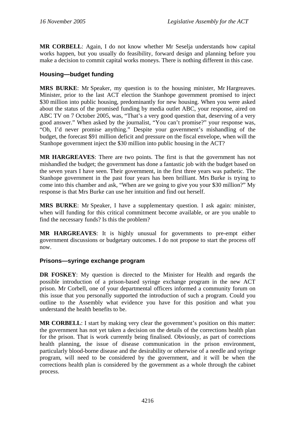**MR CORBELL**: Again, I do not know whether Mr Seselja understands how capital works happen, but you usually do feasibility, forward design and planning before you make a decision to commit capital works moneys. There is nothing different in this case.

# **Housing—budget funding**

**MRS BURKE**: Mr Speaker, my question is to the housing minister, Mr Hargreaves. Minister, prior to the last ACT election the Stanhope government promised to inject \$30 million into public housing, predominantly for new housing. When you were asked about the status of the promised funding by media outlet ABC, your response, aired on ABC TV on 7 October 2005, was, "That's a very good question that, deserving of a very good answer." When asked by the journalist, "You can't promise?" your response was, "Oh, I'd never promise anything." Despite your government's mishandling of the budget, the forecast \$91 million deficit and pressure on the fiscal envelope, when will the Stanhope government inject the \$30 million into public housing in the ACT?

**MR HARGREAVES**: There are two points. The first is that the government has not mishandled the budget; the government has done a fantastic job with the budget based on the seven years I have seen. Their government, in the first three years was pathetic. The Stanhope government in the past four years has been brilliant. Mrs Burke is trying to come into this chamber and ask, "When are we going to give you your \$30 million?" My response is that Mrs Burke can use her intuition and find out herself.

**MRS BURKE**: Mr Speaker, I have a supplementary question. I ask again: minister, when will funding for this critical commitment become available, or are you unable to find the necessary funds? Is this the problem?

**MR HARGREAVES**: It is highly unusual for governments to pre-empt either government discussions or budgetary outcomes. I do not propose to start the process off now.

# **Prisons—syringe exchange program**

**DR FOSKEY**: My question is directed to the Minister for Health and regards the possible introduction of a prison-based syringe exchange program in the new ACT prison. Mr Corbell, one of your departmental officers informed a community forum on this issue that you personally supported the introduction of such a program. Could you outline to the Assembly what evidence you have for this position and what you understand the health benefits to be.

**MR CORBELL**: I start by making very clear the government's position on this matter: the government has not yet taken a decision on the details of the corrections health plan for the prison. That is work currently being finalised. Obviously, as part of corrections health planning, the issue of disease communication in the prison environment, particularly blood-borne disease and the desirability or otherwise of a needle and syringe program, will need to be considered by the government, and it will be when the corrections health plan is considered by the government as a whole through the cabinet process.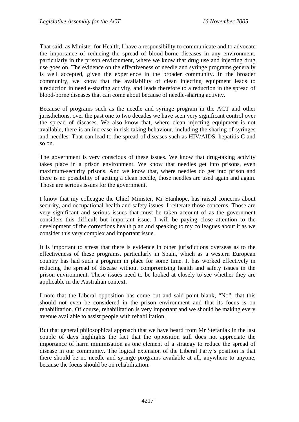That said, as Minister for Health, I have a responsibility to communicate and to advocate the importance of reducing the spread of blood-borne diseases in any environment, particularly in the prison environment, where we know that drug use and injecting drug use goes on. The evidence on the effectiveness of needle and syringe programs generally is well accepted, given the experience in the broader community. In the broader community, we know that the availability of clean injecting equipment leads to a reduction in needle-sharing activity, and leads therefore to a reduction in the spread of blood-borne diseases that can come about because of needle-sharing activity.

Because of programs such as the needle and syringe program in the ACT and other jurisdictions, over the past one to two decades we have seen very significant control over the spread of diseases. We also know that, where clean injecting equipment is not available, there is an increase in risk-taking behaviour, including the sharing of syringes and needles. That can lead to the spread of diseases such as HIV/AIDS, hepatitis C and so on.

The government is very conscious of these issues. We know that drug-taking activity takes place in a prison environment. We know that needles get into prisons, even maximum-security prisons. And we know that, where needles do get into prison and there is no possibility of getting a clean needle, those needles are used again and again. Those are serious issues for the government.

I know that my colleague the Chief Minister, Mr Stanhope, has raised concerns about security, and occupational health and safety issues. I reiterate those concerns. Those are very significant and serious issues that must be taken account of as the government considers this difficult but important issue. I will be paying close attention to the development of the corrections health plan and speaking to my colleagues about it as we consider this very complex and important issue.

It is important to stress that there is evidence in other jurisdictions overseas as to the effectiveness of these programs, particularly in Spain, which as a western European country has had such a program in place for some time. It has worked effectively in reducing the spread of disease without compromising health and safety issues in the prison environment. These issues need to be looked at closely to see whether they are applicable in the Australian context.

I note that the Liberal opposition has come out and said point blank, "No", that this should not even be considered in the prison environment and that its focus is on rehabilitation. Of course, rehabilitation is very important and we should be making every avenue available to assist people with rehabilitation.

But that general philosophical approach that we have heard from Mr Stefaniak in the last couple of days highlights the fact that the opposition still does not appreciate the importance of harm minimisation as one element of a strategy to reduce the spread of disease in our community. The logical extension of the Liberal Party's position is that there should be no needle and syringe programs available at all, anywhere to anyone, because the focus should be on rehabilitation.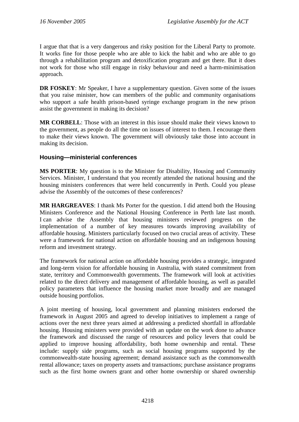I argue that that is a very dangerous and risky position for the Liberal Party to promote. It works fine for those people who are able to kick the habit and who are able to go through a rehabilitation program and detoxification program and get there. But it does not work for those who still engage in risky behaviour and need a harm-minimisation approach.

**DR FOSKEY:** Mr Speaker, I have a supplementary question. Given some of the issues that you raise minister, how can members of the public and community organisations who support a safe health prison-based syringe exchange program in the new prison assist the government in making its decision?

**MR CORBELL**: Those with an interest in this issue should make their views known to the government, as people do all the time on issues of interest to them. I encourage them to make their views known. The government will obviously take those into account in making its decision.

# **Housing—ministerial conferences**

**MS PORTER**: My question is to the Minister for Disability, Housing and Community Services. Minister, I understand that you recently attended the national housing and the housing ministers conferences that were held concurrently in Perth. Could you please advise the Assembly of the outcomes of these conferences?

**MR HARGREAVES**: I thank Ms Porter for the question. I did attend both the Housing Ministers Conference and the National Housing Conference in Perth late last month. I can advise the Assembly that housing ministers reviewed progress on the implementation of a number of key measures towards improving availability of affordable housing. Ministers particularly focused on two crucial areas of activity. These were a framework for national action on affordable housing and an indigenous housing reform and investment strategy.

The framework for national action on affordable housing provides a strategic, integrated and long-term vision for affordable housing in Australia, with stated commitment from state, territory and Commonwealth governments. The framework will look at activities related to the direct delivery and management of affordable housing, as well as parallel policy parameters that influence the housing market more broadly and are managed outside housing portfolios.

A joint meeting of housing, local government and planning ministers endorsed the framework in August 2005 and agreed to develop initiatives to implement a range of actions over the next three years aimed at addressing a predicted shortfall in affordable housing. Housing ministers were provided with an update on the work done to advance the framework and discussed the range of resources and policy levers that could be applied to improve housing affordability, both home ownership and rental. These include: supply side programs, such as social housing programs supported by the commonwealth-state housing agreement; demand assistance such as the commonwealth rental allowance; taxes on property assets and transactions; purchase assistance programs such as the first home owners grant and other home ownership or shared ownership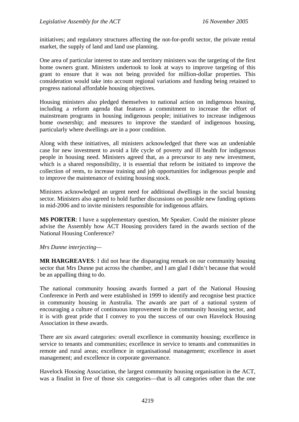initiatives; and regulatory structures affecting the not-for-profit sector, the private rental market, the supply of land and land use planning.

One area of particular interest to state and territory ministers was the targeting of the first home owners grant. Ministers undertook to look at ways to improve targeting of this grant to ensure that it was not being provided for million-dollar properties. This consideration would take into account regional variations and funding being retained to progress national affordable housing objectives.

Housing ministers also pledged themselves to national action on indigenous housing, including a reform agenda that features a commitment to increase the effort of mainstream programs in housing indigenous people; initiatives to increase indigenous home ownership; and measures to improve the standard of indigenous housing, particularly where dwellings are in a poor condition.

Along with these initiatives, all ministers acknowledged that there was an undeniable case for new investment to avoid a life cycle of poverty and ill health for indigenous people in housing need. Ministers agreed that, as a precursor to any new investment, which is a shared responsibility, it is essential that reform be initiated to improve the collection of rents, to increase training and job opportunities for indigenous people and to improve the maintenance of existing housing stock.

Ministers acknowledged an urgent need for additional dwellings in the social housing sector. Ministers also agreed to hold further discussions on possible new funding options in mid-2006 and to invite ministers responsible for indigenous affairs.

**MS PORTER**: I have a supplementary question, Mr Speaker. Could the minister please advise the Assembly how ACT Housing providers fared in the awards section of the National Housing Conference?

## *Mrs Dunne interjecting—*

**MR HARGREAVES**: I did not hear the disparaging remark on our community housing sector that Mrs Dunne put across the chamber, and I am glad I didn't because that would be an appalling thing to do.

The national community housing awards formed a part of the National Housing Conference in Perth and were established in 1999 to identify and recognise best practice in community housing in Australia. The awards are part of a national system of encouraging a culture of continuous improvement in the community housing sector, and it is with great pride that I convey to you the success of our own Havelock Housing Association in these awards.

There are six award categories: overall excellence in community housing; excellence in service to tenants and communities; excellence in service to tenants and communities in remote and rural areas; excellence in organisational management; excellence in asset management; and excellence in corporate governance.

Havelock Housing Association, the largest community housing organisation in the ACT, was a finalist in five of those six categories—that is all categories other than the one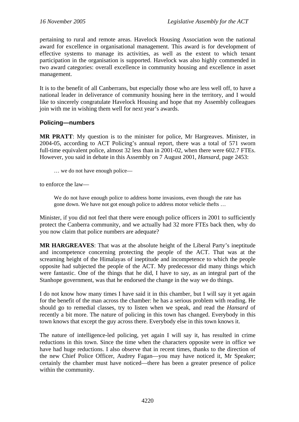pertaining to rural and remote areas. Havelock Housing Association won the national award for excellence in organisational management. This award is for development of effective systems to manage its activities, as well as the extent to which tenant participation in the organisation is supported. Havelock was also highly commended in two award categories: overall excellence in community housing and excellence in asset management.

It is to the benefit of all Canberrans, but especially those who are less well off, to have a national leader in deliverance of community housing here in the territory, and I would like to sincerely congratulate Havelock Housing and hope that my Assembly colleagues join with me in wishing them well for next year's awards.

## **Policing—numbers**

**MR PRATT**: My question is to the minister for police, Mr Hargreaves. Minister, in 2004-05, according to ACT Policing's annual report, there was a total of 571 sworn full-time equivalent police, almost 32 less than in 2001-02, when there were 602.7 FTEs. However, you said in debate in this Assembly on 7 August 2001, *Hansard*, page 2453:

… we do not have enough police—

to enforce the law—

We do not have enough police to address home invasions, even though the rate has gone down. We have not got enough police to address motor vehicle thefts …

Minister, if you did not feel that there were enough police officers in 2001 to sufficiently protect the Canberra community, and we actually had 32 more FTEs back then, why do you now claim that police numbers are adequate?

**MR HARGREAVES**: That was at the absolute height of the Liberal Party's ineptitude and incompetence concerning protecting the people of the ACT. That was at the screaming height of the Himalayas of ineptitude and incompetence to which the people opposite had subjected the people of the ACT. My predecessor did many things which were fantastic. One of the things that he did, I have to say, as an integral part of the Stanhope government, was that he endorsed the change in the way we do things.

I do not know how many times I have said it in this chamber, but I will say it yet again for the benefit of the man across the chamber: he has a serious problem with reading. He should go to remedial classes, try to listen when we speak, and read the *Hansard* of recently a bit more. The nature of policing in this town has changed. Everybody in this town knows that except the guy across there. Everybody else in this town knows it.

The nature of intelligence-led policing, yet again I will say it, has resulted in crime reductions in this town. Since the time when the characters opposite were in office we have had huge reductions. I also observe that in recent times, thanks to the direction of the new Chief Police Officer, Audrey Fagan—you may have noticed it, Mr Speaker; certainly the chamber must have noticed—there has been a greater presence of police within the community.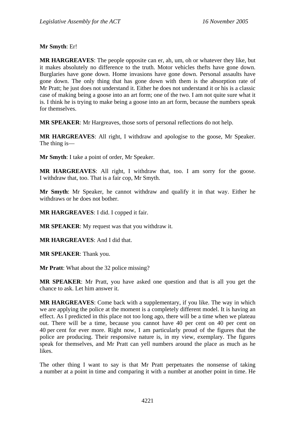**Mr Smyth**: Er!

**MR HARGREAVES**: The people opposite can er, ah, um, oh or whatever they like, but it makes absolutely no difference to the truth. Motor vehicles thefts have gone down. Burglaries have gone down. Home invasions have gone down. Personal assaults have gone down. The only thing that has gone down with them is the absorption rate of Mr Pratt; he just does not understand it. Either he does not understand it or his is a classic case of making being a goose into an art form; one of the two. I am not quite sure what it is. I think he is trying to make being a goose into an art form, because the numbers speak for themselves.

**MR SPEAKER**: Mr Hargreaves, those sorts of personal reflections do not help.

**MR HARGREAVES**: All right, I withdraw and apologise to the goose, Mr Speaker. The thing is—

**Mr Smyth**: I take a point of order, Mr Speaker.

**MR HARGREAVES**: All right, I withdraw that, too. I am sorry for the goose. I withdraw that, too. That is a fair cop, Mr Smyth.

**Mr Smyth**: Mr Speaker, he cannot withdraw and qualify it in that way. Either he withdraws or he does not bother.

**MR HARGREAVES**: I did. I copped it fair.

**MR SPEAKER**: My request was that you withdraw it.

**MR HARGREAVES**: And I did that.

**MR SPEAKER**: Thank you.

**Mr Pratt**: What about the 32 police missing?

**MR SPEAKER**: Mr Pratt, you have asked one question and that is all you get the chance to ask. Let him answer it.

**MR HARGREAVES**: Come back with a supplementary, if you like. The way in which we are applying the police at the moment is a completely different model. It is having an effect. As I predicted in this place not too long ago, there will be a time when we plateau out. There will be a time, because you cannot have 40 per cent on 40 per cent on 40 per cent for ever more. Right now, I am particularly proud of the figures that the police are producing. Their responsive nature is, in my view, exemplary. The figures speak for themselves, and Mr Pratt can yell numbers around the place as much as he likes.

The other thing I want to say is that Mr Pratt perpetuates the nonsense of taking a number at a point in time and comparing it with a number at another point in time. He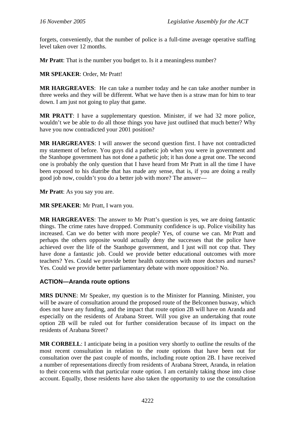forgets, conveniently, that the number of police is a full-time average operative staffing level taken over 12 months.

**Mr Pratt**: That is the number you budget to. Is it a meaningless number?

**MR SPEAKER**: Order, Mr Pratt!

**MR HARGREAVES**: He can take a number today and he can take another number in three weeks and they will be different. What we have then is a straw man for him to tear down. I am just not going to play that game.

**MR PRATT**: I have a supplementary question. Minister, if we had 32 more police, wouldn't we be able to do all those things you have just outlined that much better? Why have you now contradicted your 2001 position?

**MR HARGREAVES**: I will answer the second question first. I have not contradicted my statement of before. You guys did a pathetic job when you were in government and the Stanhope government has not done a pathetic job; it has done a great one. The second one is probably the only question that I have heard from Mr Pratt in all the time I have been exposed to his diatribe that has made any sense, that is, if you are doing a really good job now, couldn't you do a better job with more? The answer—

**Mr Pratt**: As you say you are.

**MR SPEAKER**: Mr Pratt, I warn you.

**MR HARGREAVES**: The answer to Mr Pratt's question is yes, we are doing fantastic things. The crime rates have dropped. Community confidence is up. Police visibility has increased. Can we do better with more people? Yes, of course we can. Mr Pratt and perhaps the others opposite would actually deny the successes that the police have achieved over the life of the Stanhope government, and I just will not cop that. They have done a fantastic job. Could we provide better educational outcomes with more teachers? Yes. Could we provide better health outcomes with more doctors and nurses? Yes. Could we provide better parliamentary debate with more opposition? No.

## **ACTION—Aranda route options**

**MRS DUNNE**: Mr Speaker, my question is to the Minister for Planning. Minister, you will be aware of consultation around the proposed route of the Belconnen busway, which does not have any funding, and the impact that route option 2B will have on Aranda and especially on the residents of Arabana Street. Will you give an undertaking that route option 2B will be ruled out for further consideration because of its impact on the residents of Arabana Street?

**MR CORBELL**: I anticipate being in a position very shortly to outline the results of the most recent consultation in relation to the route options that have been out for consultation over the past couple of months, including route option 2B. I have received a number of representations directly from residents of Arabana Street, Aranda, in relation to their concerns with that particular route option. I am certainly taking those into close account. Equally, those residents have also taken the opportunity to use the consultation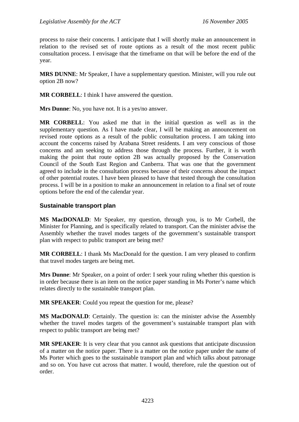process to raise their concerns. I anticipate that I will shortly make an announcement in relation to the revised set of route options as a result of the most recent public consultation process. I envisage that the timeframe on that will be before the end of the year.

**MRS DUNNE**: Mr Speaker, I have a supplementary question. Minister, will you rule out option 2B now?

**MR CORBELL**: I think I have answered the question.

**Mrs Dunne**: No, you have not. It is a yes/no answer.

**MR CORBELL**: You asked me that in the initial question as well as in the supplementary question. As I have made clear, I will be making an announcement on revised route options as a result of the public consultation process. I am taking into account the concerns raised by Arabana Street residents. I am very conscious of those concerns and am seeking to address those through the process. Further, it is worth making the point that route option 2B was actually proposed by the Conservation Council of the South East Region and Canberra. That was one that the government agreed to include in the consultation process because of their concerns about the impact of other potential routes. I have been pleased to have that tested through the consultation process. I will be in a position to make an announcement in relation to a final set of route options before the end of the calendar year.

## **Sustainable transport plan**

**MS MacDONALD**: Mr Speaker, my question, through you, is to Mr Corbell, the Minister for Planning, and is specifically related to transport. Can the minister advise the Assembly whether the travel modes targets of the government's sustainable transport plan with respect to public transport are being met?

**MR CORBELL**: I thank Ms MacDonald for the question. I am very pleased to confirm that travel modes targets are being met.

**Mrs Dunne**: Mr Speaker, on a point of order: I seek your ruling whether this question is in order because there is an item on the notice paper standing in Ms Porter's name which relates directly to the sustainable transport plan.

**MR SPEAKER**: Could you repeat the question for me, please?

**MS MacDONALD:** Certainly. The question is: can the minister advise the Assembly whether the travel modes targets of the government's sustainable transport plan with respect to public transport are being met?

**MR SPEAKER**: It is very clear that you cannot ask questions that anticipate discussion of a matter on the notice paper. There is a matter on the notice paper under the name of Ms Porter which goes to the sustainable transport plan and which talks about patronage and so on. You have cut across that matter. I would, therefore, rule the question out of order.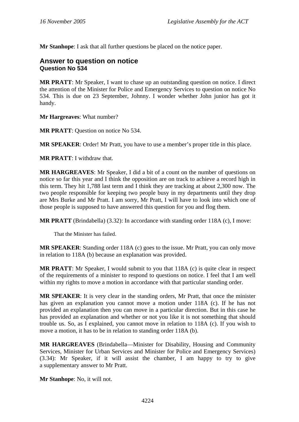**Mr Stanhope**: I ask that all further questions be placed on the notice paper.

# **Answer to question on notice Question No 534**

**MR PRATT**: Mr Speaker, I want to chase up an outstanding question on notice. I direct the attention of the Minister for Police and Emergency Services to question on notice No 534. This is due on 23 September, Johnny. I wonder whether John junior has got it handy.

**Mr Hargreaves**: What number?

**MR PRATT**: Question on notice No 534.

**MR SPEAKER**: Order! Mr Pratt, you have to use a member's proper title in this place.

**MR PRATT**: I withdraw that.

**MR HARGREAVES**: Mr Speaker, I did a bit of a count on the number of questions on notice so far this year and I think the opposition are on track to achieve a record high in this term. They hit 1,788 last term and I think they are tracking at about 2,300 now. The two people responsible for keeping two people busy in my departments until they drop are Mrs Burke and Mr Pratt. I am sorry, Mr Pratt, I will have to look into which one of those people is supposed to have answered this question for you and flog them.

**MR PRATT** (Brindabella) (3.32): In accordance with standing order 118A (c), I move:

That the Minister has failed.

**MR SPEAKER**: Standing order 118A (c) goes to the issue. Mr Pratt, you can only move in relation to 118A (b) because an explanation was provided.

**MR PRATT**: Mr Speaker, I would submit to you that 118A (c) is quite clear in respect of the requirements of a minister to respond to questions on notice. I feel that I am well within my rights to move a motion in accordance with that particular standing order.

**MR SPEAKER**: It is very clear in the standing orders, Mr Pratt, that once the minister has given an explanation you cannot move a motion under 118A (c). If he has not provided an explanation then you can move in a particular direction. But in this case he has provided an explanation and whether or not you like it is not something that should trouble us. So, as I explained, you cannot move in relation to 118A (c). If you wish to move a motion, it has to be in relation to standing order 118A (b).

**MR HARGREAVES** (Brindabella—Minister for Disability, Housing and Community Services, Minister for Urban Services and Minister for Police and Emergency Services) (3.34): Mr Speaker, if it will assist the chamber, I am happy to try to give a supplementary answer to Mr Pratt.

**Mr Stanhope**: No, it will not.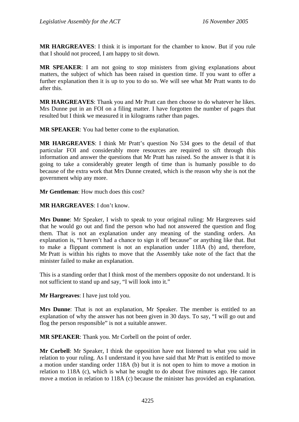**MR HARGREAVES**: I think it is important for the chamber to know. But if you rule that I should not proceed, I am happy to sit down.

**MR SPEAKER**: I am not going to stop ministers from giving explanations about matters, the subject of which has been raised in question time. If you want to offer a further explanation then it is up to you to do so. We will see what Mr Pratt wants to do after this.

**MR HARGREAVES**: Thank you and Mr Pratt can then choose to do whatever he likes. Mrs Dunne put in an FOI on a filing matter. I have forgotten the number of pages that resulted but I think we measured it in kilograms rather than pages.

**MR SPEAKER**: You had better come to the explanation.

**MR HARGREAVES**: I think Mr Pratt's question No 534 goes to the detail of that particular FOI and considerably more resources are required to sift through this information and answer the questions that Mr Pratt has raised. So the answer is that it is going to take a considerably greater length of time than is humanly possible to do because of the extra work that Mrs Dunne created, which is the reason why she is not the government whip any more.

**Mr Gentleman**: How much does this cost?

**MR HARGREAVES**: I don't know.

**Mrs Dunne**: Mr Speaker, I wish to speak to your original ruling: Mr Hargreaves said that he would go out and find the person who had not answered the question and flog them. That is not an explanation under any meaning of the standing orders. An explanation is, "I haven't had a chance to sign it off because" or anything like that. But to make a flippant comment is not an explanation under 118A (b) and, therefore, Mr Pratt is within his rights to move that the Assembly take note of the fact that the minister failed to make an explanation.

This is a standing order that I think most of the members opposite do not understand. It is not sufficient to stand up and say, "I will look into it."

**Mr Hargreaves**: I have just told you.

**Mrs Dunne**: That is not an explanation, Mr Speaker. The member is entitled to an explanation of why the answer has not been given in 30 days. To say, "I will go out and flog the person responsible" is not a suitable answer.

**MR SPEAKER**: Thank you. Mr Corbell on the point of order.

**Mr Corbell**: Mr Speaker, I think the opposition have not listened to what you said in relation to your ruling. As I understand it you have said that Mr Pratt is entitled to move a motion under standing order 118A (b) but it is not open to him to move a motion in relation to 118A (c), which is what he sought to do about five minutes ago. He cannot move a motion in relation to 118A (c) because the minister has provided an explanation.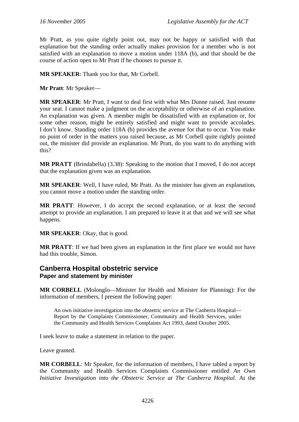Mr Pratt, as you quite rightly point out, may not be happy or satisfied with that explanation but the standing order actually makes provision for a member who is not satisfied with an explanation to move a motion under 118A (b), and that should be the course of action open to Mr Pratt if he chooses to pursue it.

**MR SPEAKER**: Thank you for that, Mr Corbell.

**Mr Pratt**: Mr Speaker—

**MR SPEAKER**: Mr Pratt, I want to deal first with what Mrs Dunne raised. Just resume your seat. I cannot make a judgment on the acceptability or otherwise of an explanation. An explanation was given. A member might be dissatisfied with an explanation or, for some other reason, might be entirely satisfied and might want to provide accolades. I don't know. Standing order 118A (b) provides the avenue for that to occur. You make no point of order in the matters you raised because, as Mr Corbell quite rightly pointed out, the minister did provide an explanation. Mr Pratt, do you want to do anything with this?

**MR PRATT** (Brindabella) (3.38): Speaking to the motion that I moved, I do not accept that the explanation given was an explanation.

**MR SPEAKER**: Well, I have ruled, Mr Pratt. As the minister has given an explanation, you cannot move a motion under the standing order.

**MR PRATT**: However, I do accept the second explanation, or at least the second attempt to provide an explanation. I am prepared to leave it at that and we will see what happens.

**MR SPEAKER**: Okay, that is good.

**MR PRATT**: If we had been given an explanation in the first place we would not have had this trouble, Simon.

# **Canberra Hospital obstetric service Paper and statement by minister**

**MR CORBELL** (Molonglo—Minister for Health and Minister for Planning): For the information of members, I present the following paper:

An own initiative investigation into the obstetric service at The Canberra Hospital— Report by the Complaints Commissioner, Community and Health Services, under the Community and Health Services Complaints Act 1993, dated October 2005.

I seek leave to make a statement in relation to the paper.

Leave granted.

**MR CORBELL**: Mr Speaker, for the information of members, I have tabled a report by the Community and Health Services Complaints Commissioner entitled *An Own Initiative Investigation into the Obstetric Service at The Canberra Hospital*. At the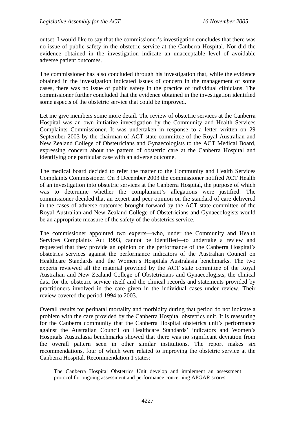outset, I would like to say that the commissioner's investigation concludes that there was no issue of public safety in the obstetric service at the Canberra Hospital. Nor did the evidence obtained in the investigation indicate an unacceptable level of avoidable adverse patient outcomes.

The commissioner has also concluded through his investigation that, while the evidence obtained in the investigation indicated issues of concern in the management of some cases, there was no issue of public safety in the practice of individual clinicians. The commissioner further concluded that the evidence obtained in the investigation identified some aspects of the obstetric service that could be improved.

Let me give members some more detail. The review of obstetric services at the Canberra Hospital was an own initiative investigation by the Community and Health Services Complaints Commissioner. It was undertaken in response to a letter written on 29 September 2003 by the chairman of ACT state committee of the Royal Australian and New Zealand College of Obstetricians and Gynaecologists to the ACT Medical Board, expressing concern about the pattern of obstetric care at the Canberra Hospital and identifying one particular case with an adverse outcome.

The medical board decided to refer the matter to the Community and Health Services Complaints Commissioner. On 3 December 2003 the commissioner notified ACT Health of an investigation into obstetric services at the Canberra Hospital, the purpose of which was to determine whether the complainant's allegations were justified. The commissioner decided that an expert and peer opinion on the standard of care delivered in the cases of adverse outcomes brought forward by the ACT state committee of the Royal Australian and New Zealand College of Obstetricians and Gynaecologists would be an appropriate measure of the safety of the obstetrics service.

The commissioner appointed two experts—who, under the Community and Health Services Complaints Act 1993, cannot be identified—to undertake a review and requested that they provide an opinion on the performance of the Canberra Hospital's obstetrics services against the performance indicators of the Australian Council on Healthcare Standards and the Women's Hospitals Australasia benchmarks. The two experts reviewed all the material provided by the ACT state committee of the Royal Australian and New Zealand College of Obstetricians and Gynaecologists, the clinical data for the obstetric service itself and the clinical records and statements provided by practitioners involved in the care given in the individual cases under review. Their review covered the period 1994 to 2003.

Overall results for perinatal mortality and morbidity during that period do not indicate a problem with the care provided by the Canberra Hospital obstetrics unit. It is reassuring for the Canberra community that the Canberra Hospital obstetrics unit's performance against the Australian Council on Healthcare Standards' indicators and Women's Hospitals Australasia benchmarks showed that there was no significant deviation from the overall pattern seen in other similar institutions. The report makes six recommendations, four of which were related to improving the obstetric service at the Canberra Hospital. Recommendation 1 states:

The Canberra Hospital Obstetrics Unit develop and implement an assessment protocol for ongoing assessment and performance concerning APGAR scores.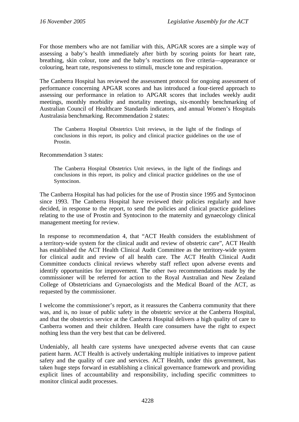For those members who are not familiar with this, APGAR scores are a simple way of assessing a baby's health immediately after birth by scoring points for heart rate, breathing, skin colour, tone and the baby's reactions on five criteria—appearance or colouring, heart rate, responsiveness to stimuli, muscle tone and respiration.

The Canberra Hospital has reviewed the assessment protocol for ongoing assessment of performance concerning APGAR scores and has introduced a four-tiered approach to assessing our performance in relation to APGAR scores that includes weekly audit meetings, monthly morbidity and mortality meetings, six-monthly benchmarking of Australian Council of Healthcare Standards indicators, and annual Women's Hospitals Australasia benchmarking. Recommendation 2 states:

The Canberra Hospital Obstetrics Unit reviews, in the light of the findings of conclusions in this report, its policy and clinical practice guidelines on the use of Prostin.

Recommendation 3 states:

The Canberra Hospital Obstetrics Unit reviews, in the light of the findings and conclusions in this report, its policy and clinical practice guidelines on the use of Syntocinon.

The Canberra Hospital has had policies for the use of Prostin since 1995 and Syntocinon since 1993. The Canberra Hospital have reviewed their policies regularly and have decided, in response to the report, to send the policies and clinical practice guidelines relating to the use of Prostin and Syntocinon to the maternity and gynaecology clinical management meeting for review.

In response to recommendation 4, that "ACT Health considers the establishment of a territory-wide system for the clinical audit and review of obstetric care", ACT Health has established the ACT Health Clinical Audit Committee as the territory-wide system for clinical audit and review of all health care. The ACT Health Clinical Audit Committee conducts clinical reviews whereby staff reflect upon adverse events and identify opportunities for improvement. The other two recommendations made by the commissioner will be referred for action to the Royal Australian and New Zealand College of Obstetricians and Gynaecologists and the Medical Board of the ACT, as requested by the commissioner.

I welcome the commissioner's report, as it reassures the Canberra community that there was, and is, no issue of public safety in the obstetric service at the Canberra Hospital, and that the obstetrics service at the Canberra Hospital delivers a high quality of care to Canberra women and their children. Health care consumers have the right to expect nothing less than the very best that can be delivered.

Undeniably, all health care systems have unexpected adverse events that can cause patient harm. ACT Health is actively undertaking multiple initiatives to improve patient safety and the quality of care and services. ACT Health, under this government, has taken huge steps forward in establishing a clinical governance framework and providing explicit lines of accountability and responsibility, including specific committees to monitor clinical audit processes.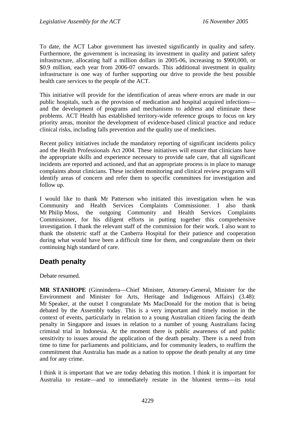To date, the ACT Labor government has invested significantly in quality and safety. Furthermore, the government is increasing its investment in quality and patient safety infrastructure, allocating half a million dollars in 2005-06, increasing to \$900,000, or \$0.9 million, each year from 2006-07 onwards. This additional investment in quality infrastructure is one way of further supporting our drive to provide the best possible health care services to the people of the ACT.

This initiative will provide for the identification of areas where errors are made in our public hospitals, such as the provision of medication and hospital acquired infections and the development of programs and mechanisms to address and eliminate these problems. ACT Health has established territory-wide reference groups to focus on key priority areas, monitor the development of evidence-based clinical practice and reduce clinical risks, including falls prevention and the quality use of medicines.

Recent policy initiatives include the mandatory reporting of significant incidents policy and the Health Professionals Act 2004. These initiatives will ensure that clinicians have the appropriate skills and experience necessary to provide safe care, that all significant incidents are reported and actioned, and that an appropriate process is in place to manage complaints about clinicians. These incident monitoring and clinical review programs will identify areas of concern and refer them to specific committees for investigation and follow up.

I would like to thank Mr Patterson who initiated this investigation when he was Community and Health Services Complaints Commissioner. I also thank Mr Philip Moss, the outgoing Community and Health Services Complaints Commissioner, for his diligent efforts in putting together this comprehensive investigation. I thank the relevant staff of the commission for their work. I also want to thank the obstetric staff at the Canberra Hospital for their patience and cooperation during what would have been a difficult time for them, and congratulate them on their continuing high standard of care.

# **Death penalty**

Debate resumed.

**MR STANHOPE** (Ginninderra—Chief Minister, Attorney-General, Minister for the Environment and Minister for Arts, Heritage and Indigenous Affairs) (3.48): Mr Speaker, at the outset I congratulate Ms MacDonald for the motion that is being debated by the Assembly today. This is a very important and timely motion in the context of events, particularly in relation to a young Australian citizen facing the death penalty in Singapore and issues in relation to a number of young Australians facing criminal trial in Indonesia. At the moment there is public awareness of and public sensitivity to issues around the application of the death penalty. There is a need from time to time for parliaments and politicians, and for community leaders, to reaffirm the commitment that Australia has made as a nation to oppose the death penalty at any time and for any crime.

I think it is important that we are today debating this motion. I think it is important for Australia to restate—and to immediately restate in the bluntest terms—its total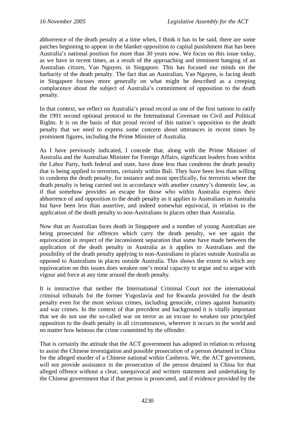abhorrence of the death penalty at a time when, I think it has to be said, there are some patches beginning to appear in the blanket opposition to capital punishment that has been Australia's national position for more than 30 years now. We focus on this issue today, as we have in recent times, as a result of the approaching and imminent hanging of an Australian citizen, Van Nguyen, in Singapore. This has focused our minds on the barbarity of the death penalty. The fact that an Australian, Van Nguyen, is facing death in Singapore focuses more generally on what might be described as a creeping complacence about the subject of Australia's commitment of opposition to the death penalty.

In that context, we reflect on Australia's proud record as one of the first nations to ratify the 1991 second optional protocol to the International Covenant on Civil and Political Rights. It is on the basis of that proud record of this nation's opposition to the death penalty that we need to express some concern about utterances in recent times by prominent figures, including the Prime Minister of Australia.

As I have previously indicated, I concede that, along with the Prime Minister of Australia and the Australian Minister for Foreign Affairs, significant leaders from within the Labor Party, both federal and state, have done less than condemn the death penalty that is being applied to terrorists, certainly within Bali. They have been less than willing to condemn the death penalty, for instance and most specifically, for terrorists where the death penalty is being carried out in accordance with another country's domestic law, as if that somehow provides an escape for those who within Australia express their abhorrence of and opposition to the death penalty as it applies to Australians in Australia but have been less than assertive, and indeed somewhat equivocal, in relation to the application of the death penalty to non-Australians in places other than Australia.

Now that an Australian faces death in Singapore and a number of young Australian are being prosecuted for offences which carry the death penalty, we see again the equivocation in respect of the inconsistent separation that some have made between the application of the death penalty in Australia as it applies to Australians and the possibility of the death penalty applying to non-Australians in places outside Australia as opposed to Australians in places outside Australia. This shows the extent to which any equivocation on this issues does weaken one's moral capacity to argue and to argue with vigour and force at any time around the death penalty.

It is instructive that neither the International Criminal Court not the international criminal tribunals for the former Yugoslavia and for Rwanda provided for the death penalty even for the most serious crimes, including genocide, crimes against humanity and war crimes. In the context of that precedent and background it is vitally important that we do not use the so-called war on terror as an excuse to weaken our principled opposition to the death penalty in all circumstances, wherever it occurs in the world and no matter how heinous the crime committed by the offender.

That is certainly the attitude that the ACT government has adopted in relation to refusing to assist the Chinese investigation and possible prosecution of a person detained in China for the alleged murder of a Chinese national within Canberra. We, the ACT government, will not provide assistance in the prosecution of the person detained in China for that alleged offence without a clear, unequivocal and written statement and undertaking by the Chinese government that if that person is prosecuted, and if evidence provided by the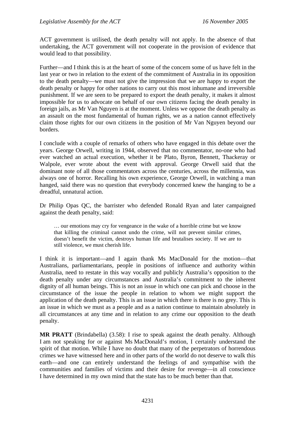ACT government is utilised, the death penalty will not apply. In the absence of that undertaking, the ACT government will not cooperate in the provision of evidence that would lead to that possibility.

Further—and I think this is at the heart of some of the concern some of us have felt in the last year or two in relation to the extent of the commitment of Australia in its opposition to the death penalty—we must not give the impression that we are happy to export the death penalty or happy for other nations to carry out this most inhumane and irreversible punishment. If we are seen to be prepared to export the death penalty, it makes it almost impossible for us to advocate on behalf of our own citizens facing the death penalty in foreign jails, as Mr Van Nguyen is at the moment. Unless we oppose the death penalty as an assault on the most fundamental of human rights, we as a nation cannot effectively claim those rights for our own citizens in the position of Mr Van Nguyen beyond our borders.

I conclude with a couple of remarks of others who have engaged in this debate over the years. George Orwell, writing in 1944, observed that no commentator, no-one who had ever watched an actual execution, whether it be Plato, Byron, Bennett, Thackeray or Walpole, ever wrote about the event with approval. George Orwell said that the dominant note of all those commentators across the centuries, across the millennia, was always one of horror. Recalling his own experience, George Orwell, in watching a man hanged, said there was no question that everybody concerned knew the hanging to be a dreadful, unnatural action.

Dr Philip Opas QC, the barrister who defended Ronald Ryan and later campaigned against the death penalty, said:

… our emotions may cry for vengeance in the wake of a horrible crime but we know that killing the criminal cannot undo the crime, will not prevent similar crimes, doesn't benefit the victim, destroys human life and brutalises society. If we are to still violence, we must cherish life.

I think it is important—and I again thank Ms MacDonald for the motion—that Australians, parliamentarians, people in positions of influence and authority within Australia, need to restate in this way vocally and publicly Australia's opposition to the death penalty under any circumstances and Australia's commitment to the inherent dignity of all human beings. This is not an issue in which one can pick and choose in the circumstance of the issue the people in relation to whom we might support the application of the death penalty. This is an issue in which there is there is no grey. This is an issue in which we must as a people and as a nation continue to maintain absolutely in all circumstances at any time and in relation to any crime our opposition to the death penalty.

**MR PRATT** (Brindabella) (3.58): I rise to speak against the death penalty. Although I am not speaking for or against Ms MacDonald's motion, I certainly understand the spirit of that motion. While I have no doubt that many of the perpetrators of horrendous crimes we have witnessed here and in other parts of the world do not deserve to walk this earth—and one can entirely understand the feelings of and sympathise with the communities and families of victims and their desire for revenge—in all conscience I have determined in my own mind that the state has to be much better than that.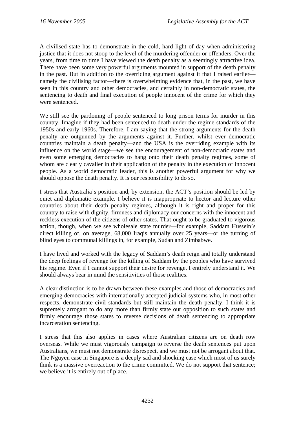A civilised state has to demonstrate in the cold, hard light of day when administering justice that it does not stoop to the level of the murdering offender or offenders. Over the years, from time to time I have viewed the death penalty as a seemingly attractive idea. There have been some very powerful arguments mounted in support of the death penalty in the past. But in addition to the overriding argument against it that I raised earlier namely the civilising factor—there is overwhelming evidence that, in the past, we have seen in this country and other democracies, and certainly in non-democratic states, the sentencing to death and final execution of people innocent of the crime for which they were sentenced.

We still see the pardoning of people sentenced to long prison terms for murder in this country. Imagine if they had been sentenced to death under the regime standards of the 1950s and early 1960s. Therefore, I am saying that the strong arguments for the death penalty are outgunned by the arguments against it. Further, whilst ever democratic countries maintain a death penalty—and the USA is the overriding example with its influence on the world stage—we see the encouragement of non-democratic states and even some emerging democracies to hang onto their death penalty regimes, some of whom are clearly cavalier in their application of the penalty in the execution of innocent people. As a world democratic leader, this is another powerful argument for why we should oppose the death penalty. It is our responsibility to do so.

I stress that Australia's position and, by extension, the ACT's position should be led by quiet and diplomatic example. I believe it is inappropriate to hector and lecture other countries about their death penalty regimes, although it is right and proper for this country to raise with dignity, firmness and diplomacy our concerns with the innocent and reckless execution of the citizens of other states. That ought to be graduated to vigorous action, though, when we see wholesale state murder—for example, Saddam Hussein's direct killing of, on average, 68,000 Iraqis annually over 25 years—or the turning of blind eyes to communal killings in, for example, Sudan and Zimbabwe.

I have lived and worked with the legacy of Saddam's death reign and totally understand the deep feelings of revenge for the killing of Saddam by the peoples who have survived his regime. Even if I cannot support their desire for revenge, I entirely understand it. We should always bear in mind the sensitivities of those realities.

A clear distinction is to be drawn between these examples and those of democracies and emerging democracies with internationally accepted judicial systems who, in most other respects, demonstrate civil standards but still maintain the death penalty. I think it is supremely arrogant to do any more than firmly state our opposition to such states and firmly encourage those states to reverse decisions of death sentencing to appropriate incarceration sentencing.

I stress that this also applies in cases where Australian citizens are on death row overseas. While we must vigorously campaign to reverse the death sentences put upon Australians, we must not demonstrate disrespect, and we must not be arrogant about that. The Nguyen case in Singapore is a deeply sad and shocking case which most of us surely think is a massive overreaction to the crime committed. We do not support that sentence; we believe it is entirely out of place.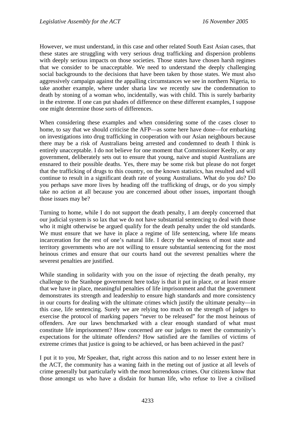However, we must understand, in this case and other related South East Asian cases, that these states are struggling with very serious drug trafficking and dispersion problems with deeply serious impacts on those societies. Those states have chosen harsh regimes that we consider to be unacceptable. We need to understand the deeply challenging social backgrounds to the decisions that have been taken by those states. We must also aggressively campaign against the appalling circumstances we see in northern Nigeria, to take another example, where under sharia law we recently saw the condemnation to death by stoning of a woman who, incidentally, was with child. This is surely barbarity in the extreme. If one can put shades of difference on these different examples, I suppose one might determine those sorts of differences.

When considering these examples and when considering some of the cases closer to home, to say that we should criticise the AFP—as some here have done—for embarking on investigations into drug trafficking in cooperation with our Asian neighbours because there may be a risk of Australians being arrested and condemned to death I think is entirely unacceptable. I do not believe for one moment that Commissioner Keelty, or any government, deliberately sets out to ensure that young, naive and stupid Australians are ensnared to their possible deaths. Yes, there may be some risk but please do not forget that the trafficking of drugs to this country, on the known statistics, has resulted and will continue to result in a significant death rate of young Australians. What do you do? Do you perhaps save more lives by heading off the trafficking of drugs, or do you simply take no action at all because you are concerned about other issues, important though those issues may be?

Turning to home, while I do not support the death penalty, I am deeply concerned that our judicial system is so lax that we do not have substantial sentencing to deal with those who it might otherwise be argued qualify for the death penalty under the old standards. We must ensure that we have in place a regime of life sentencing, where life means incarceration for the rest of one's natural life. I decry the weakness of most state and territory governments who are not willing to ensure substantial sentencing for the most heinous crimes and ensure that our courts hand out the severest penalties where the severest penalties are justified.

While standing in solidarity with you on the issue of rejecting the death penalty, my challenge to the Stanhope government here today is that it put in place, or at least ensure that we have in place, meaningful penalties of life imprisonment and that the government demonstrates its strength and leadership to ensure high standards and more consistency in our courts for dealing with the ultimate crimes which justify the ultimate penalty—in this case, life sentencing. Surely we are relying too much on the strength of judges to exercise the protocol of marking papers "never to be released" for the most heinous of offenders. Are our laws benchmarked with a clear enough standard of what must constitute life imprisonment? How concerned are our judges to meet the community's expectations for the ultimate offenders? How satisfied are the families of victims of extreme crimes that justice is going to be achieved, or has been achieved in the past?

I put it to you, Mr Speaker, that, right across this nation and to no lesser extent here in the ACT, the community has a waning faith in the meting out of justice at all levels of crime generally but particularly with the most horrendous crimes. Our citizens know that those amongst us who have a disdain for human life, who refuse to live a civilised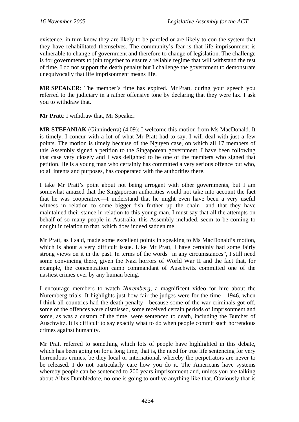existence, in turn know they are likely to be paroled or are likely to con the system that they have rehabilitated themselves. The community's fear is that life imprisonment is vulnerable to change of government and therefore to change of legislation. The challenge is for governments to join together to ensure a reliable regime that will withstand the test of time. I do not support the death penalty but I challenge the government to demonstrate unequivocally that life imprisonment means life.

**MR SPEAKER**: The member's time has expired. Mr Pratt, during your speech you referred to the judiciary in a rather offensive tone by declaring that they were lax. I ask you to withdraw that.

**Mr Pratt**: I withdraw that, Mr Speaker.

**MR STEFANIAK** (Ginninderra) (4.09): I welcome this motion from Ms MacDonald. It is timely. I concur with a lot of what Mr Pratt had to say. I will deal with just a few points. The motion is timely because of the Nguyen case, on which all 17 members of this Assembly signed a petition to the Singaporean government. I have been following that case very closely and I was delighted to be one of the members who signed that petition. He is a young man who certainly has committed a very serious offence but who, to all intents and purposes, has cooperated with the authorities there.

I take Mr Pratt's point about not being arrogant with other governments, but I am somewhat amazed that the Singaporean authorities would not take into account the fact that he was cooperative—I understand that he might even have been a very useful witness in relation to some bigger fish further up the chain—and that they have maintained their stance in relation to this young man. I must say that all the attempts on behalf of so many people in Australia, this Assembly included, seem to be coming to nought in relation to that, which does indeed sadden me.

Mr Pratt, as I said, made some excellent points in speaking to Ms MacDonald's motion, which is about a very difficult issue. Like Mr Pratt, I have certainly had some fairly strong views on it in the past. In terms of the words "in any circumstances", I still need some convincing there, given the Nazi horrors of World War II and the fact that, for example, the concentration camp commandant of Auschwitz committed one of the nastiest crimes ever by any human being.

I encourage members to watch *Nuremberg*, a magnificent video for hire about the Nuremberg trials. It highlights just how fair the judges were for the time—1946, when I think all countries had the death penalty—because some of the war criminals got off, some of the offences were dismissed, some received certain periods of imprisonment and some, as was a custom of the time, were sentenced to death, including the Butcher of Auschwitz. It is difficult to say exactly what to do when people commit such horrendous crimes against humanity.

Mr Pratt referred to something which lots of people have highlighted in this debate, which has been going on for a long time, that is, the need for true life sentencing for very horrendous crimes, be they local or international, whereby the perpetrators are never to be released. I do not particularly care how you do it. The Americans have systems whereby people can be sentenced to 200 years imprisonment and, unless you are talking about Albus Dumbledore, no-one is going to outlive anything like that. Obviously that is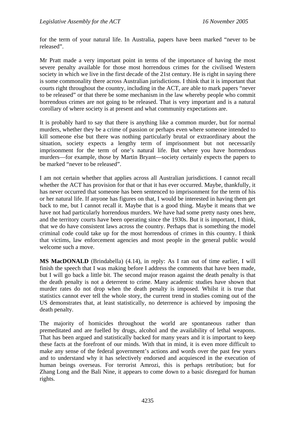for the term of your natural life. In Australia, papers have been marked "never to be released".

Mr Pratt made a very important point in terms of the importance of having the most severe penalty available for those most horrendous crimes for the civilised Western society in which we live in the first decade of the 21st century. He is right in saying there is some commonality there across Australian jurisdictions. I think that it is important that courts right throughout the country, including in the ACT, are able to mark papers "never to be released" or that there be some mechanism in the law whereby people who commit horrendous crimes are not going to be released. That is very important and is a natural corollary of where society is at present and what community expectations are.

It is probably hard to say that there is anything like a common murder, but for normal murders, whether they be a crime of passion or perhaps even where someone intended to kill someone else but there was nothing particularly brutal or extraordinary about the situation, society expects a lengthy term of imprisonment but not necessarily imprisonment for the term of one's natural life. But where you have horrendous murders—for example, those by Martin Bryant—society certainly expects the papers to be marked "never to be released".

I am not certain whether that applies across all Australian jurisdictions. I cannot recall whether the ACT has provision for that or that it has ever occurred. Maybe, thankfully, it has never occurred that someone has been sentenced to imprisonment for the term of his or her natural life. If anyone has figures on that, I would be interested in having them get back to me, but I cannot recall it. Maybe that is a good thing. Maybe it means that we have not had particularly horrendous murders. We have had some pretty nasty ones here, and the territory courts have been operating since the 1930s. But it is important, I think, that we do have consistent laws across the country. Perhaps that is something the model criminal code could take up for the most horrendous of crimes in this country. I think that victims, law enforcement agencies and most people in the general public would welcome such a move.

**MS MacDONALD** (Brindabella) (4.14), in reply: As I ran out of time earlier, I will finish the speech that I was making before I address the comments that have been made, but I will go back a little bit. The second major reason against the death penalty is that the death penalty is not a deterrent to crime. Many academic studies have shown that murder rates do not drop when the death penalty is imposed. Whilst it is true that statistics cannot ever tell the whole story, the current trend in studies coming out of the US demonstrates that, at least statistically, no deterrence is achieved by imposing the death penalty.

The majority of homicides throughout the world are spontaneous rather than premeditated and are fuelled by drugs, alcohol and the availability of lethal weapons. That has been argued and statistically backed for many years and it is important to keep these facts at the forefront of our minds. With that in mind, it is even more difficult to make any sense of the federal government's actions and words over the past few years and to understand why it has selectively endorsed and acquiesced in the execution of human beings overseas. For terrorist Amrozi, this is perhaps retribution; but for Zhang Long and the Bali Nine, it appears to come down to a basic disregard for human rights.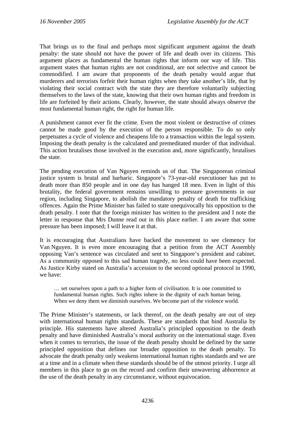That brings us to the final and perhaps most significant argument against the death penalty: the state should not have the power of life and death over its citizens. This argument places as fundamental the human rights that inform our way of life. This argument states that human rights are not conditional, are not selective and cannot be commodified. I am aware that proponents of the death penalty would argue that murderers and terrorists forfeit their human rights when they take another's life, that by violating their social contract with the state they are therefore voluntarily subjecting themselves to the laws of the state, knowing that their own human rights and freedom in life are forfeited by their actions. Clearly, however, the state should always observe the most fundamental human right, the right for human life.

A punishment cannot ever fit the crime. Even the most violent or destructive of crimes cannot be made good by the execution of the person responsible. To do so only perpetuates a cycle of violence and cheapens life to a transaction within the legal system. Imposing the death penalty is the calculated and premeditated murder of that individual. This action brutalises those involved in the execution and, more significantly, brutalises the state.

The pending execution of Van Nguyen reminds us of that. The Singaporean criminal justice system is brutal and barbaric. Singapore's 73-year-old executioner has put to death more than 850 people and in one day has hanged 18 men. Even in light of this brutality, the federal government remains unwilling to pressure governments in our region, including Singapore, to abolish the mandatory penalty of death for trafficking offences. Again the Prime Minister has failed to state unequivocally his opposition to the death penalty. I note that the foreign minister has written to the president and I note the letter in response that Mrs Dunne read out in this place earlier. I am aware that some pressure has been imposed; I will leave it at that.

It is encouraging that Australians have backed the movement to see clemency for Van Nguyen. It is even more encouraging that a petition from the ACT Assembly opposing Van's sentence was circulated and sent to Singapore's president and cabinet. As a community opposed to this sad human tragedy, no less could have been expected. As Justice Kirby stated on Australia's accession to the second optional protocol in 1990, we have:

… set ourselves upon a path to a higher form of civilisation. It is one committed to fundamental human rights. Such rights inhere in the dignity of each human being. When we deny them we diminish ourselves. We become part of the violence world.

The Prime Minister's statements, or lack thereof, on the death penalty are out of step with international human rights standards. These are standards that bind Australia by principle. His statements have altered Australia's principled opposition to the death penalty and have diminished Australia's moral authority on the international stage. Even when it comes to terrorists, the issue of the death penalty should be defined by the same principled opposition that defines our broader opposition to the death penalty. To advocate the death penalty only weakens international human rights standards and we are at a time and in a climate when these standards should be of the utmost priority. I urge all members in this place to go on the record and confirm their unwavering abhorrence at the use of the death penalty in any circumstance, without equivocation.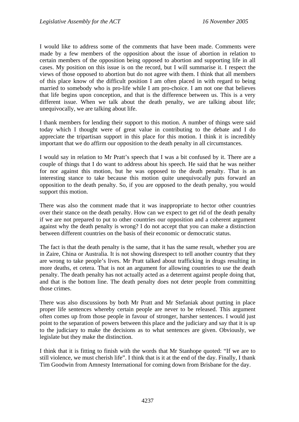I would like to address some of the comments that have been made. Comments were made by a few members of the opposition about the issue of abortion in relation to certain members of the opposition being opposed to abortion and supporting life in all cases. My position on this issue is on the record, but I will summarise it. I respect the views of those opposed to abortion but do not agree with them. I think that all members of this place know of the difficult position I am often placed in with regard to being married to somebody who is pro-life while I am pro-choice. I am not one that believes that life begins upon conception, and that is the difference between us. This is a very different issue. When we talk about the death penalty, we are talking about life; unequivocally, we are talking about life.

I thank members for lending their support to this motion. A number of things were said today which I thought were of great value in contributing to the debate and I do appreciate the tripartisan support in this place for this motion. I think it is incredibly important that we do affirm our opposition to the death penalty in all circumstances.

I would say in relation to Mr Pratt's speech that I was a bit confused by it. There are a couple of things that I do want to address about his speech. He said that he was neither for nor against this motion, but he was opposed to the death penalty. That is an interesting stance to take because this motion quite unequivocally puts forward an opposition to the death penalty. So, if you are opposed to the death penalty, you would support this motion.

There was also the comment made that it was inappropriate to hector other countries over their stance on the death penalty. How can we expect to get rid of the death penalty if we are not prepared to put to other countries our opposition and a coherent argument against why the death penalty is wrong? I do not accept that you can make a distinction between different countries on the basis of their economic or democratic status.

The fact is that the death penalty is the same, that it has the same result, whether you are in Zaire, China or Australia. It is not showing disrespect to tell another country that they are wrong to take people's lives. Mr Pratt talked about trafficking in drugs resulting in more deaths, et cetera. That is not an argument for allowing countries to use the death penalty. The death penalty has not actually acted as a deterrent against people doing that, and that is the bottom line. The death penalty does not deter people from committing those crimes.

There was also discussions by both Mr Pratt and Mr Stefaniak about putting in place proper life sentences whereby certain people are never to be released. This argument often comes up from those people in favour of stronger, harsher sentences. I would just point to the separation of powers between this place and the judiciary and say that it is up to the judiciary to make the decisions as to what sentences are given. Obviously, we legislate but they make the distinction.

I think that it is fitting to finish with the words that Mr Stanhope quoted: "If we are to still violence, we must cherish life". I think that is it at the end of the day. Finally, I thank Tim Goodwin from Amnesty International for coming down from Brisbane for the day.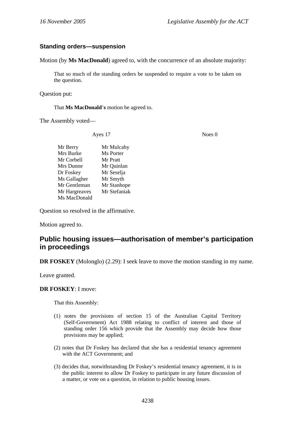### **Standing orders—suspension**

Motion (by **Ms MacDonald**) agreed to, with the concurrence of an absolute majority:

That so much of the standing orders be suspended to require a vote to be taken on the question.

Question put:

#### That **Ms MacDonald**'**s** motion be agreed to.

The Assembly voted—

Ayes 17 Noes 0

Mr Berry Mr Mulcahy Mrs Burke Ms Porter Mr Corbell Mr Pratt Mrs Dunne Mr Quinlan Dr Foskey Mr Seselja Ms Gallagher Mr Smyth Mr Gentleman Mr Stanhope Mr Hargreaves Mr Stefaniak Ms MacDonald

Question so resolved in the affirmative.

Motion agreed to.

# **Public housing issues—authorisation of member's participation in proceedings**

**DR FOSKEY** (Molonglo) (2.29): I seek leave to move the motion standing in my name.

Leave granted.

### **DR FOSKEY**: I move:

That this Assembly:

- (1) notes the provisions of section 15 of the Australian Capital Territory (Self-Government) Act 1988 relating to conflict of interest and those of standing order 156 which provide that the Assembly may decide how those provisions may be applied;
- (2) notes that Dr Foskey has declared that she has a residential tenancy agreement with the ACT Government; and
- (3) decides that, notwithstanding Dr Foskey's residential tenancy agreement, it is in the public interest to allow Dr Foskey to participate in any future discussion of a matter, or vote on a question, in relation to public housing issues.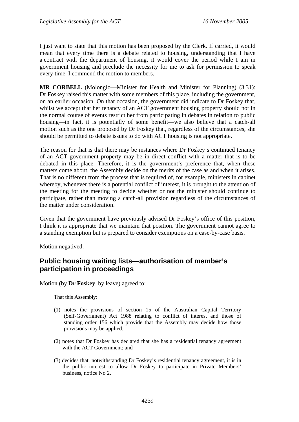I just want to state that this motion has been proposed by the Clerk. If carried, it would mean that every time there is a debate related to housing, understanding that I have a contract with the department of housing, it would cover the period while I am in government housing and preclude the necessity for me to ask for permission to speak every time. I commend the motion to members.

**MR CORBELL** (Molonglo—Minister for Health and Minister for Planning) (3.31): Dr Foskey raised this matter with some members of this place, including the government, on an earlier occasion. On that occasion, the government did indicate to Dr Foskey that, whilst we accept that her tenancy of an ACT government housing property should not in the normal course of events restrict her from participating in debates in relation to public housing—in fact, it is potentially of some benefit—we also believe that a catch-all motion such as the one proposed by Dr Foskey that, regardless of the circumstances, she should be permitted to debate issues to do with ACT housing is not appropriate.

The reason for that is that there may be instances where Dr Foskey's continued tenancy of an ACT government property may be in direct conflict with a matter that is to be debated in this place. Therefore, it is the government's preference that, when these matters come about, the Assembly decide on the merits of the case as and when it arises. That is no different from the process that is required of, for example, ministers in cabinet whereby, whenever there is a potential conflict of interest, it is brought to the attention of the meeting for the meeting to decide whether or not the minister should continue to participate, rather than moving a catch-all provision regardless of the circumstances of the matter under consideration.

Given that the government have previously advised Dr Foskey's office of this position, I think it is appropriate that we maintain that position. The government cannot agree to a standing exemption but is prepared to consider exemptions on a case-by-case basis.

Motion negatived.

# **Public housing waiting lists—authorisation of member's participation in proceedings**

Motion (by **Dr Foskey**, by leave) agreed to:

That this Assembly:

- (1) notes the provisions of section 15 of the Australian Capital Territory (Self-Government) Act 1988 relating to conflict of interest and those of standing order 156 which provide that the Assembly may decide how those provisions may be applied;
- (2) notes that Dr Foskey has declared that she has a residential tenancy agreement with the ACT Government; and
- (3) decides that, notwithstanding Dr Foskey's residential tenancy agreement, it is in the public interest to allow Dr Foskey to participate in Private Members' business, notice No 2.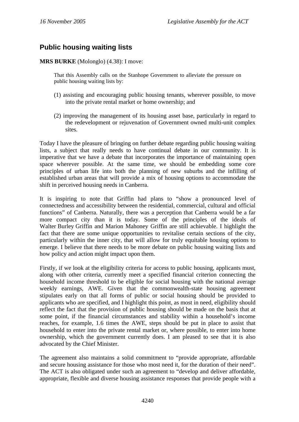# **Public housing waiting lists**

## **MRS BURKE** (Molonglo) (4.38): I move:

That this Assembly calls on the Stanhope Government to alleviate the pressure on public housing waiting lists by:

- (1) assisting and encouraging public housing tenants, wherever possible, to move into the private rental market or home ownership; and
- (2) improving the management of its housing asset base, particularly in regard to the redevelopment or rejuvenation of Government owned multi-unit complex sites.

Today I have the pleasure of bringing on further debate regarding public housing waiting lists, a subject that really needs to have continual debate in our community. It is imperative that we have a debate that incorporates the importance of maintaining open space wherever possible. At the same time, we should be embedding some core principles of urban life into both the planning of new suburbs and the infilling of established urban areas that will provide a mix of housing options to accommodate the shift in perceived housing needs in Canberra.

It is inspiring to note that Griffin had plans to "show a pronounced level of connectedness and accessibility between the residential, commercial, cultural and official functions" of Canberra. Naturally, there was a perception that Canberra would be a far more compact city than it is today. Some of the principles of the ideals of Walter Burley Griffin and Marion Mahoney Griffin are still achievable. I highlight the fact that there are some unique opportunities to revitalise certain sections of the city, particularly within the inner city, that will allow for truly equitable housing options to emerge. I believe that there needs to be more debate on public housing waiting lists and how policy and action might impact upon them.

Firstly, if we look at the eligibility criteria for access to public housing, applicants must, along with other criteria, currently meet a specified financial criterion connecting the household income threshold to be eligible for social housing with the national average weekly earnings, AWE. Given that the commonwealth-state housing agreement stipulates early on that all forms of public or social housing should be provided to applicants who are specified, and I highlight this point, as most in need, eligibility should reflect the fact that the provision of public housing should be made on the basis that at some point, if the financial circumstances and stability within a household's income reaches, for example, 1.6 times the AWE, steps should be put in place to assist that household to enter into the private rental market or, where possible, to enter into home ownership, which the government currently does. I am pleased to see that it is also advocated by the Chief Minister.

The agreement also maintains a solid commitment to "provide appropriate, affordable and secure housing assistance for those who most need it, for the duration of their need". The ACT is also obligated under such an agreement to "develop and deliver affordable, appropriate, flexible and diverse housing assistance responses that provide people with a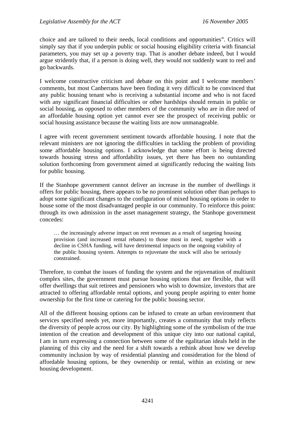choice and are tailored to their needs, local conditions and opportunities". Critics will simply say that if you underpin public or social housing eligibility criteria with financial parameters, you may set up a poverty trap. That is another debate indeed, but I would argue stridently that, if a person is doing well, they would not suddenly want to reel and go backwards.

I welcome constructive criticism and debate on this point and I welcome members' comments, but most Canberrans have been finding it very difficult to be convinced that any public housing tenant who is receiving a substantial income and who is not faced with any significant financial difficulties or other hardships should remain in public or social housing, as opposed to other members of the community who are in dire need of an affordable housing option yet cannot ever see the prospect of receiving public or social housing assistance because the waiting lists are now unmanageable.

I agree with recent government sentiment towards affordable housing. I note that the relevant ministers are not ignoring the difficulties in tackling the problem of providing some affordable housing options. I acknowledge that some effort is being directed towards housing stress and affordability issues, yet there has been no outstanding solution forthcoming from government aimed at significantly reducing the waiting lists for public housing.

If the Stanhope government cannot deliver an increase in the number of dwellings it offers for public housing, there appears to be no prominent solution other than perhaps to adopt some significant changes to the configuration of mixed housing options in order to house some of the most disadvantaged people in our community. To reinforce this point: through its own admission in the asset management strategy, the Stanhope government concedes:

… the increasingly adverse impact on rent revenues as a result of targeting housing provision (and increased rental rebates) to those most in need, together with a decline in CSHA funding, will have detrimental impacts on the ongoing viability of the public housing system. Attempts to rejuvenate the stock will also be seriously constrained.

Therefore, to combat the issues of funding the system and the rejuvenation of multiunit complex sites, the government must pursue housing options that are flexible, that will offer dwellings that suit retirees and pensioners who wish to downsize, investors that are attracted to offering affordable rental options, and young people aspiring to enter home ownership for the first time or catering for the public housing sector.

All of the different housing options can be infused to create an urban environment that services specified needs yet, more importantly, creates a community that truly reflects the diversity of people across our city. By highlighting some of the symbolism of the true intention of the creation and development of this unique city into our national capital, I am in turn expressing a connection between some of the egalitarian ideals held in the planning of this city and the need for a shift towards a rethink about how we develop community inclusion by way of residential planning and consideration for the blend of affordable housing options, be they ownership or rental, within an existing or new housing development.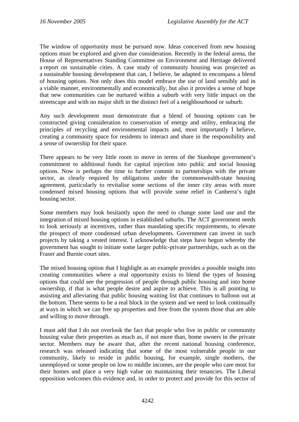The window of opportunity must be pursued now. Ideas conceived from new housing options must be explored and given due consideration. Recently in the federal arena, the House of Representatives Standing Committee on Environment and Heritage delivered a report on sustainable cities. A case study of community housing was projected as a sustainable housing development that can, I believe, be adapted to encompass a blend of housing options. Not only does this model embrace the use of land sensibly and in a viable manner, environmentally and economically, but also it provides a sense of hope that new communities can be nurtured within a suburb with very little impact on the streetscape and with no major shift in the distinct feel of a neighbourhood or suburb.

Any such development must demonstrate that a blend of housing options can be constructed giving consideration to conservation of energy and utility, embracing the principles of recycling and environmental impacts and, most importantly I believe, creating a community space for residents to interact and share in the responsibility and a sense of ownership for their space.

There appears to be very little room to move in terms of the Stanhope government's commitment to additional funds for capital injection into public and social housing options. Now is perhaps the time to further commit to partnerships with the private sector, as clearly required by obligations under the commonwealth-state housing agreement, particularly to revitalise some sections of the inner city areas with more condensed mixed housing options that will provide some relief in Canberra's tight housing sector.

Some members may look hesitantly upon the need to change some land use and the integration of mixed housing options in established suburbs. The ACT government needs to look seriously at incentives, rather than mandating specific requirements, to elevate the prospect of more condensed urban developments. Government can invest in such projects by taking a vested interest. I acknowledge that steps have begun whereby the government has sought to initiate some larger public-private partnerships, such as on the Fraser and Burnie court sites.

The mixed housing option that I highlight as an example provides a possible insight into creating communities where a real opportunity exists to blend the types of housing options that could see the progression of people through public housing and into home ownership, if that is what people desire and aspire to achieve. This is all pointing to assisting and alleviating that public housing waiting list that continues to balloon out at the bottom. There seems to be a real block in the system and we need to look continually at ways in which we can free up properties and free from the system those that are able and willing to move through.

I must add that I do not overlook the fact that people who live in public or community housing value their properties as much as, if not more than, home owners in the private sector. Members may be aware that, after the recent national housing conference, research was released indicating that some of the most vulnerable people in our community, likely to reside in public housing, for example, single mothers, the unemployed or some people on low to middle incomes, are the people who care most for their homes and place a very high value on maintaining their tenancies. The Liberal opposition welcomes this evidence and, in order to protect and provide for this sector of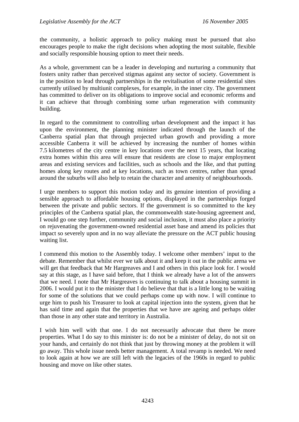the community, a holistic approach to policy making must be pursued that also encourages people to make the right decisions when adopting the most suitable, flexible and socially responsible housing option to meet their needs.

As a whole, government can be a leader in developing and nurturing a community that fosters unity rather than perceived stigmas against any sector of society. Government is in the position to lead through partnerships in the revitalisation of some residential sites currently utilised by multiunit complexes, for example, in the inner city. The government has committed to deliver on its obligations to improve social and economic reforms and it can achieve that through combining some urban regeneration with community building.

In regard to the commitment to controlling urban development and the impact it has upon the environment, the planning minister indicated through the launch of the Canberra spatial plan that through projected urban growth and providing a more accessible Canberra it will be achieved by increasing the number of homes within 7.5 kilometres of the city centre in key locations over the next 15 years, that locating extra homes within this area will ensure that residents are close to major employment areas and existing services and facilities, such as schools and the like, and that putting homes along key routes and at key locations, such as town centres, rather than spread around the suburbs will also help to retain the character and amenity of neighbourhoods.

I urge members to support this motion today and its genuine intention of providing a sensible approach to affordable housing options, displayed in the partnerships forged between the private and public sectors. If the government is so committed to the key principles of the Canberra spatial plan, the commonwealth state-housing agreement and, I would go one step further, community and social inclusion, it must also place a priority on rejuvenating the government-owned residential asset base and amend its policies that impact so severely upon and in no way alleviate the pressure on the ACT public housing waiting list.

I commend this motion to the Assembly today. I welcome other members' input to the debate. Remember that whilst ever we talk about it and keep it out in the public arena we will get that feedback that Mr Hargreaves and I and others in this place look for. I would say at this stage, as I have said before, that I think we already have a lot of the answers that we need. I note that Mr Hargreaves is continuing to talk about a housing summit in 2006. I would put it to the minister that I do believe that that is a little long to be waiting for some of the solutions that we could perhaps come up with now. I will continue to urge him to push his Treasurer to look at capital injection into the system, given that he has said time and again that the properties that we have are ageing and perhaps older than those in any other state and territory in Australia.

I wish him well with that one. I do not necessarily advocate that there be more properties. What I do say to this minister is: do not be a minister of delay, do not sit on your hands, and certainly do not think that just by throwing money at the problem it will go away. This whole issue needs better management. A total revamp is needed. We need to look again at how we are still left with the legacies of the 1960s in regard to public housing and move on like other states.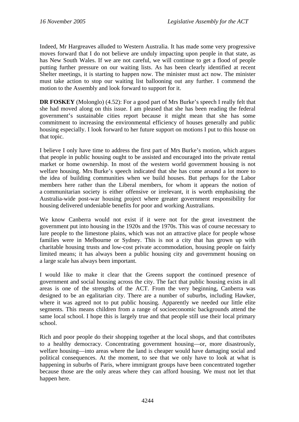Indeed, Mr Hargreaves alluded to Western Australia. It has made some very progressive moves forward that I do not believe are unduly impacting upon people in that state, as has New South Wales. If we are not careful, we will continue to get a flood of people putting further pressure on our waiting lists. As has been clearly identified at recent Shelter meetings, it is starting to happen now. The minister must act now. The minister must take action to stop our waiting list ballooning out any further. I commend the motion to the Assembly and look forward to support for it.

**DR FOSKEY** (Molonglo) (4.52): For a good part of Mrs Burke's speech I really felt that she had moved along on this issue. I am pleased that she has been reading the federal government's sustainable cities report because it might mean that she has some commitment to increasing the environmental efficiency of houses generally and public housing especially. I look forward to her future support on motions I put to this house on that topic.

I believe I only have time to address the first part of Mrs Burke's motion, which argues that people in public housing ought to be assisted and encouraged into the private rental market or home ownership. In most of the western world government housing is not welfare housing. Mrs Burke's speech indicated that she has come around a lot more to the idea of building communities when we build houses. But perhaps for the Labor members here rather than the Liberal members, for whom it appears the notion of a communitarian society is either offensive or irrelevant, it is worth emphasising the Australia-wide post-war housing project where greater government responsibility for housing delivered undeniable benefits for poor and working Australians.

We know Canberra would not exist if it were not for the great investment the government put into housing in the 1920s and the 1970s. This was of course necessary to lure people to the limestone plains, which was not an attractive place for people whose families were in Melbourne or Sydney. This is not a city that has grown up with charitable housing trusts and low-cost private accommodation, housing people on fairly limited means; it has always been a public housing city and government housing on a large scale has always been important.

I would like to make it clear that the Greens support the continued presence of government and social housing across the city. The fact that public housing exists in all areas is one of the strengths of the ACT. From the very beginning, Canberra was designed to be an egalitarian city. There are a number of suburbs, including Hawker, where it was agreed not to put public housing. Apparently we needed our little elite segments. This means children from a range of socioeconomic backgrounds attend the same local school. I hope this is largely true and that people still use their local primary school.

Rich and poor people do their shopping together at the local shops, and that contributes to a healthy democracy. Concentrating government housing—or, more disastrously, welfare housing—into areas where the land is cheaper would have damaging social and political consequences. At the moment, to see that we only have to look at what is happening in suburbs of Paris, where immigrant groups have been concentrated together because those are the only areas where they can afford housing. We must not let that happen here.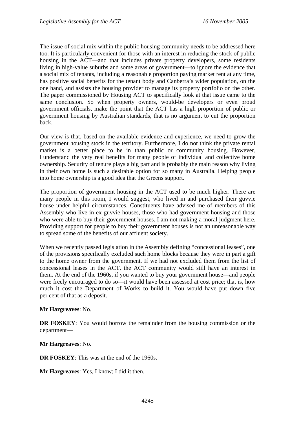The issue of social mix within the public housing community needs to be addressed here too. It is particularly convenient for those with an interest in reducing the stock of public housing in the ACT—and that includes private property developers, some residents living in high-value suburbs and some areas of government—to ignore the evidence that a social mix of tenants, including a reasonable proportion paying market rent at any time, has positive social benefits for the tenant body and Canberra's wider population, on the one hand, and assists the housing provider to manage its property portfolio on the other. The paper commissioned by Housing ACT to specifically look at that issue came to the same conclusion. So when property owners, would-be developers or even proud government officials, make the point that the ACT has a high proportion of public or government housing by Australian standards, that is no argument to cut the proportion back.

Our view is that, based on the available evidence and experience, we need to grow the government housing stock in the territory. Furthermore, I do not think the private rental market is a better place to be in than public or community housing. However, I understand the very real benefits for many people of individual and collective home ownership. Security of tenure plays a big part and is probably the main reason why living in their own home is such a desirable option for so many in Australia. Helping people into home ownership is a good idea that the Greens support.

The proportion of government housing in the ACT used to be much higher. There are many people in this room, I would suggest, who lived in and purchased their guvvie house under helpful circumstances. Constituents have advised me of members of this Assembly who live in ex-guvvie houses, those who had government housing and those who were able to buy their government houses. I am not making a moral judgment here. Providing support for people to buy their government houses is not an unreasonable way to spread some of the benefits of our affluent society.

When we recently passed legislation in the Assembly defining "concessional leases", one of the provisions specifically excluded such home blocks because they were in part a gift to the home owner from the government. If we had not excluded them from the list of concessional leases in the ACT, the ACT community would still have an interest in them. At the end of the 1960s, if you wanted to buy your government house—and people were freely encouraged to do so—it would have been assessed at cost price; that is, how much it cost the Department of Works to build it. You would have put down five per cent of that as a deposit.

### **Mr Hargreaves**: No.

**DR FOSKEY**: You would borrow the remainder from the housing commission or the department—

**Mr Hargreaves**: No.

**DR FOSKEY**: This was at the end of the 1960s.

**Mr Hargreaves**: Yes, I know; I did it then.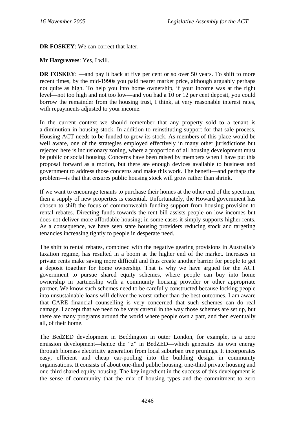**DR FOSKEY:** We can correct that later.

**Mr Hargreaves**: Yes, I will.

**DR FOSKEY**: —and pay it back at five per cent or so over 50 years. To shift to more recent times, by the mid-1990s you paid nearer market price, although arguably perhaps not quite as high. To help you into home ownership, if your income was at the right level—not too high and not too low—and you had a 10 or 12 per cent deposit, you could borrow the remainder from the housing trust, I think, at very reasonable interest rates, with repayments adjusted to your income.

In the current context we should remember that any property sold to a tenant is a diminution in housing stock. In addition to reinstituting support for that sale process, Housing ACT needs to be funded to grow its stock. As members of this place would be well aware, one of the strategies employed effectively in many other jurisdictions but rejected here is inclusionary zoning, where a proportion of all housing development must be public or social housing. Concerns have been raised by members when I have put this proposal forward as a motion, but there are enough devices available to business and government to address those concerns and make this work. The benefit—and perhaps the problem—is that that ensures public housing stock will grow rather than shrink.

If we want to encourage tenants to purchase their homes at the other end of the spectrum, then a supply of new properties is essential. Unfortunately, the Howard government has chosen to shift the focus of commonwealth funding support from housing provision to rental rebates. Directing funds towards the rent bill assists people on low incomes but does not deliver more affordable housing; in some cases it simply supports higher rents. As a consequence, we have seen state housing providers reducing stock and targeting tenancies increasing tightly to people in desperate need.

The shift to rental rebates, combined with the negative gearing provisions in Australia's taxation regime, has resulted in a boom at the higher end of the market. Increases in private rents make saving more difficult and thus create another barrier for people to get a deposit together for home ownership. That is why we have argued for the ACT government to pursue shared equity schemes, where people can buy into home ownership in partnership with a community housing provider or other appropriate partner. We know such schemes need to be carefully constructed because locking people into unsustainable loans will deliver the worst rather than the best outcomes. I am aware that CARE financial counselling is very concerned that such schemes can do real damage. I accept that we need to be very careful in the way those schemes are set up, but there are many programs around the world where people own a part, and then eventually all, of their home.

The BedZED development in Beddington in outer London, for example, is a zero emission development—hence the "z" in BedZED—which generates its own energy through biomass electricity generation from local suburban tree prunings. It incorporates easy, efficient and cheap car-pooling into the building design in community organisations. It consists of about one-third public housing, one-third private housing and one-third shared equity housing. The key ingredient in the success of this development is the sense of community that the mix of housing types and the commitment to zero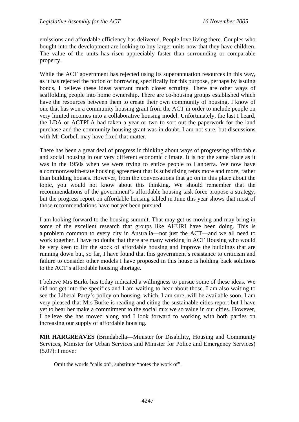emissions and affordable efficiency has delivered. People love living there. Couples who bought into the development are looking to buy larger units now that they have children. The value of the units has risen appreciably faster than surrounding or comparable property.

While the ACT government has rejected using its superannuation resources in this way, as it has rejected the notion of borrowing specifically for this purpose, perhaps by issuing bonds, I believe these ideas warrant much closer scrutiny. There are other ways of scaffolding people into home ownership. There are co-housing groups established which have the resources between them to create their own community of housing. I know of one that has won a community housing grant from the ACT in order to include people on very limited incomes into a collaborative housing model. Unfortunately, the last I heard, the LDA or ACTPLA had taken a year or two to sort out the paperwork for the land purchase and the community housing grant was in doubt. I am not sure, but discussions with Mr Corbell may have fixed that matter.

There has been a great deal of progress in thinking about ways of progressing affordable and social housing in our very different economic climate. It is not the same place as it was in the 1950s when we were trying to entice people to Canberra. We now have a commonwealth-state housing agreement that is subsidising rents more and more, rather than building houses. However, from the conversations that go on in this place about the topic, you would not know about this thinking. We should remember that the recommendations of the government's affordable housing task force propose a strategy, but the progress report on affordable housing tabled in June this year shows that most of those recommendations have not yet been pursued.

I am looking forward to the housing summit. That may get us moving and may bring in some of the excellent research that groups like AHURI have been doing. This is a problem common to every city in Australia—not just the ACT—and we all need to work together. I have no doubt that there are many working in ACT Housing who would be very keen to lift the stock of affordable housing and improve the buildings that are running down but, so far, I have found that this government's resistance to criticism and failure to consider other models I have proposed in this house is holding back solutions to the ACT's affordable housing shortage.

I believe Mrs Burke has today indicated a willingness to pursue some of these ideas. We did not get into the specifics and I am waiting to hear about those. I am also waiting to see the Liberal Party's policy on housing, which, I am sure, will be available soon. I am very pleased that Mrs Burke is reading and citing the sustainable cities report but I have yet to hear her make a commitment to the social mix we so value in our cities. However, I believe she has moved along and I look forward to working with both parties on increasing our supply of affordable housing.

**MR HARGREAVES** (Brindabella—Minister for Disability, Housing and Community Services, Minister for Urban Services and Minister for Police and Emergency Services) (5.07): I move:

Omit the words "calls on", substitute "notes the work of".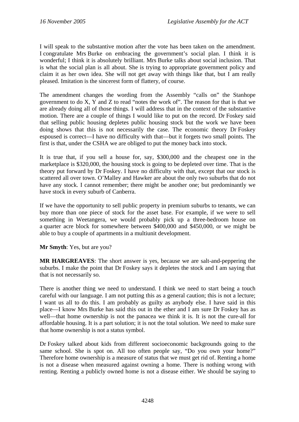I will speak to the substantive motion after the vote has been taken on the amendment. I congratulate Mrs Burke on embracing the government's social plan. I think it is wonderful; I think it is absolutely brilliant. Mrs Burke talks about social inclusion. That is what the social plan is all about. She is trying to appropriate government policy and claim it as her own idea. She will not get away with things like that, but I am really pleased. Imitation is the sincerest form of flattery, of course.

The amendment changes the wording from the Assembly "calls on" the Stanhope government to do X, Y and Z to read "notes the work of". The reason for that is that we are already doing all of those things. I will address that in the context of the substantive motion. There are a couple of things I would like to put on the record. Dr Foskey said that selling public housing depletes public housing stock but the work we have been doing shows that this is not necessarily the case. The economic theory Dr Foskey espoused is correct—I have no difficulty with that—but it forgets two small points. The first is that, under the CSHA we are obliged to put the money back into stock.

It is true that, if you sell a house for, say, \$300,000 and the cheapest one in the marketplace is \$320,000, the housing stock is going to be depleted over time. That is the theory put forward by Dr Foskey. I have no difficulty with that, except that our stock is scattered all over town. O'Malley and Hawker are about the only two suburbs that do not have any stock. I cannot remember; there might be another one; but predominantly we have stock in every suburb of Canberra.

If we have the opportunity to sell public property in premium suburbs to tenants, we can buy more than one piece of stock for the asset base. For example, if we were to sell something in Weetangera, we would probably pick up a three-bedroom house on a quarter acre block for somewhere between \$400,000 and \$450,000, or we might be able to buy a couple of apartments in a multiunit development.

**Mr Smyth**: Yes, but are you?

**MR HARGREAVES**: The short answer is yes, because we are salt-and-peppering the suburbs. I make the point that Dr Foskey says it depletes the stock and I am saying that that is not necessarily so.

There is another thing we need to understand. I think we need to start being a touch careful with our language. I am not putting this as a general caution; this is not a lecture; I want us all to do this. I am probably as guilty as anybody else. I have said in this place—I know Mrs Burke has said this out in the ether and I am sure Dr Foskey has as well—that home ownership is not the panacea we think it is. It is not the cure-all for affordable housing. It is a part solution; it is not the total solution. We need to make sure that home ownership is not a status symbol.

Dr Foskey talked about kids from different socioeconomic backgrounds going to the same school. She is spot on. All too often people say, "Do you own your home?" Therefore home ownership is a measure of status that we must get rid of. Renting a home is not a disease when measured against owning a home. There is nothing wrong with renting. Renting a publicly owned home is not a disease either. We should be saying to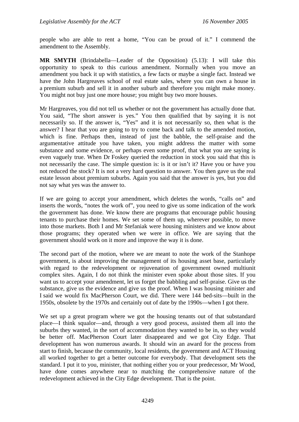people who are able to rent a home, "You can be proud of it." I commend the amendment to the Assembly.

**MR SMYTH** (Brindabella—Leader of the Opposition) (5.13): I will take this opportunity to speak to this curious amendment. Normally when you move an amendment you back it up with statistics, a few facts or maybe a single fact. Instead we have the John Hargreaves school of real estate sales, where you can own a house in a premium suburb and sell it in another suburb and therefore you might make money. You might not buy just one more house; you might buy two more houses.

Mr Hargreaves, you did not tell us whether or not the government has actually done that. You said, "The short answer is yes." You then qualified that by saying it is not necessarily so. If the answer is, "Yes" and it is not necessarily so, then what is the answer? I hear that you are going to try to come back and talk to the amended motion, which is fine. Perhaps then, instead of just the babble, the self-praise and the argumentative attitude you have taken, you might address the matter with some substance and some evidence, or perhaps even some proof, that what you are saying is even vaguely true. When Dr Foskey queried the reduction in stock you said that this is not necessarily the case. The simple question is: is it or isn't it? Have you or have you not reduced the stock? It is not a very hard question to answer. You then gave us the real estate lesson about premium suburbs. Again you said that the answer is yes, but you did not say what yes was the answer to.

If we are going to accept your amendment, which deletes the words, "calls on" and inserts the words, "notes the work of", you need to give us some indication of the work the government has done. We know there are programs that encourage public housing tenants to purchase their homes. We set some of them up, wherever possible, to move into those markets. Both I and Mr Stefaniak were housing ministers and we know about those programs; they operated when we were in office. We are saying that the government should work on it more and improve the way it is done.

The second part of the motion, where we are meant to note the work of the Stanhope government, is about improving the management of its housing asset base, particularly with regard to the redevelopment or rejuvenation of government owned multiunit complex sites. Again, I do not think the minister even spoke about those sites. If you want us to accept your amendment, let us forget the babbling and self-praise. Give us the substance, give us the evidence and give us the proof. When I was housing minister and I said we would fix MacPherson Court, we did. There were 144 bed-sits—built in the 1950s, obsolete by the 1970s and certainly out of date by the 1990s—when I got there.

We set up a great program where we got the housing tenants out of that substandard place—I think squalor—and, through a very good process, assisted them all into the suburbs they wanted, in the sort of accommodation they wanted to be in, so they would be better off. MacPherson Court later disappeared and we got City Edge. That development has won numerous awards. It should win an award for the process from start to finish, because the community, local residents, the government and ACT Housing all worked together to get a better outcome for everybody. That development sets the standard. I put it to you, minister, that nothing either you or your predecessor, Mr Wood, have done comes anywhere near to matching the comprehensive nature of the redevelopment achieved in the City Edge development. That is the point.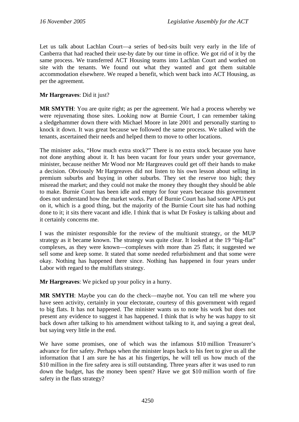Let us talk about Lachlan Court—a series of bed-sits built very early in the life of Canberra that had reached their use-by date by our time in office. We got rid of it by the same process. We transferred ACT Housing teams into Lachlan Court and worked on site with the tenants. We found out what they wanted and got them suitable accommodation elsewhere. We reaped a benefit, which went back into ACT Housing, as per the agreement.

## **Mr Hargreaves**: Did it just?

**MR SMYTH**: You are quite right; as per the agreement. We had a process whereby we were rejuvenating those sites. Looking now at Burnie Court, I can remember taking a sledgehammer down there with Michael Moore in late 2001 and personally starting to knock it down. It was great because we followed the same process. We talked with the tenants, ascertained their needs and helped them to move to other locations.

The minister asks, "How much extra stock?" There is no extra stock because you have not done anything about it. It has been vacant for four years under your governance, minister, because neither Mr Wood nor Mr Hargreaves could get off their hands to make a decision. Obviously Mr Hargreaves did not listen to his own lesson about selling in premium suburbs and buying in other suburbs. They set the reserve too high; they misread the market; and they could not make the money they thought they should be able to make. Burnie Court has been idle and empty for four years because this government does not understand how the market works. Part of Burnie Court has had some APUs put on it, which is a good thing, but the majority of the Burnie Court site has had nothing done to it; it sits there vacant and idle. I think that is what Dr Foskey is talking about and it certainly concerns me.

I was the minister responsible for the review of the multiunit strategy, or the MUP strategy as it became known. The strategy was quite clear. It looked at the 19 "big-flat" complexes, as they were known—complexes with more than 25 flats; it suggested we sell some and keep some. It stated that some needed refurbishment and that some were okay. Nothing has happened there since. Nothing has happened in four years under Labor with regard to the multiflats strategy.

**Mr Hargreaves**: We picked up your policy in a hurry.

**MR SMYTH**: Maybe you can do the check—maybe not. You can tell me where you have seen activity, certainly in your electorate, courtesy of this government with regard to big flats. It has not happened. The minister wants us to note his work but does not present any evidence to suggest it has happened. I think that is why he was happy to sit back down after talking to his amendment without talking to it, and saying a great deal, but saying very little in the end.

We have some promises, one of which was the infamous \$10 million Treasurer's advance for fire safety. Perhaps when the minister leaps back to his feet to give us all the information that I am sure he has at his fingertips, he will tell us how much of the \$10 million in the fire safety area is still outstanding. Three years after it was used to run down the budget, has the money been spent? Have we got \$10 million worth of fire safety in the flats strategy?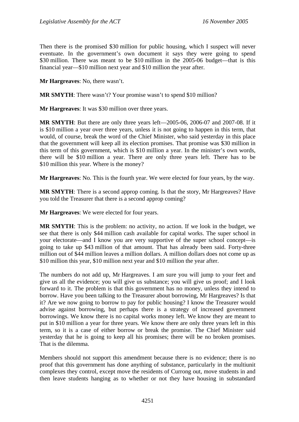Then there is the promised \$30 million for public housing, which I suspect will never eventuate. In the government's own document it says they were going to spend \$30 million. There was meant to be \$10 million in the 2005-06 budget—that is this financial year—\$10 million next year and \$10 million the year after.

**Mr Hargreaves**: No, there wasn't.

**MR SMYTH**: There wasn't? Your promise wasn't to spend \$10 million?

**Mr Hargreaves**: It was \$30 million over three years.

**MR SMYTH**: But there are only three years left—2005-06, 2006-07 and 2007-08. If it is \$10 million a year over three years, unless it is not going to happen in this term, that would, of course, break the word of the Chief Minister, who said yesterday in this place that the government will keep all its election promises. That promise was \$30 million in this term of this government, which is \$10 million a year. In the minister's own words, there will be \$10 million a year. There are only three years left. There has to be \$10 million this year. Where is the money?

**Mr Hargreaves**: No. This is the fourth year. We were elected for four years, by the way.

**MR SMYTH**: There is a second approp coming. Is that the story, Mr Hargreaves? Have you told the Treasurer that there is a second approp coming?

**Mr Hargreaves**: We were elected for four years.

**MR SMYTH**: This is the problem: no activity, no action. If we look in the budget, we see that there is only \$44 million cash available for capital works. The super school in your electorate—and I know you are very supportive of the super school concept—is going to take up \$43 million of that amount. That has already been said. Forty-three million out of \$44 million leaves a million dollars. A million dollars does not come up as \$10 million this year, \$10 million next year and \$10 million the year after.

The numbers do not add up, Mr Hargreaves. I am sure you will jump to your feet and give us all the evidence; you will give us substance; you will give us proof; and I look forward to it. The problem is that this government has no money, unless they intend to borrow. Have you been talking to the Treasurer about borrowing, Mr Hargreaves? Is that it? Are we now going to borrow to pay for public housing? I know the Treasurer would advise against borrowing, but perhaps there is a strategy of increased government borrowings. We know there is no capital works money left. We know they are meant to put in \$10 million a year for three years. We know there are only three years left in this term, so it is a case of either borrow or break the promise. The Chief Minister said yesterday that he is going to keep all his promises; there will be no broken promises. That is the dilemma.

Members should not support this amendment because there is no evidence; there is no proof that this government has done anything of substance, particularly in the multiunit complexes they control, except move the residents of Currong out, move students in and then leave students hanging as to whether or not they have housing in substandard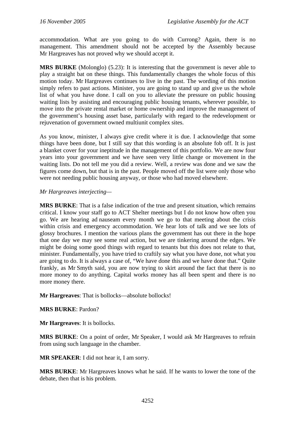accommodation. What are you going to do with Currong? Again, there is no management. This amendment should not be accepted by the Assembly because Mr Hargreaves has not proved why we should accept it.

**MRS BURKE** (Molonglo) (5.23): It is interesting that the government is never able to play a straight bat on these things. This fundamentally changes the whole focus of this motion today. Mr Hargreaves continues to live in the past. The wording of this motion simply refers to past actions. Minister, you are going to stand up and give us the whole list of what you have done. I call on you to alleviate the pressure on public housing waiting lists by assisting and encouraging public housing tenants, wherever possible, to move into the private rental market or home ownership and improve the management of the government's housing asset base, particularly with regard to the redevelopment or rejuvenation of government owned multiunit complex sites.

As you know, minister, I always give credit where it is due. I acknowledge that some things have been done, but I still say that this wording is an absolute fob off. It is just a blanket cover for your ineptitude in the management of this portfolio. We are now four years into your government and we have seen very little change or movement in the waiting lists. Do not tell me you did a review. Well, a review was done and we saw the figures come down, but that is in the past. People moved off the list were only those who were not needing public housing anyway, or those who had moved elsewhere.

## *Mr Hargreaves interjecting—*

**MRS BURKE**: That is a false indication of the true and present situation, which remains critical. I know your staff go to ACT Shelter meetings but I do not know how often you go. We are hearing ad nauseam every month we go to that meeting about the crisis within crisis and emergency accommodation. We hear lots of talk and we see lots of glossy brochures. I mention the various plans the government has out there in the hope that one day we may see some real action, but we are tinkering around the edges. We might be doing some good things with regard to tenants but this does not relate to that, minister. Fundamentally, you have tried to craftily say what you have done, not what you are going to do. It is always a case of, "We have done this and we have done that." Quite frankly, as Mr Smyth said, you are now trying to skirt around the fact that there is no more money to do anything. Capital works money has all been spent and there is no more money there.

## **Mr Hargreaves**: That is bollocks—absolute bollocks!

## **MRS BURKE**: Pardon?

**Mr Hargreaves**: It is bollocks.

**MRS BURKE**: On a point of order, Mr Speaker, I would ask Mr Hargreaves to refrain from using such language in the chamber.

**MR SPEAKER**: I did not hear it, I am sorry.

**MRS BURKE**: Mr Hargreaves knows what he said. If he wants to lower the tone of the debate, then that is his problem.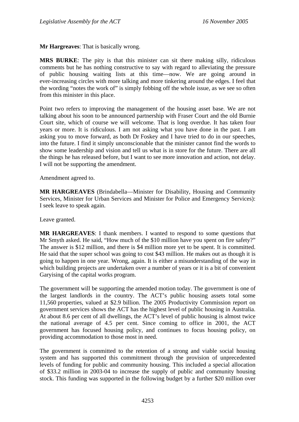**Mr Hargreaves**: That is basically wrong.

**MRS BURKE**: The pity is that this minister can sit there making silly, ridiculous comments but he has nothing constructive to say with regard to alleviating the pressure of public housing waiting lists at this time—now. We are going around in ever-increasing circles with more talking and more tinkering around the edges. I feel that the wording "notes the work of" is simply fobbing off the whole issue, as we see so often from this minister in this place.

Point two refers to improving the management of the housing asset base. We are not talking about his soon to be announced partnership with Fraser Court and the old Burnie Court site, which of course we will welcome. That is long overdue. It has taken four years or more. It is ridiculous. I am not asking what you have done in the past. I am asking you to move forward, as both Dr Foskey and I have tried to do in our speeches, into the future. I find it simply unconscionable that the minister cannot find the words to show some leadership and vision and tell us what is in store for the future. There are all the things he has released before, but I want to see more innovation and action, not delay. I will not be supporting the amendment.

Amendment agreed to.

**MR HARGREAVES** (Brindabella—Minister for Disability, Housing and Community Services, Minister for Urban Services and Minister for Police and Emergency Services): I seek leave to speak again.

Leave granted.

**MR HARGREAVES**: I thank members. I wanted to respond to some questions that Mr Smyth asked. He said, "How much of the \$10 million have you spent on fire safety?" The answer is \$12 million, and there is \$4 million more yet to be spent. It is committed. He said that the super school was going to cost \$43 million. He makes out as though it is going to happen in one year. Wrong, again. It is either a misunderstanding of the way in which building projects are undertaken over a number of years or it is a bit of convenient Garyising of the capital works program.

The government will be supporting the amended motion today. The government is one of the largest landlords in the country. The ACT's public housing assets total some 11,560 properties, valued at \$2.9 billion. The 2005 Productivity Commission report on government services shows the ACT has the highest level of public housing in Australia. At about 8.6 per cent of all dwellings, the ACT's level of public housing is almost twice the national average of 4.5 per cent. Since coming to office in 2001, the ACT government has focused housing policy, and continues to focus housing policy, on providing accommodation to those most in need.

The government is committed to the retention of a strong and viable social housing system and has supported this commitment through the provision of unprecedented levels of funding for public and community housing. This included a special allocation of \$33.2 million in 2003-04 to increase the supply of public and community housing stock. This funding was supported in the following budget by a further \$20 million over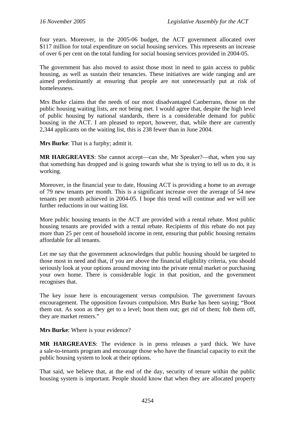four years. Moreover, in the 2005-06 budget, the ACT government allocated over \$117 million for total expenditure on social housing services. This represents an increase of over 6 per cent on the total funding for social housing services provided in 2004-05.

The government has also moved to assist those most in need to gain access to public housing, as well as sustain their tenancies. These initiatives are wide ranging and are aimed predominantly at ensuring that people are not unnecessarily put at risk of homelessness.

Mrs Burke claims that the needs of our most disadvantaged Canberrans, those on the public housing waiting lists, are not being met. I would agree that, despite the high level of public housing by national standards, there is a considerable demand for public housing in the ACT. I am pleased to report, however, that, while there are currently 2,344 applicants on the waiting list, this is 238 fewer than in June 2004.

**Mrs Burke**: That is a furphy; admit it.

**MR HARGREAVES**: She cannot accept—can she, Mr Speaker?—that, when you say that something has dropped and is going towards what she is trying to tell us to do, it is working.

Moreover, in the financial year to date, Housing ACT is providing a home to an average of 79 new tenants per month. This is a significant increase over the average of 54 new tenants per month achieved in 2004-05. I hope this trend will continue and we will see further reductions in our waiting list.

More public housing tenants in the ACT are provided with a rental rebate. Most public housing tenants are provided with a rental rebate. Recipients of this rebate do not pay more than 25 per cent of household income in rent, ensuring that public housing remains affordable for all tenants.

Let me say that the government acknowledges that public housing should be targeted to those most in need and that, if you are above the financial eligibility criteria, you should seriously look at your options around moving into the private rental market or purchasing your own home. There is considerable logic in that position, and the government recognises that.

The key issue here is encouragement versus compulsion. The government favours encouragement. The opposition favours compulsion. Mrs Burke has been saying; "Boot them out. As soon as they get to a level; boot them out; get rid of them; fob them off, they are market renters."

**Mrs Burke**: Where is your evidence?

**MR HARGREAVES**: The evidence is in press releases a yard thick. We have a sale-to-tenants program and encourage those who have the financial capacity to exit the public housing system to look at their options.

That said, we believe that, at the end of the day, security of tenure within the public housing system is important. People should know that when they are allocated property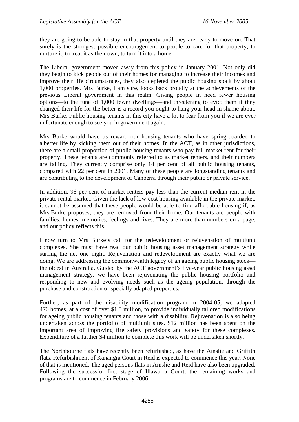they are going to be able to stay in that property until they are ready to move on. That surely is the strongest possible encouragement to people to care for that property, to nurture it, to treat it as their own, to turn it into a home.

The Liberal government moved away from this policy in January 2001. Not only did they begin to kick people out of their homes for managing to increase their incomes and improve their life circumstances, they also depleted the public housing stock by about 1,000 properties. Mrs Burke, I am sure, looks back proudly at the achievements of the previous Liberal government in this realm. Giving people in need fewer housing options—to the tune of 1,000 fewer dwellings—and threatening to evict them if they changed their life for the better is a record you ought to hang your head in shame about, Mrs Burke. Public housing tenants in this city have a lot to fear from you if we are ever unfortunate enough to see you in government again.

Mrs Burke would have us reward our housing tenants who have spring-boarded to a better life by kicking them out of their homes. In the ACT, as in other jurisdictions, there are a small proportion of public housing tenants who pay full market rent for their property. These tenants are commonly referred to as market renters, and their numbers are falling. They currently comprise only 14 per cent of all public housing tenants, compared with 22 per cent in 2001. Many of these people are longstanding tenants and are contributing to the development of Canberra through their public or private service.

In addition, 96 per cent of market renters pay less than the current median rent in the private rental market. Given the lack of low-cost housing available in the private market, it cannot be assumed that these people would be able to find affordable housing if, as Mrs Burke proposes, they are removed from their home. Our tenants are people with families, homes, memories, feelings and lives. They are more than numbers on a page, and our policy reflects this.

I now turn to Mrs Burke's call for the redevelopment or rejuvenation of multiunit complexes. She must have read our public housing asset management strategy while surfing the net one night. Rejuvenation and redevelopment are exactly what we are doing. We are addressing the commonwealth legacy of an ageing public housing stock the oldest in Australia. Guided by the ACT government's five-year public housing asset management strategy, we have been rejuvenating the public housing portfolio and responding to new and evolving needs such as the ageing population, through the purchase and construction of specially adapted properties.

Further, as part of the disability modification program in 2004-05, we adapted 470 homes, at a cost of over \$1.5 million, to provide individually tailored modifications for ageing public housing tenants and those with a disability. Rejuvenation is also being undertaken across the portfolio of multiunit sites. \$12 million has been spent on the important area of improving fire safety provisions and safety for these complexes. Expenditure of a further \$4 million to complete this work will be undertaken shortly.

The Northbourne flats have recently been refurbished, as have the Ainslie and Griffith flats. Refurbishment of Kanangra Court in Reid is expected to commence this year. None of that is mentioned. The aged persons flats in Ainslie and Reid have also been upgraded. Following the successful first stage of Illawarra Court, the remaining works and programs are to commence in February 2006.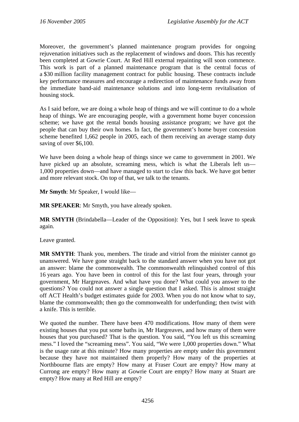Moreover, the government's planned maintenance program provides for ongoing rejuvenation initiatives such as the replacement of windows and doors. This has recently been completed at Gowrie Court. At Red Hill external repainting will soon commence. This work is part of a planned maintenance program that is the central focus of a \$30 million facility management contract for public housing. These contracts include key performance measures and encourage a redirection of maintenance funds away from the immediate band-aid maintenance solutions and into long-term revitalisation of housing stock.

As I said before, we are doing a whole heap of things and we will continue to do a whole heap of things. We are encouraging people, with a government home buyer concession scheme; we have got the rental bonds housing assistance program; we have got the people that can buy their own homes. In fact, the government's home buyer concession scheme benefited 1,662 people in 2005, each of them receiving an average stamp duty saving of over \$6,100.

We have been doing a whole heap of things since we came to government in 2001. We have picked up an absolute, screaming mess, which is what the Liberals left us— 1,000 properties down—and have managed to start to claw this back. We have got better and more relevant stock. On top of that, we talk to the tenants.

**Mr Smyth**: Mr Speaker, I would like—

**MR SPEAKER**: Mr Smyth, you have already spoken.

**MR SMYTH** (Brindabella—Leader of the Opposition): Yes, but I seek leave to speak again.

Leave granted.

**MR SMYTH**: Thank you, members. The tirade and vitriol from the minister cannot go unanswered. We have gone straight back to the standard answer when you have not got an answer: blame the commonwealth. The commonwealth relinquished control of this 16 years ago. You have been in control of this for the last four years, through your government, Mr Hargreaves. And what have you done? What could you answer to the questions? You could not answer a single question that I asked. This is almost straight off ACT Health's budget estimates guide for 2003. When you do not know what to say, blame the commonwealth; then go the commonwealth for underfunding; then twist with a knife. This is terrible.

We quoted the number. There have been 470 modifications. How many of them were existing houses that you put some baths in, Mr Hargreaves, and how many of them were houses that you purchased? That is the question. You said, "You left us this screaming mess." I loved the "screaming mess". You said, "We were 1,000 properties down." What is the usage rate at this minute? How many properties are empty under this government because they have not maintained them properly? How many of the properties at Northbourne flats are empty? How many at Fraser Court are empty? How many at Currong are empty? How many at Gowrie Court are empty? How many at Stuart are empty? How many at Red Hill are empty?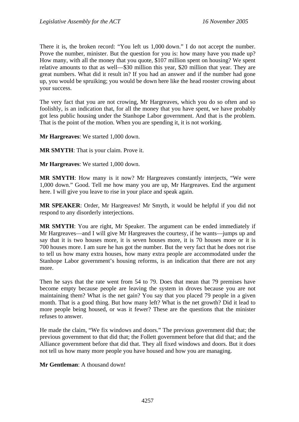There it is, the broken record: "You left us 1,000 down." I do not accept the number. Prove the number, minister. But the question for you is: how many have you made up? How many, with all the money that you quote, \$107 million spent on housing? We spent relative amounts to that as well—\$30 million this year, \$20 million that year. They are great numbers. What did it result in? If you had an answer and if the number had gone up, you would be spruiking; you would be down here like the head rooster crowing about your success.

The very fact that you are not crowing, Mr Hargreaves, which you do so often and so foolishly, is an indication that, for all the money that you have spent, we have probably got less public housing under the Stanhope Labor government. And that is the problem. That is the point of the motion. When you are spending it, it is not working.

**Mr Hargreaves**: We started 1,000 down.

**MR SMYTH**: That is your claim. Prove it.

**Mr Hargreaves**: We started 1,000 down.

**MR SMYTH**: How many is it now? Mr Hargreaves constantly interjects, "We were 1,000 down." Good. Tell me how many you are up, Mr Hargreaves. End the argument here. I will give you leave to rise in your place and speak again.

**MR SPEAKER**: Order, Mr Hargreaves! Mr Smyth, it would be helpful if you did not respond to any disorderly interjections.

**MR SMYTH**: You are right, Mr Speaker. The argument can be ended immediately if Mr Hargreaves—and I will give Mr Hargreaves the courtesy, if he wants—jumps up and say that it is two houses more, it is seven houses more, it is 70 houses more or it is 700 houses more. I am sure he has got the number. But the very fact that he does not rise to tell us how many extra houses, how many extra people are accommodated under the Stanhope Labor government's housing reforms, is an indication that there are not any more.

Then he says that the rate went from 54 to 79. Does that mean that 79 premises have become empty because people are leaving the system in droves because you are not maintaining them? What is the net gain? You say that you placed 79 people in a given month. That is a good thing. But how many left? What is the net growth? Did it lead to more people being housed, or was it fewer? These are the questions that the minister refuses to answer.

He made the claim, "We fix windows and doors." The previous government did that; the previous government to that did that; the Follett government before that did that; and the Alliance government before that did that. They all fixed windows and doors. But it does not tell us how many more people you have housed and how you are managing.

**Mr Gentleman**: A thousand down!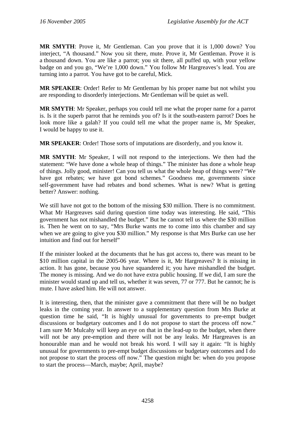**MR SMYTH**: Prove it, Mr Gentleman. Can you prove that it is 1,000 down? You interject, "A thousand." Now you sit there, mute. Prove it, Mr Gentleman. Prove it is a thousand down. You are like a parrot; you sit there, all puffed up, with your yellow badge on and you go, "We're 1,000 down." You follow Mr Hargreaves's lead. You are turning into a parrot. You have got to be careful, Mick.

**MR SPEAKER**: Order! Refer to Mr Gentleman by his proper name but not whilst you are responding to disorderly interjections. Mr Gentleman will be quiet as well.

**MR SMYTH**: Mr Speaker, perhaps you could tell me what the proper name for a parrot is. Is it the superb parrot that he reminds you of? Is it the south-eastern parrot? Does he look more like a galah? If you could tell me what the proper name is, Mr Speaker, I would be happy to use it.

**MR SPEAKER**: Order! Those sorts of imputations are disorderly, and you know it.

**MR SMYTH**: Mr Speaker, I will not respond to the interjections. We then had the statement: "We have done a whole heap of things." The minister has done a whole heap of things. Jolly good, minister! Can you tell us what the whole heap of things were? "We have got rebates; we have got bond schemes." Goodness me, governments since self-government have had rebates and bond schemes. What is new? What is getting better? Answer: nothing.

We still have not got to the bottom of the missing \$30 million. There is no commitment. What Mr Hargreaves said during question time today was interesting. He said, "This government has not mishandled the budget." But he cannot tell us where the \$30 million is. Then he went on to say, "Mrs Burke wants me to come into this chamber and say when we are going to give you \$30 million." My response is that Mrs Burke can use her intuition and find out for herself"

If the minister looked at the documents that he has got access to, there was meant to be \$10 million capital in the 2005-06 year. Where is it, Mr Hargreaves? It is missing in action. It has gone, because you have squandered it; you have mishandled the budget. The money is missing. And we do not have extra public housing. If we did, I am sure the minister would stand up and tell us, whether it was seven, 77 or 777. But he cannot; he is mute. I have asked him. He will not answer.

It is interesting, then, that the minister gave a commitment that there will be no budget leaks in the coming year. In answer to a supplementary question from Mrs Burke at question time he said, "It is highly unusual for governments to pre-empt budget discussions or budgetary outcomes and I do not propose to start the process off now." I am sure Mr Mulcahy will keep an eye on that in the lead-up to the budget, when there will not be any pre-emption and there will not be any leaks. Mr Hargreaves is an honourable man and he would not break his word. I will say it again: "It is highly unusual for governments to pre-empt budget discussions or budgetary outcomes and I do not propose to start the process off now." The question might be: when do you propose to start the process—March, maybe; April, maybe?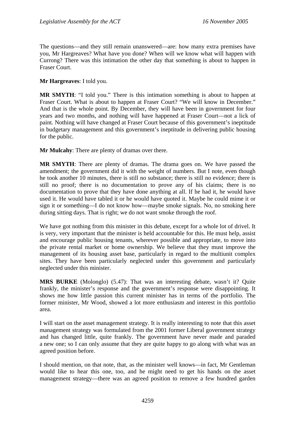The questions—and they still remain unanswered—are: how many extra premises have you, Mr Hargreaves? What have you done? When will we know what will happen with Currong? There was this intimation the other day that something is about to happen in Fraser Court.

**Mr Hargreaves**: I told you.

**MR SMYTH**: "I told you." There is this intimation something is about to happen at Fraser Court. What is about to happen at Fraser Court? "We will know in December." And that is the whole point. By December, they will have been in government for four years and two months, and nothing will have happened at Fraser Court—not a lick of paint. Nothing will have changed at Fraser Court because of this government's ineptitude in budgetary management and this government's ineptitude in delivering public housing for the public.

**Mr Mulcahy**: There are plenty of dramas over there.

**MR SMYTH**: There are plenty of dramas. The drama goes on. We have passed the amendment; the government did it with the weight of numbers. But I note, even though he took another 10 minutes, there is still no substance; there is still no evidence; there is still no proof; there is no documentation to prove any of his claims; there is no documentation to prove that they have done anything at all. If he had it, he would have used it. He would have tabled it or he would have quoted it. Maybe he could mime it or sign it or something—I do not know how—maybe smoke signals. No, no smoking here during sitting days. That is right; we do not want smoke through the roof.

We have got nothing from this minister in this debate, except for a whole lot of drivel. It is very, very important that the minister is held accountable for this. He must help, assist and encourage public housing tenants, wherever possible and appropriate, to move into the private rental market or home ownership. We believe that they must improve the management of its housing asset base, particularly in regard to the multiunit complex sites. They have been particularly neglected under this government and particularly neglected under this minister.

**MRS BURKE** (Molonglo) (5.47): That was an interesting debate, wasn't it? Quite frankly, the minister's response and the government's response were disappointing. It shows me how little passion this current minister has in terms of the portfolio. The former minister, Mr Wood, showed a lot more enthusiasm and interest in this portfolio area.

I will start on the asset management strategy. It is really interesting to note that this asset management strategy was formulated from the 2001 former Liberal government strategy and has changed little, quite frankly. The government have never made and paraded a new one; so I can only assume that they are quite happy to go along with what was an agreed position before.

I should mention, on that note, that, as the minister well knows—in fact, Mr Gentleman would like to hear this one, too, and he might need to get his hands on the asset management strategy—there was an agreed position to remove a few hundred garden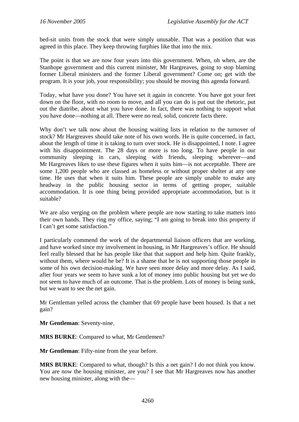bed-sit units from the stock that were simply unusable. That was a position that was agreed in this place. They keep throwing furphies like that into the mix.

The point is that we are now four years into this government. When, oh when, are the Stanhope government and this current minister, Mr Hargreaves, going to stop blaming former Liberal ministers and the former Liberal government? Come on; get with the program. It is your job, your responsibility; you should be moving this agenda forward.

Today, what have you done? You have set it again in concrete. You have got your feet down on the floor, with no room to move, and all you can do is put out the rhetoric, put out the diatribe, about what you have done. In fact, there was nothing to support what you have done—nothing at all. There were no real, solid, concrete facts there.

Why don't we talk now about the housing waiting lists in relation to the turnover of stock? Mr Hargreaves should take note of his own words. He is quite concerned, in fact, about the length of time it is taking to turn over stock. He is disappointed, I note. I agree with his disappointment. The 28 days or more is too long. To have people in our community sleeping in cars, sleeping with friends, sleeping wherever—and Mr Hargreaves likes to use these figures when it suits him—is not acceptable. There are some 1,200 people who are classed as homeless or without proper shelter at any one time. He uses that when it suits him. These people are simply unable to make any headway in the public housing sector in terms of getting proper, suitable accommodation. It is one thing being provided appropriate accommodation, but is it suitable?

We are also verging on the problem where people are now starting to take matters into their own hands. They ring my office, saying; "I am going to break into this property if I can't get some satisfaction."

I particularly commend the work of the departmental liaison officers that are working, and have worked since my involvement in housing, in Mr Hargreaves's office. He should feel really blessed that he has people like that that support and help him. Quite frankly, without them, where would he be? It is a shame that he is not supporting those people in some of his own decision-making. We have seen more delay and more delay. As I said, after four years we seem to have sunk a lot of money into public housing but yet we do not seem to have much of an outcome. That is the problem. Lots of money is being sunk, but we want to see the net gain.

Mr Gentleman yelled across the chamber that 69 people have been housed. Is that a net gain?

**Mr Gentleman**: Seventy-nine.

**MRS BURKE**: Compared to what, Mr Gentlemen?

**Mr Gentleman**: Fifty-nine from the year before.

**MRS BURKE**: Compared to what, though? Is this a net gain? I do not think you know. You are now the housing minister, are you? I see that Mr Hargreaves now has another new housing minister, along with the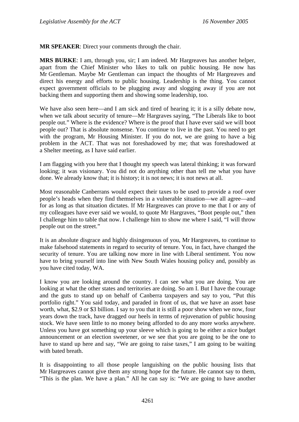**MR SPEAKER**: Direct your comments through the chair.

**MRS BURKE**: I am, through you, sir; I am indeed. Mr Hargreaves has another helper, apart from the Chief Minister who likes to talk on public housing. He now has Mr Gentleman. Maybe Mr Gentleman can impact the thoughts of Mr Hargreaves and direct his energy and efforts to public housing. Leadership is the thing. You cannot expect government officials to be plugging away and slogging away if you are not backing them and supporting them and showing some leadership, too.

We have also seen here—and I am sick and tired of hearing it; it is a silly debate now, when we talk about security of tenure—Mr Hargraves saying, "The Liberals like to boot people out." Where is the evidence? Where is the proof that I have ever said we will boot people out? That is absolute nonsense. You continue to live in the past. You need to get with the program, Mr Housing Minister. If you do not, we are going to have a big problem in the ACT. That was not foreshadowed by me; that was foreshadowed at a Shelter meeting, as I have said earlier.

I am flagging with you here that I thought my speech was lateral thinking; it was forward looking; it was visionary. You did not do anything other than tell me what you have done. We already know that; it is history; it is not news; it is not news at all.

Most reasonable Canberrans would expect their taxes to be used to provide a roof over people's heads when they find themselves in a vulnerable situation—we all agree—and for as long as that situation dictates. If Mr Hargreaves can prove to me that I or any of my colleagues have ever said we would, to quote Mr Hargraves, "Boot people out," then I challenge him to table that now. I challenge him to show me where I said, "I will throw people out on the street."

It is an absolute disgrace and highly disingenuous of you, Mr Hargreaves, to continue to make falsehood statements in regard to security of tenure. You, in fact, have changed the security of tenure. You are talking now more in line with Liberal sentiment. You now have to bring yourself into line with New South Wales housing policy and, possibly as you have cited today, WA.

I know you are looking around the country. I can see what you are doing. You are looking at what the other states and territories are doing. So am I. But I have the courage and the guts to stand up on behalf of Canberra taxpayers and say to you, "Put this portfolio right." You said today, and paraded in front of us, that we have an asset base worth, what, \$2.9 or \$3 billion. I say to you that it is still a poor show when we now, four years down the track, have dragged our heels in terms of rejuvenation of public housing stock. We have seen little to no money being afforded to do any more works anywhere. Unless you have got something up your sleeve which is going to be either a nice budget announcement or an election sweetener, or we see that you are going to be the one to have to stand up here and say, "We are going to raise taxes," I am going to be waiting with bated breath.

It is disappointing to all those people languishing on the public housing lists that Mr Hargreaves cannot give them any strong hope for the future. He cannot say to them, "This is the plan. We have a plan." All he can say is: "We are going to have another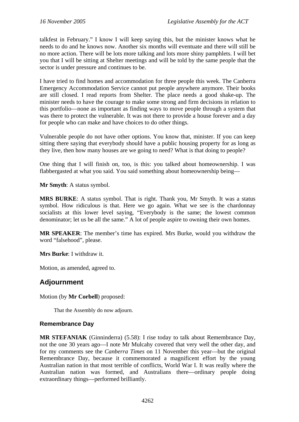talkfest in February." I know I will keep saying this, but the minister knows what he needs to do and he knows now. Another six months will eventuate and there will still be no more action. There will be lots more talking and lots more shiny pamphlets. I will bet you that I will be sitting at Shelter meetings and will be told by the same people that the sector is under pressure and continues to be.

I have tried to find homes and accommodation for three people this week. The Canberra Emergency Accommodation Service cannot put people anywhere anymore. Their books are still closed. I read reports from Shelter. The place needs a good shake-up. The minister needs to have the courage to make some strong and firm decisions in relation to this portfolio—none as important as finding ways to move people through a system that was there to protect the vulnerable. It was not there to provide a house forever and a day for people who can make and have choices to do other things.

Vulnerable people do not have other options. You know that, minister. If you can keep sitting there saying that everybody should have a public housing property for as long as they live, then how many houses are we going to need? What is that doing to people?

One thing that I will finish on, too, is this: you talked about homeownership. I was flabbergasted at what you said. You said something about homeownership being—

**Mr Smyth**: A status symbol.

**MRS BURKE**: A status symbol. That is right. Thank you, Mr Smyth. It was a status symbol. How ridiculous is that. Here we go again. What we see is the chardonnay socialists at this lower level saying, "Everybody is the same; the lowest common denominator; let us be all the same." A lot of people aspire to owning their own homes.

**MR SPEAKER**: The member's time has expired. Mrs Burke, would you withdraw the word "falsehood", please.

**Mrs Burke**: I withdraw it.

Motion, as amended, agreed to.

# **Adjournment**

Motion (by **Mr Corbell**) proposed:

That the Assembly do now adjourn.

## **Remembrance Day**

**MR STEFANIAK** (Ginninderra) (5.58): I rise today to talk about Remembrance Day, not the one 30 years ago—I note Mr Mulcahy covered that very well the other day, and for my comments see the *Canberra Times* on 11 November this year—but the original Remembrance Day, because it commemorated a magnificent effort by the young Australian nation in that most terrible of conflicts, World War I. It was really where the Australian nation was formed, and Australians there—ordinary people doing extraordinary things—performed brilliantly.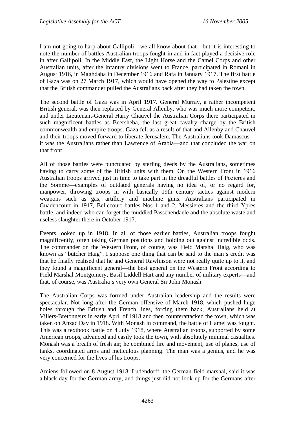I am not going to harp about Gallipoli—we all know about that—but it is interesting to note the number of battles Australian troops fought in and in fact played a decisive role in after Gallipoli. In the Middle East, the Light Horse and the Camel Corps and other Australian units, after the infantry divisions went to France, participated in Romani in August 1916, in Maghdaba in December 1916 and Rafa in January 1917. The first battle of Gaza was on 27 March 1917, which would have opened the way to Palestine except that the British commander pulled the Australians back after they had taken the town.

The second battle of Gaza was in April 1917. General Murray, a rather incompetent British general, was then replaced by General Allenby, who was much more competent, and under Lieutenant-General Harry Chauvel the Australian Corps there participated in such magnificent battles as Beersheba, the last great cavalry charge by the British commonwealth and empire troops. Gaza fell as a result of that and Allenby and Chauvel and their troops moved forward to liberate Jerusalem. The Australians took Damascus it was the Australians rather than Lawrence of Arabia—and that concluded the war on that front.

All of those battles were punctuated by sterling deeds by the Australians, sometimes having to carry some of the British units with them. On the Western Front in 1916 Australian troops arrived just in time to take part in the dreadful battles of Pozieres and the Somme—examples of outdated generals having no idea of, or no regard for, manpower, throwing troops in with basically 19th century tactics against modern weapons such as gas, artillery and machine guns. Australians participated in Guadencourt in 1917, Bellecourt battles Nos 1 and 2, Messieres and the third Ypres battle, and indeed who can forget the muddied Passchendaele and the absolute waste and useless slaughter there in October 1917.

Events looked up in 1918. In all of those earlier battles, Australian troops fought magnificently, often taking German positions and holding out against incredible odds. The commander on the Western Front, of course, was Field Marshal Haig, who was known as "butcher Haig". I suppose one thing that can be said to the man's credit was that he finally realised that he and General Rawlinson were not really quite up to it, and they found a magnificent general—the best general on the Western Front according to Field Marshal Montgomery, Basil Liddell Hart and any number of military experts—and that, of course, was Australia's very own General Sir John Monash.

The Australian Corps was formed under Australian leadership and the results were spectacular. Not long after the German offensive of March 1918, which pushed huge holes through the British and French lines, forcing them back, Australians held at Villers-Bretonneux in early April of 1918 and then counterattacked the town, which was taken on Anzac Day in 1918. With Monash in command, the battle of Hamel was fought. This was a textbook battle on 4 July 1918, where Australian troops, supported by some American troops, advanced and easily took the town, with absolutely minimal casualties. Monash was a breath of fresh air; he combined fire and movement, use of planes, use of tanks, coordinated arms and meticulous planning. The man was a genius, and he was very concerned for the lives of his troops.

Amiens followed on 8 August 1918. Ludendorff, the German field marshal, said it was a black day for the German army, and things just did not look up for the Germans after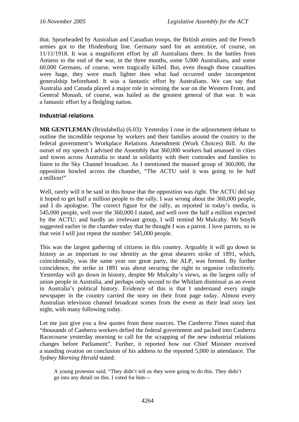that. Spearheaded by Australian and Canadian troops, the British armies and the French armies got to the Hindenburg line. Germany sued for an armistice, of course, on 11/11/1918. It was a magnificent effort by all Australians there. In the battles from Amiens to the end of the war, in the three months, some 5,000 Australians, and some 60,000 Germans, of course, were tragically killed. But, even though those casualties were huge, they were much lighter then what had occurred under incompetent generalship beforehand. It was a fantastic effort by Australians. We can say that Australia and Canada played a major role in winning the war on the Western Front, and General Monash, of course, was hailed as the greatest general of that war. It was a fantastic effort by a fledgling nation.

## **Industrial relations**

**MR GENTLEMAN** (Brindabella) (6.03): Yesterday I rose in the adjournment debate to outline the incredible response by workers and their families around the country to the federal government's Workplace Relations Amendment (Work Choices) Bill. At the outset of my speech I advised the Assembly that 360,000 workers had amassed in cities and towns across Australia to stand in solidarity with their comrades and families to listen to the Sky Channel broadcast. As I mentioned the massed group of 360,000, the opposition howled across the chamber, "The ACTU said it was going to be half a million!"

Well, rarely will it be said in this house that the opposition was right. The ACTU did say it hoped to get half a million people to the rally. I was wrong about the 360,000 people, and I do apologise. The correct figure for the rally, as reported in today's media, is 545,000 people, well over the 360,000 I stated, and well over the half a million expected by the ACTU; and hardly an irrelevant group, I will remind Mr Mulcahy. Mr Smyth suggested earlier in the chamber today that he thought I was a parrot. I love parrots, so in that vein I will just repeat the number: 545,000 people.

This was the largest gathering of citizens in this country. Arguably it will go down in history as as important to our identity as the great shearers strike of 1891, which, coincidentally, was the same year our great party, the ALP, was formed. By further coincidence, the strike in 1891 was about securing the right to organise collectively. Yesterday will go down in history, despite Mr Mulcahy's views, as the largest rally of union people in Australia, and perhaps only second to the Whitlam dismissal as an event in Australia's political history. Evidence of this is that I understand every single newspaper in the country carried the story on their front page today. Almost every Australian television channel broadcast scenes from the event as their lead story last night, with many following today.

Let me just give you a few quotes from these sources. The *Canberra Times* stated that "thousands of Canberra workers defied the federal government and packed into Canberra Racecourse yesterday morning to call for the scrapping of the new industrial relations changes before Parliament". Further, it reported how our Chief Minister received a standing ovation on conclusion of his address to the reported 5,000 in attendance. The *Sydney Morning Herald* stated:

A young protestor said; "They didn't tell us they were going to do this. They didn't go into any detail on this. I voted for him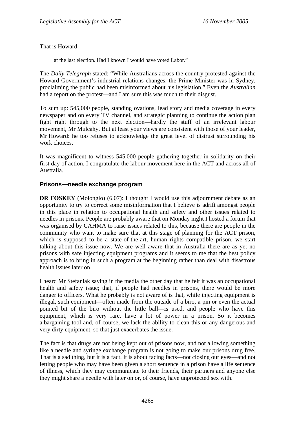That is Howard—

at the last election. Had I known I would have voted Labor."

The *Daily Telegraph* stated: "While Australians across the country protested against the Howard Government's industrial relations changes, the Prime Minister was in Sydney, proclaiming the public had been misinformed about his legislation." Even the *Australian* had a report on the protest—and I am sure this was much to their disgust.

To sum up: 545,000 people, standing ovations, lead story and media coverage in every newspaper and on every TV channel, and strategic planning to continue the action plan fight right through to the next election—hardly the stuff of an irrelevant labour movement, Mr Mulcahy. But at least your views are consistent with those of your leader, Mr Howard: he too refuses to acknowledge the great level of distrust surrounding his work choices.

It was magnificent to witness 545,000 people gathering together in solidarity on their first day of action. I congratulate the labour movement here in the ACT and across all of Australia.

## **Prisons—needle exchange program**

**DR FOSKEY** (Molonglo) (6.07): I thought I would use this adjournment debate as an opportunity to try to correct some misinformation that I believe is adrift amongst people in this place in relation to occupational health and safety and other issues related to needles in prisons. People are probably aware that on Monday night I hosted a forum that was organised by CAHMA to raise issues related to this, because there are people in the community who want to make sure that at this stage of planning for the ACT prison, which is supposed to be a state-of-the-art, human rights compatible prison, we start talking about this issue now. We are well aware that in Australia there are as yet no prisons with safe injecting equipment programs and it seems to me that the best policy approach is to bring in such a program at the beginning rather than deal with disastrous health issues later on.

I heard Mr Stefaniak saying in the media the other day that he felt it was an occupational health and safety issue; that, if people had needles in prisons, there would be more danger to officers. What he probably is not aware of is that, while injecting equipment is illegal, such equipment—often made from the outside of a biro, a pin or even the actual pointed bit of the biro without the little ball—is used, and people who have this equipment, which is very rare, have a lot of power in a prison. So it becomes a bargaining tool and, of course, we lack the ability to clean this or any dangerous and very dirty equipment, so that just exacerbates the issue.

The fact is that drugs are not being kept out of prisons now, and not allowing something like a needle and syringe exchange program is not going to make our prisons drug free. That is a sad thing, but it is a fact. It is about facing facts—not closing our eyes—and not letting people who may have been given a short sentence in a prison have a life sentence of illness, which they may communicate to their friends, their partners and anyone else they might share a needle with later on or, of course, have unprotected sex with.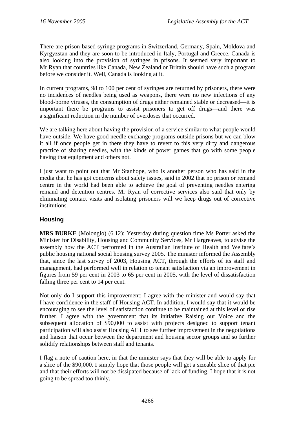There are prison-based syringe programs in Switzerland, Germany, Spain, Moldova and Kyrgyzstan and they are soon to be introduced in Italy, Portugal and Greece. Canada is also looking into the provision of syringes in prisons. It seemed very important to Mr Ryan that countries like Canada, New Zealand or Britain should have such a program before we consider it. Well, Canada is looking at it.

In current programs, 98 to 100 per cent of syringes are returned by prisoners, there were no incidences of needles being used as weapons, there were no new infections of any blood-borne viruses, the consumption of drugs either remained stable or decreased—it is important there be programs to assist prisoners to get off drugs—and there was a significant reduction in the number of overdoses that occurred.

We are talking here about having the provision of a service similar to what people would have outside. We have good needle exchange programs outside prisons but we can blow it all if once people get in there they have to revert to this very dirty and dangerous practice of sharing needles, with the kinds of power games that go with some people having that equipment and others not.

I just want to point out that Mr Stanhope, who is another person who has said in the media that he has got concerns about safety issues, said in 2002 that no prison or remand centre in the world had been able to achieve the goal of preventing needles entering remand and detention centres. Mr Ryan of corrective services also said that only by eliminating contact visits and isolating prisoners will we keep drugs out of corrective institutions.

# **Housing**

**MRS BURKE** (Molonglo) (6.12): Yesterday during question time Ms Porter asked the Minister for Disability, Housing and Community Services, Mr Hargreaves, to advise the assembly how the ACT performed in the Australian Institute of Health and Welfare's public housing national social housing survey 2005. The minister informed the Assembly that, since the last survey of 2003, Housing ACT, through the efforts of its staff and management, had performed well in relation to tenant satisfaction via an improvement in figures from 59 per cent in 2003 to 65 per cent in 2005, with the level of dissatisfaction falling three per cent to 14 per cent.

Not only do I support this improvement; I agree with the minister and would say that I have confidence in the staff of Housing ACT. In addition, I would say that it would be encouraging to see the level of satisfaction continue to be maintained at this level or rise further. I agree with the government that its initiative Raising our Voice and the subsequent allocation of \$90,000 to assist with projects designed to support tenant participation will also assist Housing ACT to see further improvement in the negotiations and liaison that occur between the department and housing sector groups and so further solidify relationships between staff and tenants.

I flag a note of caution here, in that the minister says that they will be able to apply for a slice of the \$90,000. I simply hope that those people will get a sizeable slice of that pie and that their efforts will not be dissipated because of lack of funding. I hope that it is not going to be spread too thinly.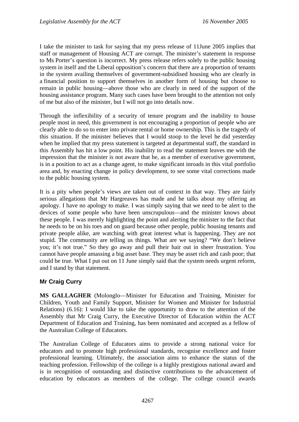I take the minister to task for saying that my press release of 11June 2005 implies that staff or management of Housing ACT are corrupt. The minister's statement in response to Ms Porter's question is incorrect. My press release refers solely to the public housing system in itself and the Liberal opposition's concern that there are a proportion of tenants in the system availing themselves of government-subsidised housing who are clearly in a financial position to support themselves in another form of housing but choose to remain in public housing—above those who are clearly in need of the support of the housing assistance program. Many such cases have been brought to the attention not only of me but also of the minister, but I will not go into details now.

Through the inflexibility of a security of tenure program and the inability to house people most in need, this government is not encouraging a proportion of people who are clearly able to do so to enter into private rental or home ownership. This is the tragedy of this situation. If the minister believes that I would stoop to the level he did yesterday when he implied that my press statement is targeted at departmental staff, the standard in this Assembly has hit a low point. His inability to read the statement leaves me with the impression that the minister is not aware that he, as a member of executive government, is in a position to act as a change agent, to make significant inroads in this vital portfolio area and, by enacting change in policy development, to see some vital corrections made to the public housing system.

It is a pity when people's views are taken out of context in that way. They are fairly serious allegations that Mr Hargreaves has made and he talks about my offering an apology. I have no apology to make. I was simply saying that we need to be alert to the devices of some people who have been unscrupulous—and the minister knows about these people. I was merely highlighting the point and alerting the minister to the fact that he needs to be on his toes and on guard because other people, public housing tenants and private people alike, are watching with great interest what is happening. They are not stupid. The community are telling us things. What are we saying? "We don't believe you; it's not true." So they go away and pull their hair out in sheer frustration. You cannot have people amassing a big asset base. They may be asset rich and cash poor; that could be true. What I put out on 11 June simply said that the system needs urgent reform, and I stand by that statement.

# **Mr Craig Curry**

**MS GALLAGHER** (Molonglo—Minister for Education and Training, Minister for Children, Youth and Family Support, Minister for Women and Minister for Industrial Relations) (6.16): I would like to take the opportunity to draw to the attention of the Assembly that Mr Craig Curry, the Executive Director of Education within the ACT Department of Education and Training, has been nominated and accepted as a fellow of the Australian College of Educators.

The Australian College of Educators aims to provide a strong national voice for educators and to promote high professional standards, recognise excellence and foster professional learning. Ultimately, the association aims to enhance the status of the teaching profession. Fellowship of the college is a highly prestigious national award and is in recognition of outstanding and distinctive contributions to the advancement of education by educators as members of the college. The college council awards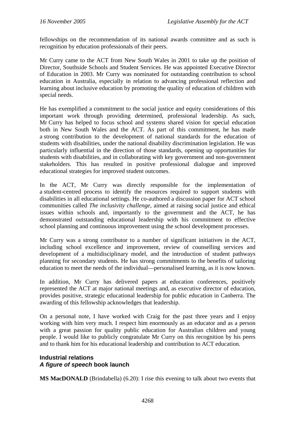fellowships on the recommendation of its national awards committee and as such is recognition by education professionals of their peers.

Mr Curry came to the ACT from New South Wales in 2001 to take up the position of Director, Southside Schools and Student Services. He was appointed Executive Director of Education in 2003. Mr Curry was nominated for outstanding contribution to school education in Australia, especially in relation to advancing professional reflection and learning about inclusive education by promoting the quality of education of children with special needs.

He has exemplified a commitment to the social justice and equity considerations of this important work through providing determined, professional leadership. As such, Mr Curry has helped to focus school and systems shared vision for special education both in New South Wales and the ACT. As part of this commitment, he has made a strong contribution to the development of national standards for the education of students with disabilities, under the national disability discrimination legislation. He was particularly influential in the direction of those standards, opening up opportunities for students with disabilities, and in collaborating with key government and non-government stakeholders. This has resulted in positive professional dialogue and improved educational strategies for improved student outcomes.

In the ACT, Mr Curry was directly responsible for the implementation of a student-centred process to identify the resources required to support students with disabilities in all educational settings. He co-authored a discussion paper for ACT school communities called *The inclusivity challenge*, aimed at raising social justice and ethical issues within schools and, importantly to the government and the ACT, he has demonstrated outstanding educational leadership with his commitment to effective school planning and continuous improvement using the school development processes.

Mr Curry was a strong contributor to a number of significant initiatives in the ACT, including school excellence and improvement, review of counselling services and development of a multidisciplinary model, and the introduction of student pathways planning for secondary students. He has strong commitments to the benefits of tailoring education to meet the needs of the individual—personalised learning, as it is now known.

In addition, Mr Curry has delivered papers at education conferences, positively represented the ACT at major national meetings and, as executive director of education, provides positive, strategic educational leadership for public education in Canberra. The awarding of this fellowship acknowledges that leadership.

On a personal note, I have worked with Craig for the past three years and I enjoy working with him very much. I respect him enormously as an educator and as a person with a great passion for quality public education for Australian children and young people. I would like to publicly congratulate Mr Curry on this recognition by his peers and to thank him for his educational leadership and contribution to ACT education.

# **Industrial relations**  *A figure of speech* **book launch**

**MS MacDONALD** (Brindabella) (6.20): I rise this evening to talk about two events that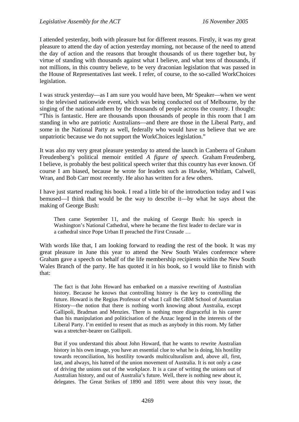I attended yesterday, both with pleasure but for different reasons. Firstly, it was my great pleasure to attend the day of action yesterday morning, not because of the need to attend the day of action and the reasons that brought thousands of us there together but, by virtue of standing with thousands against what I believe, and what tens of thousands, if not millions, in this country believe, to be very draconian legislation that was passed in the House of Representatives last week. I refer, of course, to the so-called WorkChoices legislation.

I was struck yesterday—as I am sure you would have been, Mr Speaker—when we went to the televised nationwide event, which was being conducted out of Melbourne, by the singing of the national anthem by the thousands of people across the country. I thought: "This is fantastic. Here are thousands upon thousands of people in this room that I am standing in who are patriotic Australians—and there are those in the Liberal Party, and some in the National Party as well, federally who would have us believe that we are unpatriotic because we do not support the WorkChoices legislation."

It was also my very great pleasure yesterday to attend the launch in Canberra of Graham Freudenberg's political memoir entitled *A figure of speech*. Graham Freudenberg, I believe, is probably the best political speech writer that this country has ever known. Of course I am biased, because he wrote for leaders such as Hawke, Whitlam, Calwell, Wran, and Bob Carr most recently. He also has written for a few others.

I have just started reading his book. I read a little bit of the introduction today and I was bemused—I think that would be the way to describe it—by what he says about the making of George Bush:

Then came September 11, and the making of George Bush: his speech in Washington's National Cathedral, where he became the first leader to declare war in a cathedral since Pope Urban II preached the First Crusade …

With words like that, I am looking forward to reading the rest of the book. It was my great pleasure in June this year to attend the New South Wales conference where Graham gave a speech on behalf of the life membership recipients within the New South Wales Branch of the party. He has quoted it in his book, so I would like to finish with that:

The fact is that John Howard has embarked on a massive rewriting of Australian history. Because he knows that controlling history is the key to controlling the future. Howard is the Regius Professor of what I call the GBM School of Australian History—the notion that there is nothing worth knowing about Australia, except Gallipoli, Bradman and Menzies. There is nothing more disgraceful in his career than his manipulation and politicisation of the Anzac legend in the interests of the Liberal Party. I'm entitled to resent that as much as anybody in this room. My father was a stretcher-bearer on Gallipoli.

But if you understand this about John Howard, that he wants to rewrite Australian history in his own image, you have an essential clue to what he is doing, his hostility towards reconciliation, his hostility towards multiculturalism and, above all, first, last, and always, his hatred of the union movement of Australia. It is not only a case of driving the unions out of the workplace. It is a case of writing the unions out of Australian history, and out of Australia's future. Well, there is nothing new about it, delegates. The Great Strikes of 1890 and 1891 were about this very issue, the